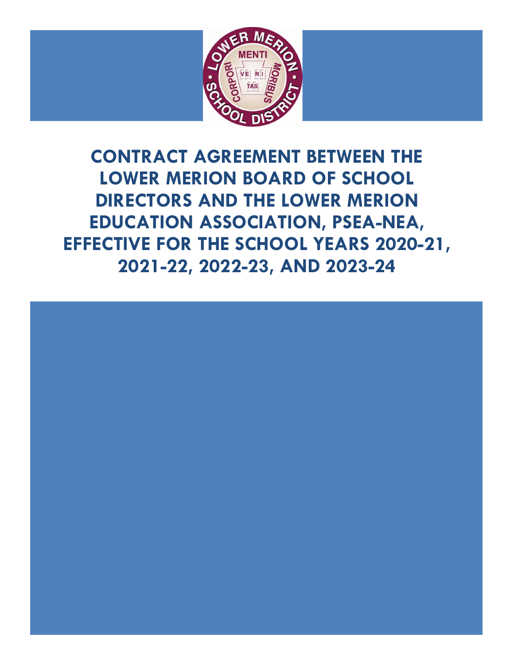

**CONTRACT AGREEMENT BETWEEN THE LOWER MERION BOARD OF SCHOOL DIRECTORS AND THE LOWER MERION EDUCATION ASSOCIATION, PSEA-NEA, EFFECTIVE FOR THE SCHOOL YEARS 2020-21, 2021-22, 2022-23, AND 2023-24** 

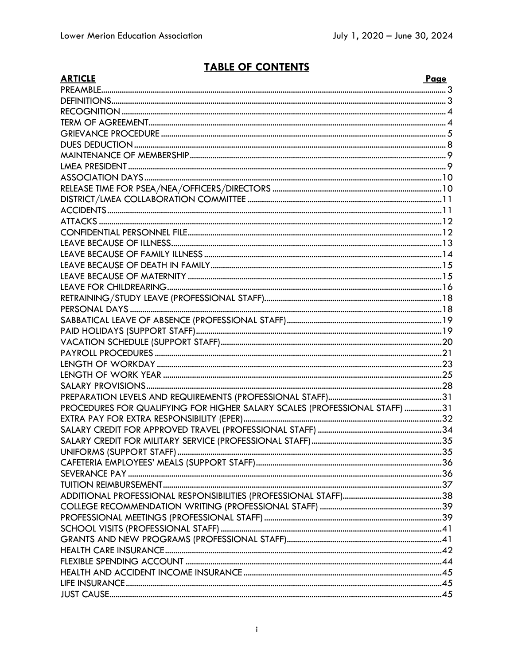# **TABLE OF CONTENTS**

| <b>ARTICLE</b>                                                             | Page |
|----------------------------------------------------------------------------|------|
|                                                                            |      |
|                                                                            |      |
|                                                                            |      |
|                                                                            |      |
|                                                                            |      |
|                                                                            |      |
|                                                                            |      |
|                                                                            |      |
|                                                                            |      |
|                                                                            |      |
|                                                                            |      |
|                                                                            |      |
|                                                                            |      |
|                                                                            |      |
|                                                                            |      |
|                                                                            |      |
|                                                                            |      |
|                                                                            |      |
|                                                                            |      |
|                                                                            |      |
|                                                                            |      |
|                                                                            |      |
|                                                                            |      |
|                                                                            |      |
|                                                                            |      |
|                                                                            |      |
|                                                                            |      |
|                                                                            |      |
|                                                                            |      |
| PROCEDURES FOR QUALIFYING FOR HIGHER SALARY SCALES (PROFESSIONAL STAFF) 31 |      |
|                                                                            |      |
|                                                                            |      |
|                                                                            |      |
|                                                                            |      |
|                                                                            |      |
|                                                                            |      |
|                                                                            |      |
|                                                                            |      |
|                                                                            |      |
|                                                                            |      |
|                                                                            |      |
|                                                                            |      |
|                                                                            |      |
|                                                                            |      |
|                                                                            |      |
|                                                                            |      |
|                                                                            |      |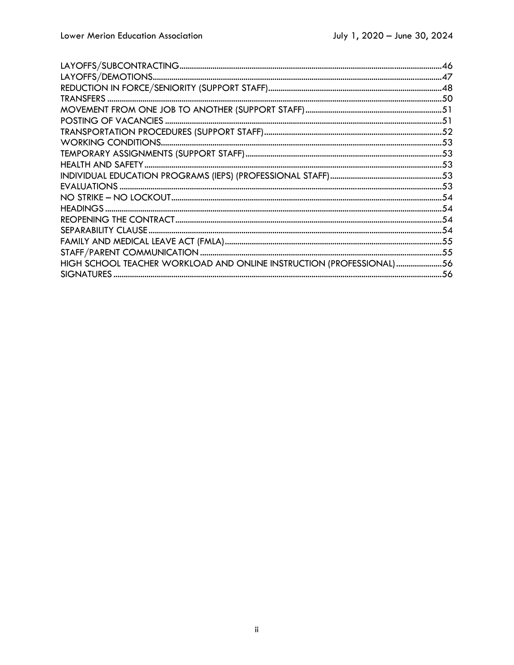| HIGH SCHOOL TEACHER WORKLOAD AND ONLINE INSTRUCTION (PROFESSIONAL)56 |  |
|----------------------------------------------------------------------|--|
|                                                                      |  |
|                                                                      |  |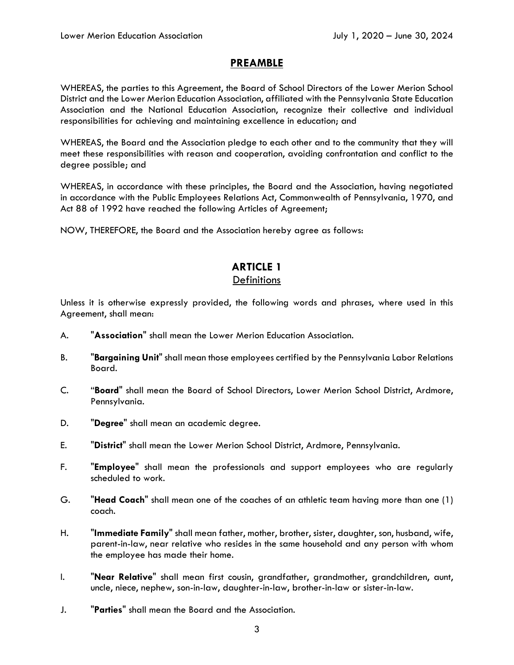### **PREAMBLE**

WHEREAS, the parties to this Agreement, the Board of School Directors of the Lower Merion School District and the Lower Merion Education Association, affiliated with the Pennsylvania State Education Association and the National Education Association, recognize their collective and individual responsibilities for achieving and maintaining excellence in education; and

WHEREAS, the Board and the Association pledge to each other and to the community that they will meet these responsibilities with reason and cooperation, avoiding confrontation and conflict to the degree possible; and

WHEREAS, in accordance with these principles, the Board and the Association, having negotiated in accordance with the Public Employees Relations Act, Commonwealth of Pennsylvania, 1970, and Act 88 of 1992 have reached the following Articles of Agreement;

NOW, THEREFORE, the Board and the Association hereby agree as follows:

### **ARTICLE 1 Definitions**

Unless it is otherwise expressly provided, the following words and phrases, where used in this Agreement, shall mean:

- A. "**Association**" shall mean the Lower Merion Education Association.
- B. "**Bargaining Unit**" shall mean those employees certified by the Pennsylvania Labor Relations Board.
- C. "**Board**" shall mean the Board of School Directors, Lower Merion School District, Ardmore, Pennsylvania.
- D. "**Degree**" shall mean an academic degree.
- E. "**District**" shall mean the Lower Merion School District, Ardmore, Pennsylvania.
- F. "**Employee**" shall mean the professionals and support employees who are regularly scheduled to work.
- G. "**Head Coach**" shall mean one of the coaches of an athletic team having more than one (1) coach.
- H. "**Immediate Family**" shall mean father, mother, brother, sister, daughter, son, husband, wife, parent-in-law, near relative who resides in the same household and any person with whom the employee has made their home.
- I. "**Near Relative**" shall mean first cousin, grandfather, grandmother, grandchildren, aunt, uncle, niece, nephew, son-in-law, daughter-in-law, brother-in-law or sister-in-law.
- J. "**Parties**" shall mean the Board and the Association.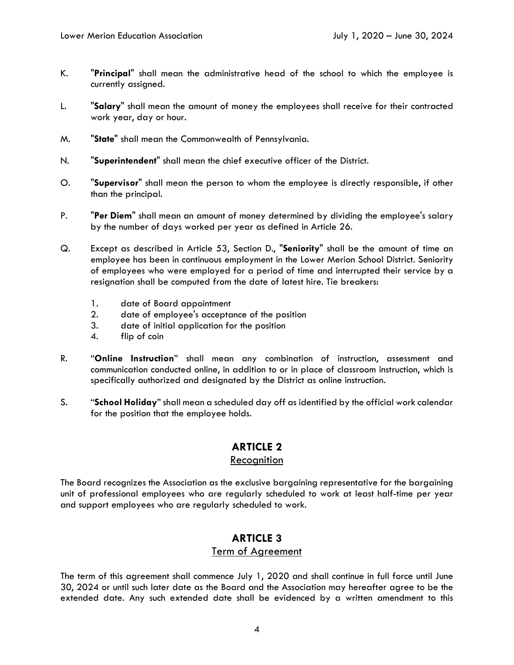- K. "**Principal**" shall mean the administrative head of the school to which the employee is currently assigned.
- L. "**Salary**" shall mean the amount of money the employees shall receive for their contracted work year, day or hour.
- M. "**State**" shall mean the Commonwealth of Pennsylvania.
- N. "**Superintendent**" shall mean the chief executive officer of the District.
- O. "**Supervisor**" shall mean the person to whom the employee is directly responsible, if other than the principal.
- P. "**Per Diem**" shall mean an amount of money determined by dividing the employee's salary by the number of days worked per year as defined in Article 26.
- Q. Except as described in Article 53, Section D., "**Seniority**" shall be the amount of time an employee has been in continuous employment in the Lower Merion School District. Seniority of employees who were employed for a period of time and interrupted their service by a resignation shall be computed from the date of latest hire. Tie breakers:
	- 1. date of Board appointment<br>2. date of employee's accepta
	- 2. date of employee's acceptance of the position
	- 3. date of initial application for the position
	- 4. flip of coin
- R. "**Online Instruction**" shall mean any combination of instruction, assessment and communication conducted online, in addition to or in place of classroom instruction, which is specifically authorized and designated by the District as online instruction.
- S. "**School Holiday**" shall mean a scheduled day off as identified by the official work calendar for the position that the employee holds.

#### Recognition

The Board recognizes the Association as the exclusive bargaining representative for the bargaining unit of professional employees who are regularly scheduled to work at least half-time per year and support employees who are regularly scheduled to work.

# **ARTICLE 3**

### Term of Agreement

The term of this agreement shall commence July 1, 2020 and shall continue in full force until June 30, 2024 or until such later date as the Board and the Association may hereafter agree to be the extended date. Any such extended date shall be evidenced by a written amendment to this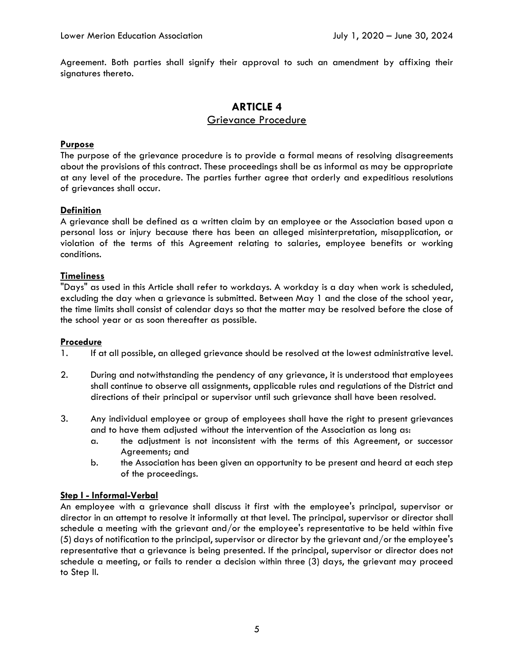Agreement. Both parties shall signify their approval to such an amendment by affixing their signatures thereto.

### **ARTICLE 4**  Grievance Procedure

#### **Purpose**

The purpose of the grievance procedure is to provide a formal means of resolving disagreements about the provisions of this contract. These proceedings shall be as informal as may be appropriate at any level of the procedure. The parties further agree that orderly and expeditious resolutions of grievances shall occur.

#### **Definition**

A grievance shall be defined as a written claim by an employee or the Association based upon a personal loss or injury because there has been an alleged misinterpretation, misapplication, or violation of the terms of this Agreement relating to salaries, employee benefits or working conditions.

#### **Timeliness**

"Days" as used in this Article shall refer to workdays. A workday is a day when work is scheduled, excluding the day when a grievance is submitted. Between May 1 and the close of the school year, the time limits shall consist of calendar days so that the matter may be resolved before the close of the school year or as soon thereafter as possible.

#### **Procedure**

- 1. If at all possible, an alleged grievance should be resolved at the lowest administrative level.
- 2. During and notwithstanding the pendency of any grievance, it is understood that employees shall continue to observe all assignments, applicable rules and regulations of the District and directions of their principal or supervisor until such grievance shall have been resolved.
- 3. Any individual employee or group of employees shall have the right to present grievances and to have them adjusted without the intervention of the Association as long as:
	- a. the adjustment is not inconsistent with the terms of this Agreement, or successor Agreements; and
	- b. the Association has been given an opportunity to be present and heard at each step of the proceedings.

#### **Step I - Informal-Verbal**

An employee with a grievance shall discuss it first with the employee's principal, supervisor or director in an attempt to resolve it informally at that level. The principal, supervisor or director shall schedule a meeting with the grievant and/or the employee's representative to be held within five (5) days of notification to the principal, supervisor or director by the grievant and/or the employee's representative that a grievance is being presented. If the principal, supervisor or director does not schedule a meeting, or fails to render a decision within three (3) days, the grievant may proceed to Step II.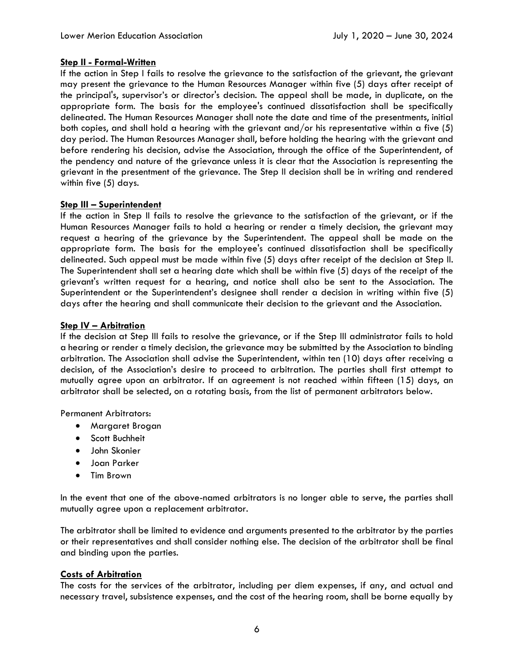#### **Step II - Formal-Written**

If the action in Step I fails to resolve the grievance to the satisfaction of the grievant, the grievant may present the grievance to the Human Resources Manager within five (5) days after receipt of the principal's, supervisor's or director's decision. The appeal shall be made, in duplicate, on the appropriate form. The basis for the employee's continued dissatisfaction shall be specifically delineated. The Human Resources Manager shall note the date and time of the presentments, initial both copies, and shall hold a hearing with the grievant and/or his representative within a five (5) day period. The Human Resources Manager shall, before holding the hearing with the grievant and before rendering his decision, advise the Association, through the office of the Superintendent, of the pendency and nature of the grievance unless it is clear that the Association is representing the grievant in the presentment of the grievance. The Step II decision shall be in writing and rendered within five (5) days.

#### **Step III – Superintendent**

If the action in Step II fails to resolve the grievance to the satisfaction of the grievant, or if the Human Resources Manager fails to hold a hearing or render a timely decision, the grievant may request a hearing of the grievance by the Superintendent. The appeal shall be made on the appropriate form. The basis for the employee's continued dissatisfaction shall be specifically delineated. Such appeal must be made within five (5) days after receipt of the decision at Step II. The Superintendent shall set a hearing date which shall be within five (5) days of the receipt of the grievant's written request for a hearing, and notice shall also be sent to the Association. The Superintendent or the Superintendent's designee shall render a decision in writing within five (5) days after the hearing and shall communicate their decision to the grievant and the Association.

#### **Step IV – Arbitration**

If the decision at Step III fails to resolve the grievance, or if the Step III administrator fails to hold a hearing or render a timely decision, the grievance may be submitted by the Association to binding arbitration. The Association shall advise the Superintendent, within ten (10) days after receiving a decision, of the Association's desire to proceed to arbitration. The parties shall first attempt to mutually agree upon an arbitrator. If an agreement is not reached within fifteen (15) days, an arbitrator shall be selected, on a rotating basis, from the list of permanent arbitrators below.

Permanent Arbitrators:

- Margaret Brogan
- **•** Scott Buchheit
- John Skonier
- Joan Parker
- Tim Brown

In the event that one of the above-named arbitrators is no longer able to serve, the parties shall mutually agree upon a replacement arbitrator.

The arbitrator shall be limited to evidence and arguments presented to the arbitrator by the parties or their representatives and shall consider nothing else. The decision of the arbitrator shall be final and binding upon the parties.

#### **Costs of Arbitration**

The costs for the services of the arbitrator, including per diem expenses, if any, and actual and necessary travel, subsistence expenses, and the cost of the hearing room, shall be borne equally by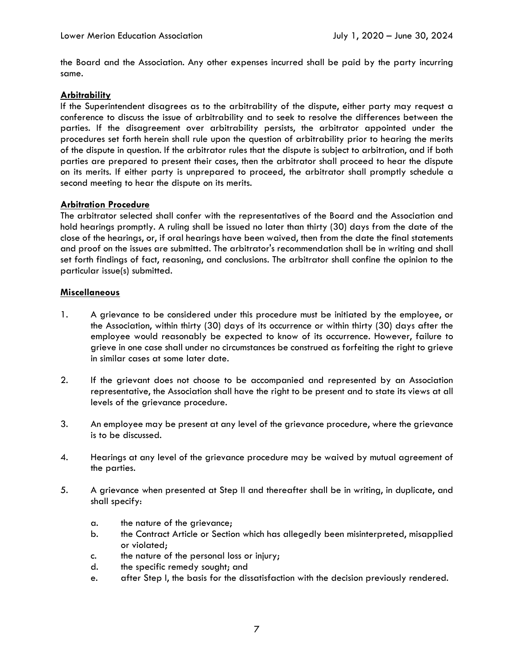the Board and the Association. Any other expenses incurred shall be paid by the party incurring same.

#### **Arbitrability**

If the Superintendent disagrees as to the arbitrability of the dispute, either party may request a conference to discuss the issue of arbitrability and to seek to resolve the differences between the parties. If the disagreement over arbitrability persists, the arbitrator appointed under the procedures set forth herein shall rule upon the question of arbitrability prior to hearing the merits of the dispute in question. If the arbitrator rules that the dispute is subject to arbitration, and if both parties are prepared to present their cases, then the arbitrator shall proceed to hear the dispute on its merits. If either party is unprepared to proceed, the arbitrator shall promptly schedule a second meeting to hear the dispute on its merits.

#### **Arbitration Procedure**

The arbitrator selected shall confer with the representatives of the Board and the Association and hold hearings promptly. A ruling shall be issued no later than thirty (30) days from the date of the close of the hearings, or, if oral hearings have been waived, then from the date the final statements and proof on the issues are submitted. The arbitrator's recommendation shall be in writing and shall set forth findings of fact, reasoning, and conclusions. The arbitrator shall confine the opinion to the particular issue(s) submitted.

#### **Miscellaneous**

- 1. A grievance to be considered under this procedure must be initiated by the employee, or the Association, within thirty (30) days of its occurrence or within thirty (30) days after the employee would reasonably be expected to know of its occurrence. However, failure to grieve in one case shall under no circumstances be construed as forfeiting the right to grieve in similar cases at some later date.
- 2. If the grievant does not choose to be accompanied and represented by an Association representative, the Association shall have the right to be present and to state its views at all levels of the grievance procedure.
- 3. An employee may be present at any level of the grievance procedure, where the grievance is to be discussed.
- 4. Hearings at any level of the grievance procedure may be waived by mutual agreement of the parties.
- 5. A grievance when presented at Step II and thereafter shall be in writing, in duplicate, and shall specify:
	- a. the nature of the grievance;
	- b. the Contract Article or Section which has allegedly been misinterpreted, misapplied or violated;
	- c. the nature of the personal loss or injury;
	- d. the specific remedy sought; and
	- e. after Step I, the basis for the dissatisfaction with the decision previously rendered.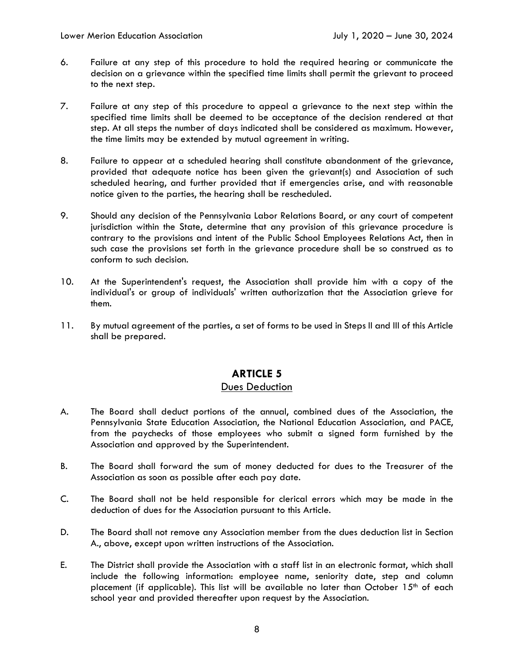- 6. Failure at any step of this procedure to hold the required hearing or communicate the decision on a grievance within the specified time limits shall permit the grievant to proceed to the next step.
- 7. Failure at any step of this procedure to appeal a grievance to the next step within the specified time limits shall be deemed to be acceptance of the decision rendered at that step. At all steps the number of days indicated shall be considered as maximum. However, the time limits may be extended by mutual agreement in writing.
- 8. Failure to appear at a scheduled hearing shall constitute abandonment of the grievance, provided that adequate notice has been given the grievant(s) and Association of such scheduled hearing, and further provided that if emergencies arise, and with reasonable notice given to the parties, the hearing shall be rescheduled.
- 9. Should any decision of the Pennsylvania Labor Relations Board, or any court of competent jurisdiction within the State, determine that any provision of this grievance procedure is contrary to the provisions and intent of the Public School Employees Relations Act, then in such case the provisions set forth in the grievance procedure shall be so construed as to conform to such decision.
- 10. At the Superintendent's request, the Association shall provide him with a copy of the individual's or group of individuals' written authorization that the Association grieve for them.
- 11. By mutual agreement of the parties, a set of forms to be used in Steps II and III of this Article shall be prepared.

### Dues Deduction

- A. The Board shall deduct portions of the annual, combined dues of the Association, the Pennsylvania State Education Association, the National Education Association, and PACE, from the paychecks of those employees who submit a signed form furnished by the Association and approved by the Superintendent.
- B. The Board shall forward the sum of money deducted for dues to the Treasurer of the Association as soon as possible after each pay date.
- C. The Board shall not be held responsible for clerical errors which may be made in the deduction of dues for the Association pursuant to this Article.
- D. The Board shall not remove any Association member from the dues deduction list in Section A., above, except upon written instructions of the Association.
- E. The District shall provide the Association with a staff list in an electronic format, which shall include the following information: employee name, seniority date, step and column placement (if applicable). This list will be available no later than October  $15<sup>th</sup>$  of each school year and provided thereafter upon request by the Association.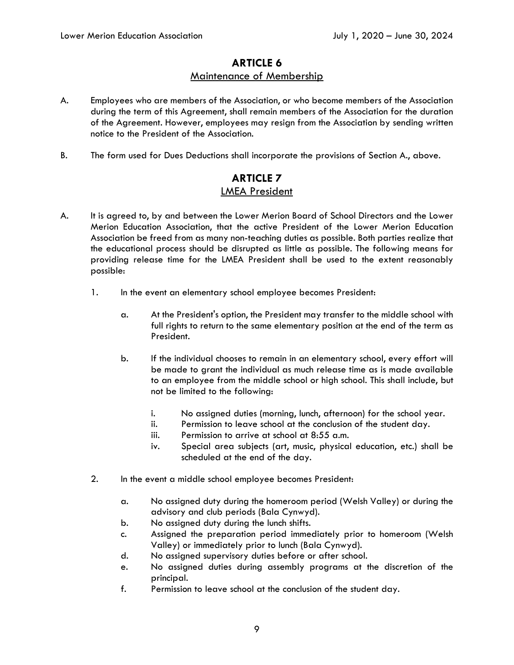# **ARTICLE 6**  Maintenance of Membership

- A. Employees who are members of the Association, or who become members of the Association during the term of this Agreement, shall remain members of the Association for the duration of the Agreement. However, employees may resign from the Association by sending written notice to the President of the Association.
- B. The form used for Dues Deductions shall incorporate the provisions of Section A., above.

# **ARTICLE 7**  LMEA President

- A. It is agreed to, by and between the Lower Merion Board of School Directors and the Lower Merion Education Association, that the active President of the Lower Merion Education Association be freed from as many non-teaching duties as possible. Both parties realize that the educational process should be disrupted as little as possible. The following means for providing release time for the LMEA President shall be used to the extent reasonably possible:
	- 1. In the event an elementary school employee becomes President:
		- a. At the President's option, the President may transfer to the middle school with full rights to return to the same elementary position at the end of the term as President.
		- b. If the individual chooses to remain in an elementary school, every effort will be made to grant the individual as much release time as is made available to an employee from the middle school or high school. This shall include, but not be limited to the following:
			- i. No assigned duties (morning, lunch, afternoon) for the school year.
			- ii. Permission to leave school at the conclusion of the student day.
			- iii. Permission to arrive at school at 8:55 a.m.
			- iv. Special area subjects (art, music, physical education, etc.) shall be scheduled at the end of the day.
	- 2. In the event a middle school employee becomes President:
		- a. No assigned duty during the homeroom period (Welsh Valley) or during the advisory and club periods (Bala Cynwyd).
		- b. No assigned duty during the lunch shifts.
		- c. Assigned the preparation period immediately prior to homeroom (Welsh Valley) or immediately prior to lunch (Bala Cynwyd).
		- d. No assigned supervisory duties before or after school.
		- e. No assigned duties during assembly programs at the discretion of the principal.
		- f. Permission to leave school at the conclusion of the student day.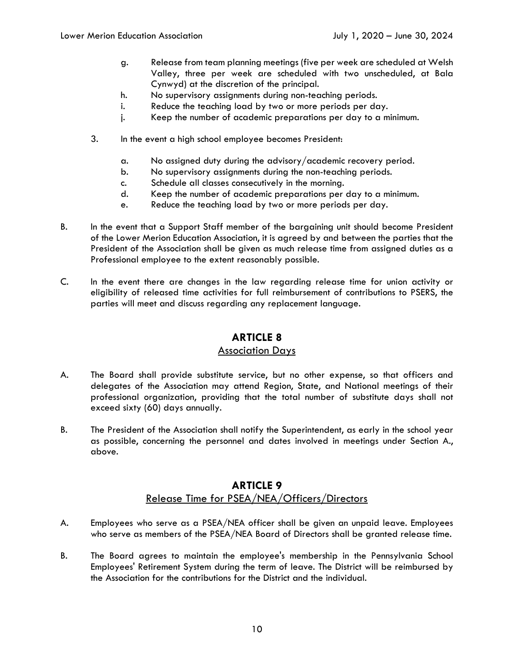- g. Release from team planning meetings (five per week are scheduled at Welsh Valley, three per week are scheduled with two unscheduled, at Bala Cynwyd) at the discretion of the principal.
- h. No supervisory assignments during non-teaching periods.
- i. Reduce the teaching load by two or more periods per day.
- j. Keep the number of academic preparations per day to a minimum.
- 3. In the event a high school employee becomes President:
	- a. No assigned duty during the advisory/academic recovery period.
	- b. No supervisory assignments during the non-teaching periods.
	- c. Schedule all classes consecutively in the morning.
	- d. Keep the number of academic preparations per day to a minimum.
	- e. Reduce the teaching load by two or more periods per day.
- B. In the event that a Support Staff member of the bargaining unit should become President of the Lower Merion Education Association, it is agreed by and between the parties that the President of the Association shall be given as much release time from assigned duties as a Professional employee to the extent reasonably possible.
- C. In the event there are changes in the law regarding release time for union activity or eligibility of released time activities for full reimbursement of contributions to PSERS, the parties will meet and discuss regarding any replacement language.

### Association Days

- A. The Board shall provide substitute service, but no other expense, so that officers and delegates of the Association may attend Region, State, and National meetings of their professional organization, providing that the total number of substitute days shall not exceed sixty (60) days annually.
- B. The President of the Association shall notify the Superintendent, as early in the school year as possible, concerning the personnel and dates involved in meetings under Section A., above.

# **ARTICLE 9**  Release Time for PSEA/NEA/Officers/Directors

- A. Employees who serve as a PSEA/NEA officer shall be given an unpaid leave. Employees who serve as members of the PSEA/NEA Board of Directors shall be granted release time.
- B. The Board agrees to maintain the employee's membership in the Pennsylvania School Employees' Retirement System during the term of leave. The District will be reimbursed by the Association for the contributions for the District and the individual.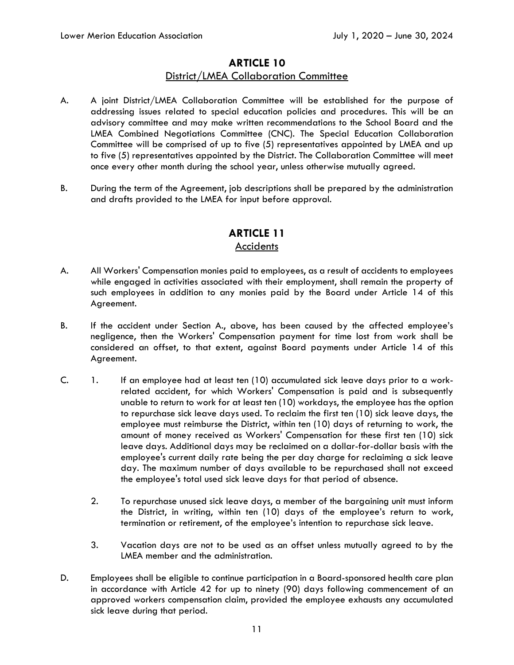### **ARTICLE 10**  District/LMEA Collaboration Committee

- A. A joint District/LMEA Collaboration Committee will be established for the purpose of addressing issues related to special education policies and procedures. This will be an advisory committee and may make written recommendations to the School Board and the LMEA Combined Negotiations Committee (CNC). The Special Education Collaboration Committee will be comprised of up to five (5) representatives appointed by LMEA and up to five (5) representatives appointed by the District. The Collaboration Committee will meet once every other month during the school year, unless otherwise mutually agreed.
- B. During the term of the Agreement, job descriptions shall be prepared by the administration and drafts provided to the LMEA for input before approval.

### **ARTICLE 11 Accidents**

- A. All Workers' Compensation monies paid to employees, as a result of accidents to employees while engaged in activities associated with their employment, shall remain the property of such employees in addition to any monies paid by the Board under Article 14 of this Agreement.
- B. If the accident under Section A., above, has been caused by the affected employee's negligence, then the Workers' Compensation payment for time lost from work shall be considered an offset, to that extent, against Board payments under Article 14 of this Agreement.
- C. 1. If an employee had at least ten (10) accumulated sick leave days prior to a workrelated accident, for which Workers' Compensation is paid and is subsequently unable to return to work for at least ten (10) workdays, the employee has the option to repurchase sick leave days used. To reclaim the first ten (10) sick leave days, the employee must reimburse the District, within ten (10) days of returning to work, the amount of money received as Workers' Compensation for these first ten (10) sick leave days. Additional days may be reclaimed on a dollar-for-dollar basis with the employee's current daily rate being the per day charge for reclaiming a sick leave day. The maximum number of days available to be repurchased shall not exceed the employee's total used sick leave days for that period of absence.
	- 2. To repurchase unused sick leave days, a member of the bargaining unit must inform the District, in writing, within ten (10) days of the employee's return to work, termination or retirement, of the employee's intention to repurchase sick leave.
	- 3. Vacation days are not to be used as an offset unless mutually agreed to by the LMEA member and the administration.
- D. Employees shall be eligible to continue participation in a Board-sponsored health care plan in accordance with Article 42 for up to ninety (90) days following commencement of an approved workers compensation claim, provided the employee exhausts any accumulated sick leave during that period.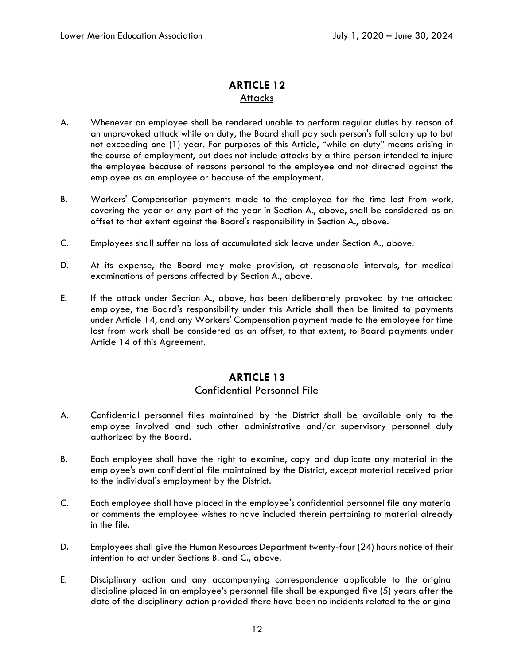# **ARTICLE 12**  Attacks

- A. Whenever an employee shall be rendered unable to perform regular duties by reason of an unprovoked attack while on duty, the Board shall pay such person's full salary up to but not exceeding one (1) year. For purposes of this Article, "while on duty" means arising in the course of employment, but does not include attacks by a third person intended to injure the employee because of reasons personal to the employee and not directed against the employee as an employee or because of the employment.
- B. Workers' Compensation payments made to the employee for the time lost from work, covering the year or any part of the year in Section A., above, shall be considered as an offset to that extent against the Board's responsibility in Section A., above.
- C. Employees shall suffer no loss of accumulated sick leave under Section A., above.
- D. At its expense, the Board may make provision, at reasonable intervals, for medical examinations of persons affected by Section A., above.
- E. If the attack under Section A., above, has been deliberately provoked by the attacked employee, the Board's responsibility under this Article shall then be limited to payments under Article 14, and any Workers' Compensation payment made to the employee for time lost from work shall be considered as an offset, to that extent, to Board payments under Article 14 of this Agreement.

### **ARTICLE 13**  Confidential Personnel File

- A. Confidential personnel files maintained by the District shall be available only to the employee involved and such other administrative and/or supervisory personnel duly authorized by the Board.
- B. Each employee shall have the right to examine, copy and duplicate any material in the employee's own confidential file maintained by the District, except material received prior to the individual's employment by the District.
- C. Each employee shall have placed in the employee's confidential personnel file any material or comments the employee wishes to have included therein pertaining to material already in the file.
- D. Employees shall give the Human Resources Department twenty-four (24) hours notice of their intention to act under Sections B. and C., above.
- E. Disciplinary action and any accompanying correspondence applicable to the original discipline placed in an employee's personnel file shall be expunged five (5) years after the date of the disciplinary action provided there have been no incidents related to the original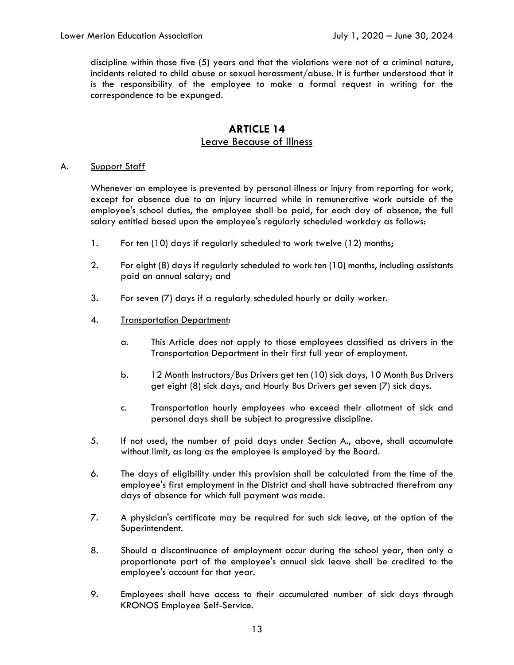discipline within those five (5) years and that the violations were not of a criminal nature, incidents related to child abuse or sexual harassment/abuse. It is further understood that it is the responsibility of the employee to make a formal request in writing for the correspondence to be expunged.

### **ARTICLE 14**  Leave Because of Illness

#### A. Support Staff

Whenever an employee is prevented by personal illness or injury from reporting for work, except for absence due to an injury incurred while in remunerative work outside of the employee's school duties, the employee shall be paid, for each day of absence, the full salary entitled based upon the employee's regularly scheduled workday as follows:

- 1. For ten (10) days if regularly scheduled to work twelve (12) months;
- 2. For eight (8) days if regularly scheduled to work ten (10) months, including assistants paid an annual salary; and
- 3. For seven (7) days if a regularly scheduled hourly or daily worker.
- 4. Transportation Department:
	- a. This Article does not apply to those employees classified as drivers in the Transportation Department in their first full year of employment.
	- b. 12 Month Instructors/Bus Drivers get ten (10) sick days, 10 Month Bus Drivers get eight (8) sick days, and Hourly Bus Drivers get seven (7) sick days.
	- c. Transportation hourly employees who exceed their allotment of sick and personal days shall be subject to progressive discipline.
- 5. If not used, the number of paid days under Section A., above, shall accumulate without limit, as long as the employee is employed by the Board.
- 6. The days of eligibility under this provision shall be calculated from the time of the employee's first employment in the District and shall have subtracted therefrom any days of absence for which full payment was made.
- 7. A physician's certificate may be required for such sick leave, at the option of the Superintendent.
- 8. Should a discontinuance of employment occur during the school year, then only a proportionate part of the employee's annual sick leave shall be credited to the employee's account for that year.
- 9. Employees shall have access to their accumulated number of sick days through KRONOS Employee Self-Service.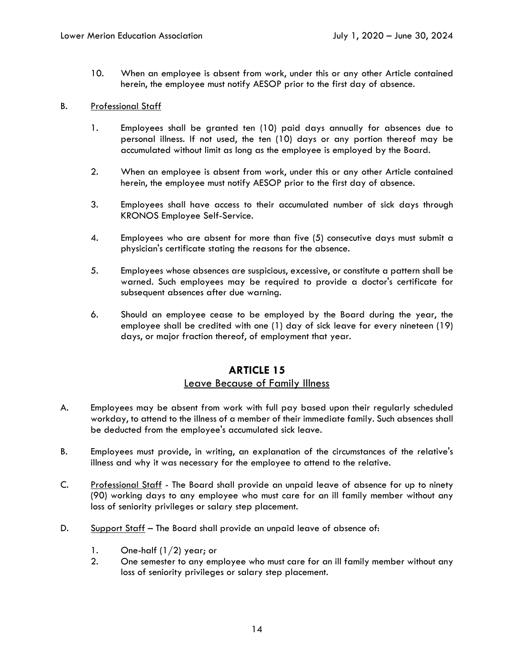10. When an employee is absent from work, under this or any other Article contained herein, the employee must notify AESOP prior to the first day of absence.

#### B. Professional Staff

- 1. Employees shall be granted ten (10) paid days annually for absences due to personal illness. If not used, the ten (10) days or any portion thereof may be accumulated without limit as long as the employee is employed by the Board.
- 2. When an employee is absent from work, under this or any other Article contained herein, the employee must notify AESOP prior to the first day of absence.
- 3. Employees shall have access to their accumulated number of sick days through KRONOS Employee Self-Service.
- 4. Employees who are absent for more than five (5) consecutive days must submit a physician's certificate stating the reasons for the absence.
- 5. Employees whose absences are suspicious, excessive, or constitute a pattern shall be warned. Such employees may be required to provide a doctor's certificate for subsequent absences after due warning.
- 6. Should an employee cease to be employed by the Board during the year, the employee shall be credited with one (1) day of sick leave for every nineteen (19) days, or major fraction thereof, of employment that year.

# **ARTICLE 15**

### Leave Because of Family Illness

- A. Employees may be absent from work with full pay based upon their regularly scheduled workday, to attend to the illness of a member of their immediate family. Such absences shall be deducted from the employee's accumulated sick leave.
- B. Employees must provide, in writing, an explanation of the circumstances of the relative's illness and why it was necessary for the employee to attend to the relative.
- C. Professional Staff The Board shall provide an unpaid leave of absence for up to ninety (90) working days to any employee who must care for an ill family member without any loss of seniority privileges or salary step placement.
- D. Support Staff The Board shall provide an unpaid leave of absence of:
	- 1. One-half  $(1/2)$  year; or
	- 2. One semester to any employee who must care for an ill family member without any loss of seniority privileges or salary step placement.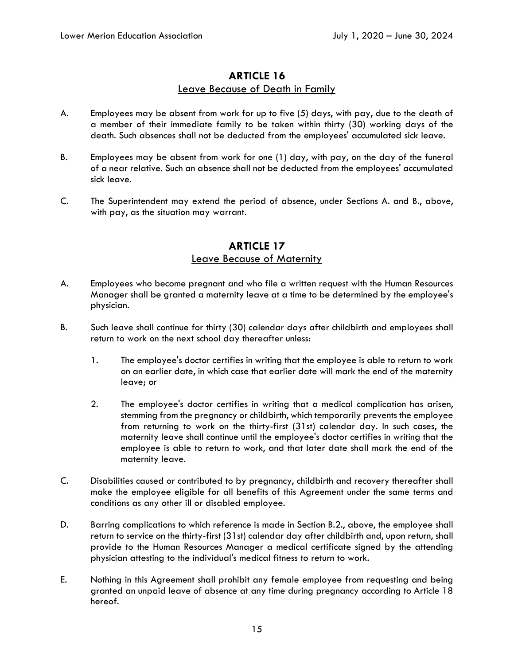### Leave Because of Death in Family

- A. Employees may be absent from work for up to five (5) days, with pay, due to the death of a member of their immediate family to be taken within thirty (30) working days of the death. Such absences shall not be deducted from the employees' accumulated sick leave.
- B. Employees may be absent from work for one (1) day, with pay, on the day of the funeral of a near relative. Such an absence shall not be deducted from the employees' accumulated sick leave.
- C. The Superintendent may extend the period of absence, under Sections A. and B., above, with pay, as the situation may warrant.

# **ARTICLE 17**  Leave Because of Maternity

- A. Employees who become pregnant and who file a written request with the Human Resources Manager shall be granted a maternity leave at a time to be determined by the employee's physician.
- B. Such leave shall continue for thirty (30) calendar days after childbirth and employees shall return to work on the next school day thereafter unless:
	- 1. The employee's doctor certifies in writing that the employee is able to return to work on an earlier date, in which case that earlier date will mark the end of the maternity leave; or
	- 2. The employee's doctor certifies in writing that a medical complication has arisen, stemming from the pregnancy or childbirth, which temporarily prevents the employee from returning to work on the thirty-first (31st) calendar day. In such cases, the maternity leave shall continue until the employee's doctor certifies in writing that the employee is able to return to work, and that later date shall mark the end of the maternity leave.
- C. Disabilities caused or contributed to by pregnancy, childbirth and recovery thereafter shall make the employee eligible for all benefits of this Agreement under the same terms and conditions as any other ill or disabled employee.
- D. Barring complications to which reference is made in Section B.2., above, the employee shall return to service on the thirty-first (31st) calendar day after childbirth and, upon return, shall provide to the Human Resources Manager a medical certificate signed by the attending physician attesting to the individual's medical fitness to return to work.
- E. Nothing in this Agreement shall prohibit any female employee from requesting and being granted an unpaid leave of absence at any time during pregnancy according to Article 18 hereof.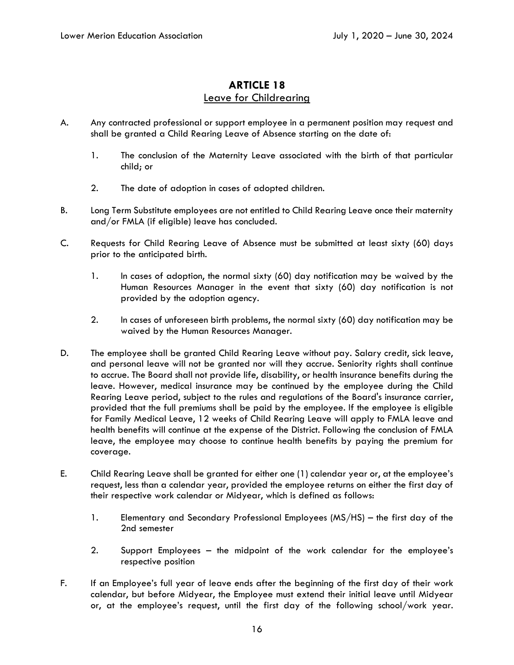# Leave for Childrearing

- A. Any contracted professional or support employee in a permanent position may request and shall be granted a Child Rearing Leave of Absence starting on the date of:
	- 1. The conclusion of the Maternity Leave associated with the birth of that particular child; or
	- 2. The date of adoption in cases of adopted children.
- B. Long Term Substitute employees are not entitled to Child Rearing Leave once their maternity and/or FMLA (if eligible) leave has concluded.
- C. Requests for Child Rearing Leave of Absence must be submitted at least sixty (60) days prior to the anticipated birth.
	- 1. In cases of adoption, the normal sixty (60) day notification may be waived by the Human Resources Manager in the event that sixty (60) day notification is not provided by the adoption agency.
	- 2. In cases of unforeseen birth problems, the normal sixty (60) day notification may be waived by the Human Resources Manager.
- D. The employee shall be granted Child Rearing Leave without pay. Salary credit, sick leave, and personal leave will not be granted nor will they accrue. Seniority rights shall continue to accrue. The Board shall not provide life, disability, or health insurance benefits during the leave. However, medical insurance may be continued by the employee during the Child Rearing Leave period, subject to the rules and regulations of the Board's insurance carrier, provided that the full premiums shall be paid by the employee. If the employee is eligible for Family Medical Leave, 12 weeks of Child Rearing Leave will apply to FMLA leave and health benefits will continue at the expense of the District. Following the conclusion of FMLA leave, the employee may choose to continue health benefits by paying the premium for coverage.
- E. Child Rearing Leave shall be granted for either one (1) calendar year or, at the employee's request, less than a calendar year, provided the employee returns on either the first day of their respective work calendar or Midyear, which is defined as follows:
	- 1. Elementary and Secondary Professional Employees (MS/HS) the first day of the 2nd semester
	- 2. Support Employees the midpoint of the work calendar for the employee's respective position
- F. If an Employee's full year of leave ends after the beginning of the first day of their work calendar, but before Midyear, the Employee must extend their initial leave until Midyear or, at the employee's request, until the first day of the following school/work year.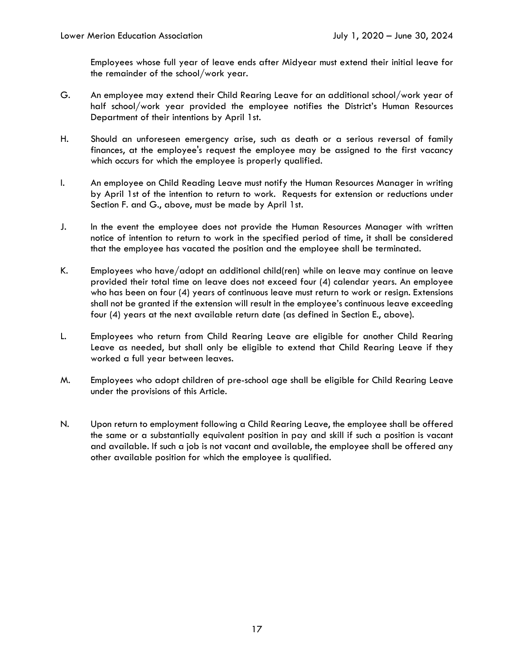Employees whose full year of leave ends after Midyear must extend their initial leave for the remainder of the school/work year.

- G. An employee may extend their Child Rearing Leave for an additional school/work year of half school/work year provided the employee notifies the District's Human Resources Department of their intentions by April 1st.
- H. Should an unforeseen emergency arise, such as death or a serious reversal of family finances, at the employee's request the employee may be assigned to the first vacancy which occurs for which the employee is properly qualified.
- I. An employee on Child Reading Leave must notify the Human Resources Manager in writing by April 1st of the intention to return to work. Requests for extension or reductions under Section F. and G., above, must be made by April 1st.
- J. In the event the employee does not provide the Human Resources Manager with written notice of intention to return to work in the specified period of time, it shall be considered that the employee has vacated the position and the employee shall be terminated.
- K. Employees who have/adopt an additional child(ren) while on leave may continue on leave provided their total time on leave does not exceed four (4) calendar years. An employee who has been on four (4) years of continuous leave must return to work or resign. Extensions shall not be granted if the extension will result in the employee's continuous leave exceeding four (4) years at the next available return date (as defined in Section E., above).
- L. Employees who return from Child Rearing Leave are eligible for another Child Rearing Leave as needed, but shall only be eligible to extend that Child Rearing Leave if they worked a full year between leaves.
- M. Employees who adopt children of pre-school age shall be eligible for Child Rearing Leave under the provisions of this Article.
- N. Upon return to employment following a Child Rearing Leave, the employee shall be offered the same or a substantially equivalent position in pay and skill if such a position is vacant and available. If such a job is not vacant and available, the employee shall be offered any other available position for which the employee is qualified.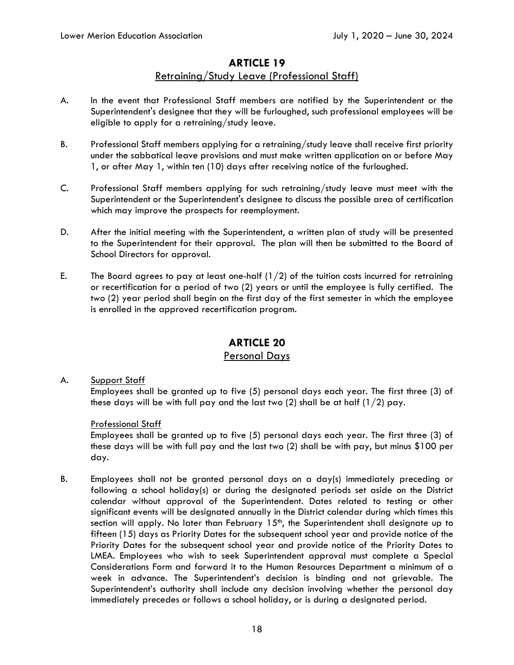### Retraining/Study Leave (Professional Staff)

- A. In the event that Professional Staff members are notified by the Superintendent or the Superintendent's designee that they will be furloughed, such professional employees will be eligible to apply for a retraining/study leave.
- B. Professional Staff members applying for a retraining/study leave shall receive first priority under the sabbatical leave provisions and must make written application on or before May 1, or after May 1, within ten (10) days after receiving notice of the furloughed.
- C. Professional Staff members applying for such retraining/study leave must meet with the Superintendent or the Superintendent's designee to discuss the possible area of certification which may improve the prospects for reemployment.
- D. After the initial meeting with the Superintendent, a written plan of study will be presented to the Superintendent for their approval. The plan will then be submitted to the Board of School Directors for approval.
- E. The Board agrees to pay at least one-half  $(1/2)$  of the tuition costs incurred for retraining or recertification for a period of two (2) years or until the employee is fully certified. The two (2) year period shall begin on the first day of the first semester in which the employee is enrolled in the approved recertification program.

# **ARTICLE 20**

### Personal Days

# A. Support Staff Employees shall be granted up to five (5) personal days each year. The first three (3) of these days will be with full pay and the last two (2) shall be at half  $(1/2)$  pay.

### Professional Staff

Employees shall be granted up to five (5) personal days each year. The first three (3) of these days will be with full pay and the last two (2) shall be with pay, but minus \$100 per day.

B. Employees shall not be granted personal days on a day(s) immediately preceding or following a school holiday(s) or during the designated periods set aside on the District calendar without approval of the Superintendent. Dates related to testing or other significant events will be designated annually in the District calendar during which times this section will apply. No later than February  $15<sup>th</sup>$ , the Superintendent shall designate up to fifteen (15) days as Priority Dates for the subsequent school year and provide notice of the Priority Dates for the subsequent school year and provide notice of the Priority Dates to LMEA. Employees who wish to seek Superintendent approval must complete a Special Considerations Form and forward it to the Human Resources Department a minimum of a week in advance. The Superintendent's decision is binding and not grievable. The Superintendent's authority shall include any decision involving whether the personal day immediately precedes or follows a school holiday, or is during a designated period.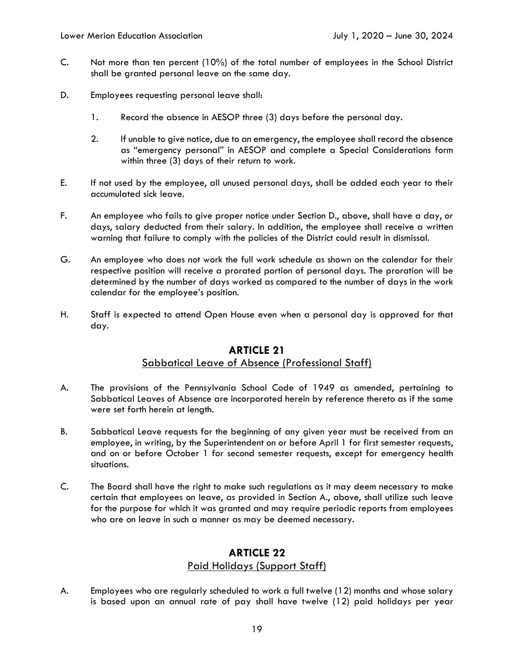- C. Not more than ten percent (10%) of the total number of employees in the School District shall be granted personal leave on the same day.
- D. Employees requesting personal leave shall:
	- 1. Record the absence in AESOP three (3) days before the personal day.
	- 2. If unable to give notice, due to an emergency, the employee shall record the absence as "emergency personal" in AESOP and complete a Special Considerations form within three (3) days of their return to work.
- E. If not used by the employee, all unused personal days, shall be added each year to their accumulated sick leave.
- F. An employee who fails to give proper notice under Section D., above, shall have a day, or days, salary deducted from their salary. In addition, the employee shall receive a written warning that failure to comply with the policies of the District could result in dismissal.
- G. An employee who does not work the full work schedule as shown on the calendar for their respective position will receive a prorated portion of personal days. The proration will be determined by the number of days worked as compared to the number of days in the work calendar for the employee's position.
- H. Staff is expected to attend Open House even when a personal day is approved for that day.

### **ARTICLE 21**  Sabbatical Leave of Absence (Professional Staff)

- A. The provisions of the Pennsylvania School Code of 1949 as amended, pertaining to Sabbatical Leaves of Absence are incorporated herein by reference thereto as if the same were set forth herein at length.
- B. Sabbatical Leave requests for the beginning of any given year must be received from an employee, in writing, by the Superintendent on or before April 1 for first semester requests, and on or before October 1 for second semester requests, except for emergency health situations.
- C. The Board shall have the right to make such regulations as it may deem necessary to make certain that employees on leave, as provided in Section A., above, shall utilize such leave for the purpose for which it was granted and may require periodic reports from employees who are on leave in such a manner as may be deemed necessary.

# **ARTICLE 22**  Paid Holidays (Support Staff)

A. Employees who are regularly scheduled to work a full twelve (12) months and whose salary is based upon an annual rate of pay shall have twelve (12) paid holidays per year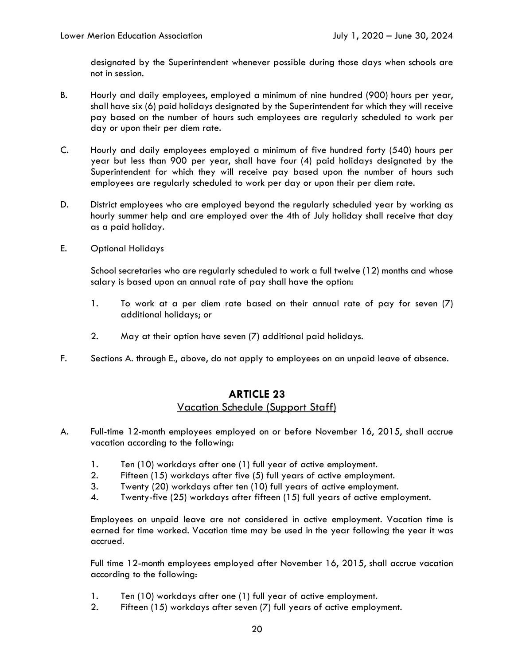designated by the Superintendent whenever possible during those days when schools are not in session.

- B. Hourly and daily employees, employed a minimum of nine hundred (900) hours per year, shall have six (6) paid holidays designated by the Superintendent for which they will receive pay based on the number of hours such employees are regularly scheduled to work per day or upon their per diem rate.
- C. Hourly and daily employees employed a minimum of five hundred forty (540) hours per year but less than 900 per year, shall have four (4) paid holidays designated by the Superintendent for which they will receive pay based upon the number of hours such employees are regularly scheduled to work per day or upon their per diem rate.
- D. District employees who are employed beyond the regularly scheduled year by working as hourly summer help and are employed over the 4th of July holiday shall receive that day as a paid holiday.
- E. Optional Holidays

School secretaries who are regularly scheduled to work a full twelve (12) months and whose salary is based upon an annual rate of pay shall have the option:

- 1. To work at a per diem rate based on their annual rate of pay for seven (7) additional holidays; or
- 2. May at their option have seven (7) additional paid holidays.
- F. Sections A. through E., above, do not apply to employees on an unpaid leave of absence.

# **ARTICLE 23**  Vacation Schedule (Support Staff)

- A. Full-time 12-month employees employed on or before November 16, 2015, shall accrue vacation according to the following:
	- 1. Ten (10) workdays after one (1) full year of active employment.
	- 2. Fifteen (15) workdays after five (5) full years of active employment.
	- 3. Twenty (20) workdays after ten (10) full years of active employment.
	- 4. Twenty-five (25) workdays after fifteen (15) full years of active employment.

Employees on unpaid leave are not considered in active employment. Vacation time is earned for time worked. Vacation time may be used in the year following the year it was accrued.

Full time 12-month employees employed after November 16, 2015, shall accrue vacation according to the following:

- 1. Ten (10) workdays after one (1) full year of active employment.
- 2. Fifteen (15) workdays after seven (7) full years of active employment.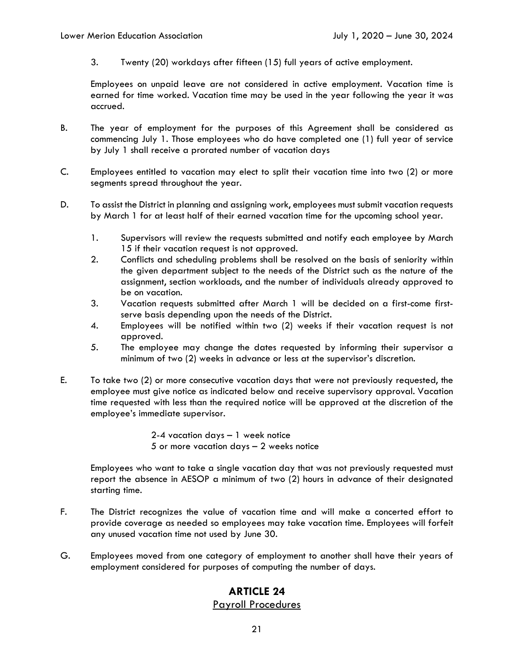3. Twenty (20) workdays after fifteen (15) full years of active employment.

Employees on unpaid leave are not considered in active employment. Vacation time is earned for time worked. Vacation time may be used in the year following the year it was accrued.

- B. The year of employment for the purposes of this Agreement shall be considered as commencing July 1. Those employees who do have completed one (1) full year of service by July 1 shall receive a prorated number of vacation days
- C. Employees entitled to vacation may elect to split their vacation time into two (2) or more segments spread throughout the year.
- D. To assist the District in planning and assigning work, employees must submit vacation requests by March 1 for at least half of their earned vacation time for the upcoming school year.
	- 1. Supervisors will review the requests submitted and notify each employee by March 15 if their vacation request is not approved.
	- 2. Conflicts and scheduling problems shall be resolved on the basis of seniority within the given department subject to the needs of the District such as the nature of the assignment, section workloads, and the number of individuals already approved to be on vacation.
	- 3. Vacation requests submitted after March 1 will be decided on a first-come firstserve basis depending upon the needs of the District.
	- 4. Employees will be notified within two (2) weeks if their vacation request is not approved.
	- 5. The employee may change the dates requested by informing their supervisor a minimum of two (2) weeks in advance or less at the supervisor's discretion.
- E. To take two (2) or more consecutive vacation days that were not previously requested, the employee must give notice as indicated below and receive supervisory approval. Vacation time requested with less than the required notice will be approved at the discretion of the employee's immediate supervisor.

2-4 vacation days – 1 week notice 5 or more vacation days – 2 weeks notice

Employees who want to take a single vacation day that was not previously requested must report the absence in AESOP a minimum of two (2) hours in advance of their designated starting time.

- F. The District recognizes the value of vacation time and will make a concerted effort to provide coverage as needed so employees may take vacation time. Employees will forfeit any unused vacation time not used by June 30.
- G. Employees moved from one category of employment to another shall have their years of employment considered for purposes of computing the number of days.

# **ARTICLE 24**

#### Payroll Procedures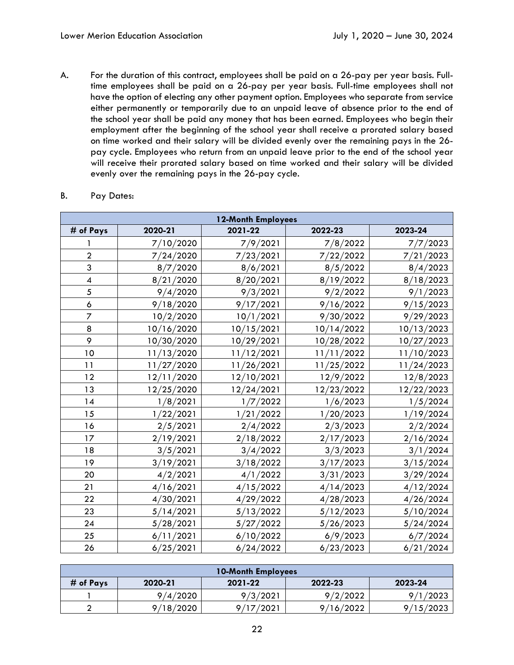A. For the duration of this contract, employees shall be paid on a 26-pay per year basis. Fulltime employees shall be paid on a 26-pay per year basis. Full-time employees shall not have the option of electing any other payment option. Employees who separate from service either permanently or temporarily due to an unpaid leave of absence prior to the end of the school year shall be paid any money that has been earned. Employees who begin their employment after the beginning of the school year shall receive a prorated salary based on time worked and their salary will be divided evenly over the remaining pays in the 26 pay cycle. Employees who return from an unpaid leave prior to the end of the school year will receive their prorated salary based on time worked and their salary will be divided evenly over the remaining pays in the 26-pay cycle.

| 12-Month Employees       |            |            |            |            |
|--------------------------|------------|------------|------------|------------|
| # of Pays                | 2020-21    | 2021-22    | 2022-23    | 2023-24    |
|                          | 7/10/2020  | 7/9/2021   | 7/8/2022   | 7/7/2023   |
| $\overline{2}$           | 7/24/2020  | 7/23/2021  | 7/22/2022  | 7/21/2023  |
| 3                        | 8/7/2020   | 8/6/2021   | 8/5/2022   | 8/4/2023   |
| $\overline{\mathcal{A}}$ | 8/21/2020  | 8/20/2021  | 8/19/2022  | 8/18/2023  |
| 5                        | 9/4/2020   | 9/3/2021   | 9/2/2022   | 9/1/2023   |
| 6                        | 9/18/2020  | 9/17/2021  | 9/16/2022  | 9/15/2023  |
| $\overline{z}$           | 10/2/2020  | 10/1/2021  | 9/30/2022  | 9/29/2023  |
| 8                        | 10/16/2020 | 10/15/2021 | 10/14/2022 | 10/13/2023 |
| 9                        | 10/30/2020 | 10/29/2021 | 10/28/2022 | 10/27/2023 |
| 10                       | 11/13/2020 | 11/12/2021 | 11/11/2022 | 11/10/2023 |
| 11                       | 11/27/2020 | 11/26/2021 | 11/25/2022 | 11/24/2023 |
| 12                       | 12/11/2020 | 12/10/2021 | 12/9/2022  | 12/8/2023  |
| 13                       | 12/25/2020 | 12/24/2021 | 12/23/2022 | 12/22/2023 |
| 14                       | 1/8/2021   | 1/7/2022   | 1/6/2023   | 1/5/2024   |
| 15                       | 1/22/2021  | 1/21/2022  | 1/20/2023  | 1/19/2024  |
| 16                       | 2/5/2021   | 2/4/2022   | 2/3/2023   | 2/2/2024   |
| 17                       | 2/19/2021  | 2/18/2022  | 2/17/2023  | 2/16/2024  |
| 18                       | 3/5/2021   | 3/4/2022   | 3/3/2023   | 3/1/2024   |
| 19                       | 3/19/2021  | 3/18/2022  | 3/17/2023  | 3/15/2024  |
| 20                       | 4/2/2021   | 4/1/2022   | 3/31/2023  | 3/29/2024  |
| 21                       | 4/16/2021  | 4/15/2022  | 4/14/2023  | 4/12/2024  |
| 22                       | 4/30/2021  | 4/29/2022  | 4/28/2023  | 4/26/2024  |
| 23                       | 5/14/2021  | 5/13/2022  | 5/12/2023  | 5/10/2024  |
| 24                       | 5/28/2021  | 5/27/2022  | 5/26/2023  | 5/24/2024  |
| 25                       | 6/11/2021  | 6/10/2022  | 6/9/2023   | 6/7/2024   |
| 26                       | 6/25/2021  | 6/24/2022  | 6/23/2023  | 6/21/2024  |

#### B. Pay Dates:

| <b>10-Month Employees</b>                             |           |           |           |           |  |
|-------------------------------------------------------|-----------|-----------|-----------|-----------|--|
| # of Pays<br>2022-23<br>2023-24<br>2020-21<br>2021-22 |           |           |           |           |  |
|                                                       | 9/4/2020  | 9/3/2021  | 9/2/2022  | 9/1/2023  |  |
|                                                       | 9/18/2020 | 9/17/2021 | 9/16/2022 | 9/15/2023 |  |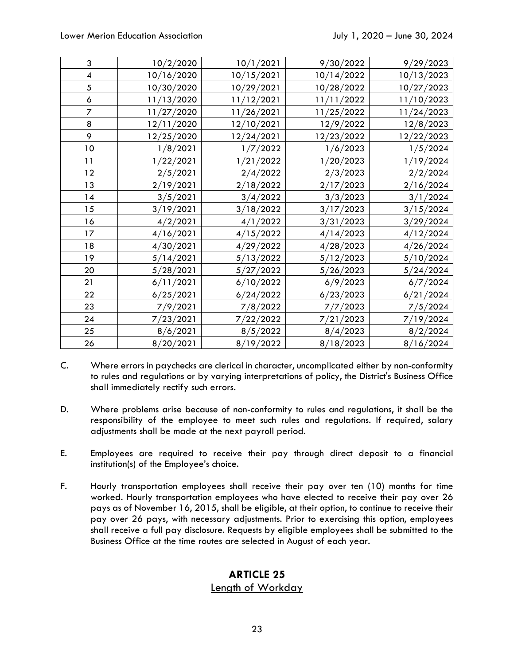| 3                        | 10/2/2020  | 10/1/2021  | 9/30/2022  | 9/29/2023  |
|--------------------------|------------|------------|------------|------------|
| $\overline{\mathcal{A}}$ | 10/16/2020 | 10/15/2021 | 10/14/2022 | 10/13/2023 |
| $\sqrt{5}$               | 10/30/2020 | 10/29/2021 | 10/28/2022 | 10/27/2023 |
| $\pmb{\delta}$           | 11/13/2020 | 11/12/2021 | 11/11/2022 | 11/10/2023 |
| $\overline{7}$           | 11/27/2020 | 11/26/2021 | 11/25/2022 | 11/24/2023 |
| 8                        | 12/11/2020 | 12/10/2021 | 12/9/2022  | 12/8/2023  |
| 9                        | 12/25/2020 | 12/24/2021 | 12/23/2022 | 12/22/2023 |
| 10                       | 1/8/2021   | 1/7/2022   | 1/6/2023   | 1/5/2024   |
| 11                       | 1/22/2021  | 1/21/2022  | 1/20/2023  | 1/19/2024  |
| 12                       | 2/5/2021   | 2/4/2022   | 2/3/2023   | 2/2/2024   |
| 13                       | 2/19/2021  | 2/18/2022  | 2/17/2023  | 2/16/2024  |
| 14                       | 3/5/2021   | 3/4/2022   | 3/3/2023   | 3/1/2024   |
| 15                       | 3/19/2021  | 3/18/2022  | 3/17/2023  | 3/15/2024  |
| 16                       | 4/2/2021   | 4/1/2022   | 3/31/2023  | 3/29/2024  |
| 17                       | 4/16/2021  | 4/15/2022  | 4/14/2023  | 4/12/2024  |
| 18                       | 4/30/2021  | 4/29/2022  | 4/28/2023  | 4/26/2024  |
| 19                       | 5/14/2021  | 5/13/2022  | 5/12/2023  | 5/10/2024  |
| 20                       | 5/28/2021  | 5/27/2022  | 5/26/2023  | 5/24/2024  |
| 21                       | 6/11/2021  | 6/10/2022  | 6/9/2023   | 6/7/2024   |
| 22                       | 6/25/2021  | 6/24/2022  | 6/23/2023  | 6/21/2024  |
| 23                       | 7/9/2021   | 7/8/2022   | 7/7/2023   | 7/5/2024   |
| 24                       | 7/23/2021  | 7/22/2022  | 7/21/2023  | 7/19/2024  |
| 25                       | 8/6/2021   | 8/5/2022   | 8/4/2023   | 8/2/2024   |
| 26                       | 8/20/2021  | 8/19/2022  | 8/18/2023  | 8/16/2024  |

- C. Where errors in paychecks are clerical in character, uncomplicated either by non-conformity to rules and regulations or by varying interpretations of policy, the District's Business Office shall immediately rectify such errors.
- D. Where problems arise because of non-conformity to rules and regulations, it shall be the responsibility of the employee to meet such rules and regulations. If required, salary adjustments shall be made at the next payroll period.
- E. Employees are required to receive their pay through direct deposit to a financial institution(s) of the Employee's choice.
- F. Hourly transportation employees shall receive their pay over ten (10) months for time worked. Hourly transportation employees who have elected to receive their pay over 26 pays as of November 16, 2015, shall be eligible, at their option, to continue to receive their pay over 26 pays, with necessary adjustments. Prior to exercising this option, employees shall receive a full pay disclosure. Requests by eligible employees shall be submitted to the Business Office at the time routes are selected in August of each year.

# **ARTICLE 25**  Length of Workday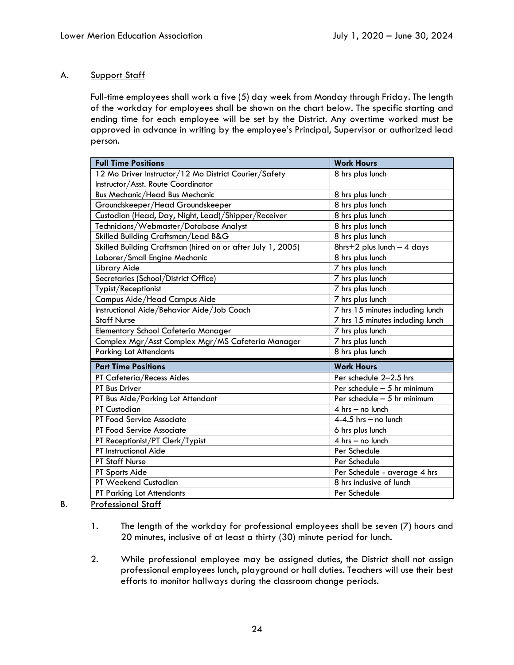### A. Support Staff

Full-time employees shall work a five (5) day week from Monday through Friday. The length of the workday for employees shall be shown on the chart below. The specific starting and ending time for each employee will be set by the District. Any overtime worked must be approved in advance in writing by the employee's Principal, Supervisor or authorized lead person.

| <b>Full Time Positions</b>                                  | <b>Work Hours</b>                |
|-------------------------------------------------------------|----------------------------------|
| 12 Mo Driver Instructor/12 Mo District Courier/Safety       | 8 hrs plus lunch                 |
| Instructor/Asst. Route Coordinator                          |                                  |
| <b>Bus Mechanic/Head Bus Mechanic</b>                       | 8 hrs plus lunch                 |
| Groundskeeper/Head Groundskeeper                            | 8 hrs plus lunch                 |
| Custodian (Head, Day, Night, Lead)/Shipper/Receiver         | 8 hrs plus lunch                 |
| Technicians/Webmaster/Database Analyst                      | 8 hrs plus lunch                 |
| Skilled Building Craftsman/Lead B&G                         | 8 hrs plus lunch                 |
| Skilled Building Craftsman (hired on or after July 1, 2005) | $8$ hrs+2 plus lunch - 4 days    |
| Laborer/Small Engine Mechanic                               | 8 hrs plus lunch                 |
| Library Aide                                                | 7 hrs plus lunch                 |
| Secretaries (School/District Office)                        | 7 hrs plus lunch                 |
| Typist/Receptionist                                         | 7 hrs plus lunch                 |
| Campus Aide/Head Campus Aide                                | 7 hrs plus lunch                 |
| Instructional Aide/Behavior Aide/Job Coach                  | 7 hrs 15 minutes including lunch |
| <b>Staff Nurse</b>                                          | 7 hrs 15 minutes including lunch |
| Elementary School Cafeteria Manager                         | 7 hrs plus lunch                 |
| Complex Mgr/Asst Complex Mgr/MS Cafeteria Manager           | 7 hrs plus lunch                 |
|                                                             |                                  |
| <b>Parking Lot Attendants</b>                               | 8 hrs plus lunch                 |
| <b>Part Time Positions</b>                                  | <b>Work Hours</b>                |
| PT Cafeteria/Recess Aides                                   | Per schedule 2-2.5 hrs           |
| PT Bus Driver                                               | Per schedule $-5$ hr minimum     |
| PT Bus Aide/Parking Lot Attendant                           | Per schedule $-5$ hr minimum     |
| <b>PT Custodian</b>                                         | $4$ hrs $-$ no lunch             |
| PT Food Service Associate                                   | $4-4.5$ hrs - no lunch           |
| PT Food Service Associate                                   | 6 hrs plus lunch                 |
|                                                             | $4$ hrs $-$ no lunch             |
| PT Receptionist/PT Clerk/Typist<br>PT Instructional Aide    | Per Schedule                     |
| <b>PT Staff Nurse</b>                                       | Per Schedule                     |
| PT Sports Aide                                              | Per Schedule - average 4 hrs     |
| PT Weekend Custodian                                        | 8 hrs inclusive of lunch         |

- B. Professional Staff
	- 1. The length of the workday for professional employees shall be seven (7) hours and 20 minutes, inclusive of at least a thirty (30) minute period for lunch.
	- 2. While professional employee may be assigned duties, the District shall not assign professional employees lunch, playground or hall duties. Teachers will use their best efforts to monitor hallways during the classroom change periods.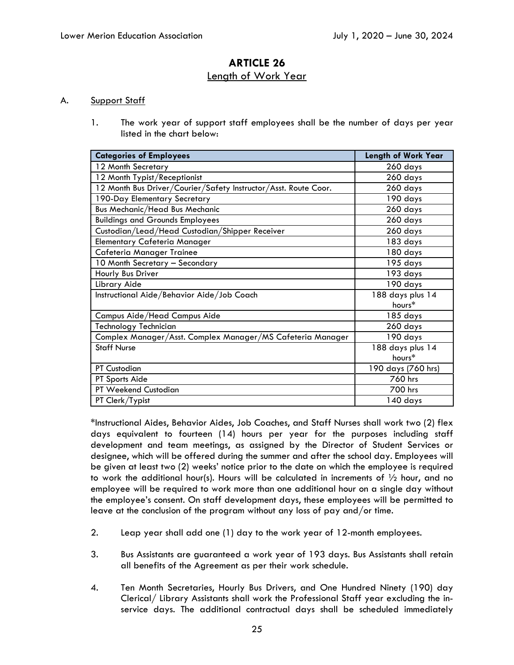### **ARTICLE 26**  Length of Work Year

#### A. Support Staff

1. The work year of support staff employees shall be the number of days per year listed in the chart below:

| <b>Categories of Employees</b>                                  | <b>Length of Work Year</b> |
|-----------------------------------------------------------------|----------------------------|
| 12 Month Secretary                                              | 260 days                   |
| 12 Month Typist/Receptionist                                    | 260 days                   |
| 12 Month Bus Driver/Courier/Safety Instructor/Asst. Route Coor. | 260 days                   |
| 190-Day Elementary Secretary                                    | 190 days                   |
| <b>Bus Mechanic/Head Bus Mechanic</b>                           | 260 days                   |
| <b>Buildings and Grounds Employees</b>                          | 260 days                   |
| Custodian/Lead/Head Custodian/Shipper Receiver                  | 260 days                   |
| <b>Elementary Cafeteria Manager</b>                             | 183 days                   |
| Cafeteria Manager Trainee                                       | 180 days                   |
| 10 Month Secretary - Secondary                                  | 195 days                   |
| Hourly Bus Driver                                               | 193 days                   |
| Library Aide                                                    | 190 days                   |
| Instructional Aide/Behavior Aide/Job Coach                      | 188 days plus 14           |
|                                                                 | hours*                     |
| Campus Aide/Head Campus Aide                                    | 185 days                   |
| Technology Technician                                           | 260 days                   |
| Complex Manager/Asst. Complex Manager/MS Cafeteria Manager      | 190 days                   |
| <b>Staff Nurse</b>                                              | 188 days plus 14           |
|                                                                 | hours*                     |
| <b>PT Custodian</b>                                             | 190 days (760 hrs)         |
| PT Sports Aide                                                  | 760 hrs                    |
| PT Weekend Custodian                                            | 700 hrs                    |
| PT Clerk/Typist                                                 | 140 days                   |

\*Instructional Aides, Behavior Aides, Job Coaches, and Staff Nurses shall work two (2) flex days equivalent to fourteen (14) hours per year for the purposes including staff development and team meetings, as assigned by the Director of Student Services or designee, which will be offered during the summer and after the school day. Employees will be given at least two (2) weeks' notice prior to the date on which the employee is required to work the additional hour(s). Hours will be calculated in increments of  $\frac{1}{2}$  hour, and no employee will be required to work more than one additional hour on a single day without the employee's consent. On staff development days, these employees will be permitted to leave at the conclusion of the program without any loss of pay and/or time.

- 2. Leap year shall add one (1) day to the work year of 12-month employees.
- 3. Bus Assistants are guaranteed a work year of 193 days. Bus Assistants shall retain all benefits of the Agreement as per their work schedule.
- 4. Ten Month Secretaries, Hourly Bus Drivers, and One Hundred Ninety (190) day Clerical/ Library Assistants shall work the Professional Staff year excluding the inservice days. The additional contractual days shall be scheduled immediately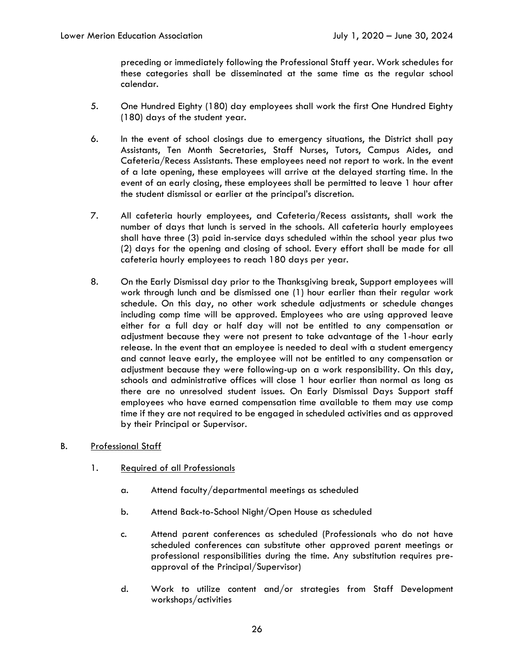preceding or immediately following the Professional Staff year. Work schedules for these categories shall be disseminated at the same time as the regular school calendar.

- 5. One Hundred Eighty (180) day employees shall work the first One Hundred Eighty (180) days of the student year.
- 6. In the event of school closings due to emergency situations, the District shall pay Assistants, Ten Month Secretaries, Staff Nurses, Tutors, Campus Aides, and Cafeteria/Recess Assistants. These employees need not report to work. In the event of a late opening, these employees will arrive at the delayed starting time. In the event of an early closing, these employees shall be permitted to leave 1 hour after the student dismissal or earlier at the principal's discretion.
- 7. All cafeteria hourly employees, and Cafeteria/Recess assistants, shall work the number of days that lunch is served in the schools. All cafeteria hourly employees shall have three (3) paid in-service days scheduled within the school year plus two (2) days for the opening and closing of school. Every effort shall be made for all cafeteria hourly employees to reach 180 days per year.
- 8. On the Early Dismissal day prior to the Thanksgiving break, Support employees will work through lunch and be dismissed one (1) hour earlier than their regular work schedule. On this day, no other work schedule adjustments or schedule changes including comp time will be approved. Employees who are using approved leave either for a full day or half day will not be entitled to any compensation or adjustment because they were not present to take advantage of the 1-hour early release. In the event that an employee is needed to deal with a student emergency and cannot leave early, the employee will not be entitled to any compensation or adjustment because they were following-up on a work responsibility. On this day, schools and administrative offices will close 1 hour earlier than normal as long as there are no unresolved student issues. On Early Dismissal Days Support staff employees who have earned compensation time available to them may use comp time if they are not required to be engaged in scheduled activities and as approved by their Principal or Supervisor.
- B. Professional Staff
	- 1. Required of all Professionals
		- a. Attend faculty/departmental meetings as scheduled
		- b. Attend Back-to-School Night/Open House as scheduled
		- c. Attend parent conferences as scheduled (Professionals who do not have scheduled conferences can substitute other approved parent meetings or professional responsibilities during the time. Any substitution requires preapproval of the Principal/Supervisor)
		- d. Work to utilize content and/or strategies from Staff Development workshops/activities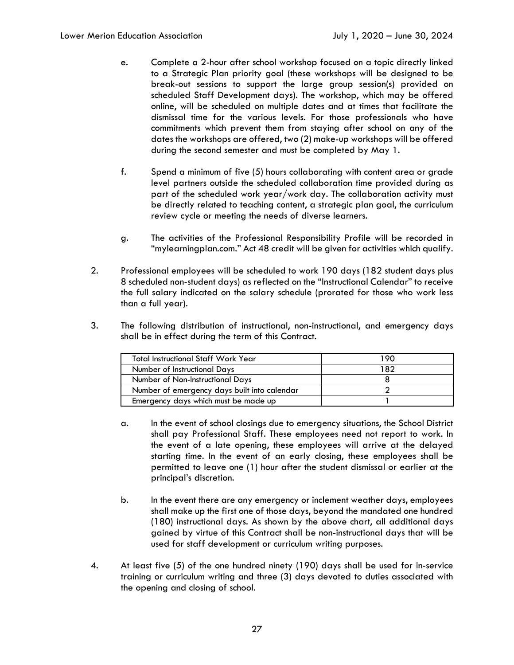- e. Complete a 2-hour after school workshop focused on a topic directly linked to a Strategic Plan priority goal (these workshops will be designed to be break-out sessions to support the large group session(s) provided on scheduled Staff Development days). The workshop, which may be offered online, will be scheduled on multiple dates and at times that facilitate the dismissal time for the various levels. For those professionals who have commitments which prevent them from staying after school on any of the dates the workshops are offered, two (2) make-up workshops will be offered during the second semester and must be completed by May 1.
- f. Spend a minimum of five (5) hours collaborating with content area or grade level partners outside the scheduled collaboration time provided during as part of the scheduled work year/work day. The collaboration activity must be directly related to teaching content, a strategic plan goal, the curriculum review cycle or meeting the needs of diverse learners.
- g. The activities of the Professional Responsibility Profile will be recorded in "mylearningplan.com." Act 48 credit will be given for activities which qualify.
- 2. Professional employees will be scheduled to work 190 days (182 student days plus 8 scheduled non-student days) as reflected on the "Instructional Calendar" to receive the full salary indicated on the salary schedule (prorated for those who work less than a full year).
- 3. The following distribution of instructional, non-instructional, and emergency days shall be in effect during the term of this Contract.

| <b>Total Instructional Staff Work Year</b>   | 90  |
|----------------------------------------------|-----|
| Number of Instructional Days                 | 182 |
| Number of Non-Instructional Days             |     |
| Number of emergency days built into calendar |     |
| Emergency days which must be made up         |     |

- a. In the event of school closings due to emergency situations, the School District shall pay Professional Staff. These employees need not report to work. In the event of a late opening, these employees will arrive at the delayed starting time. In the event of an early closing, these employees shall be permitted to leave one (1) hour after the student dismissal or earlier at the principal's discretion.
- b. In the event there are any emergency or inclement weather days, employees shall make up the first one of those days, beyond the mandated one hundred (180) instructional days. As shown by the above chart, all additional days gained by virtue of this Contract shall be non-instructional days that will be used for staff development or curriculum writing purposes.
- 4. At least five (5) of the one hundred ninety (190) days shall be used for in-service training or curriculum writing and three (3) days devoted to duties associated with the opening and closing of school.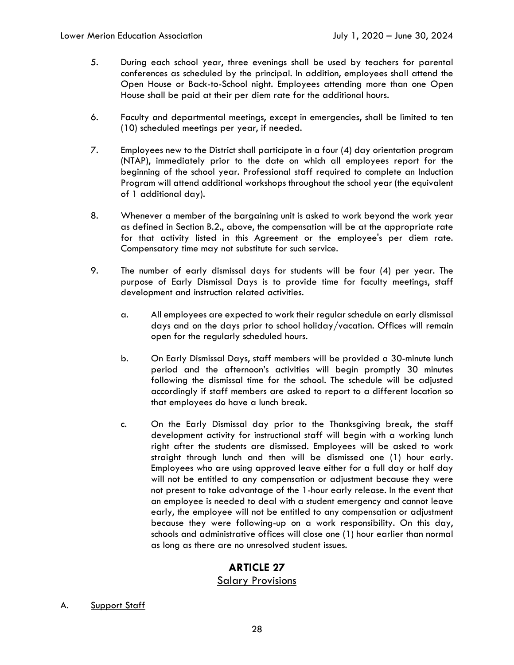- 5. During each school year, three evenings shall be used by teachers for parental conferences as scheduled by the principal. In addition, employees shall attend the Open House or Back-to-School night. Employees attending more than one Open House shall be paid at their per diem rate for the additional hours.
- 6. Faculty and departmental meetings, except in emergencies, shall be limited to ten (10) scheduled meetings per year, if needed.
- 7. Employees new to the District shall participate in a four (4) day orientation program (NTAP), immediately prior to the date on which all employees report for the beginning of the school year. Professional staff required to complete an Induction Program will attend additional workshops throughout the school year (the equivalent of 1 additional day).
- 8. Whenever a member of the bargaining unit is asked to work beyond the work year as defined in Section B.2., above, the compensation will be at the appropriate rate for that activity listed in this Agreement or the employee's per diem rate. Compensatory time may not substitute for such service.
- 9. The number of early dismissal days for students will be four (4) per year. The purpose of Early Dismissal Days is to provide time for faculty meetings, staff development and instruction related activities.
	- a. All employees are expected to work their regular schedule on early dismissal days and on the days prior to school holiday/vacation. Offices will remain open for the regularly scheduled hours.
	- b. On Early Dismissal Days, staff members will be provided a 30-minute lunch period and the afternoon's activities will begin promptly 30 minutes following the dismissal time for the school. The schedule will be adjusted accordingly if staff members are asked to report to a different location so that employees do have a lunch break.
	- c. On the Early Dismissal day prior to the Thanksgiving break, the staff development activity for instructional staff will begin with a working lunch right after the students are dismissed. Employees will be asked to work straight through lunch and then will be dismissed one (1) hour early. Employees who are using approved leave either for a full day or half day will not be entitled to any compensation or adjustment because they were not present to take advantage of the 1-hour early release. In the event that an employee is needed to deal with a student emergency and cannot leave early, the employee will not be entitled to any compensation or adjustment because they were following-up on a work responsibility. On this day, schools and administrative offices will close one (1) hour earlier than normal as long as there are no unresolved student issues.

#### Salary Provisions

A. Support Staff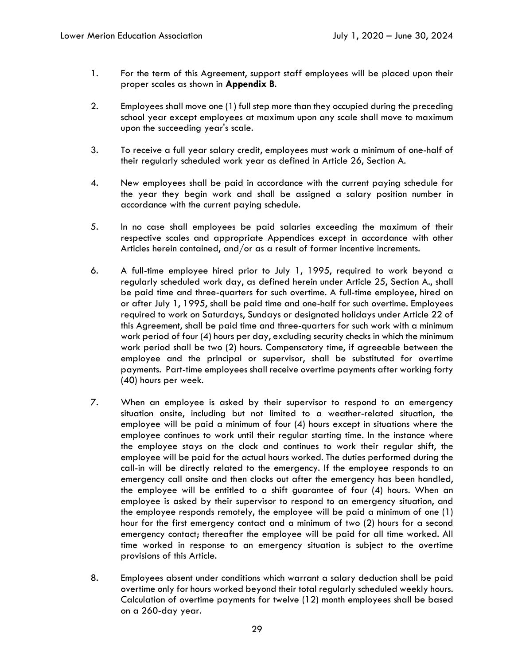- 1. For the term of this Agreement, support staff employees will be placed upon their proper scales as shown in **Appendix B**.
- 2. Employees shall move one (1) full step more than they occupied during the preceding school year except employees at maximum upon any scale shall move to maximum upon the succeeding year's scale.
- 3. To receive a full year salary credit, employees must work a minimum of one-half of their regularly scheduled work year as defined in Article 26, Section A.
- 4. New employees shall be paid in accordance with the current paying schedule for the year they begin work and shall be assigned a salary position number in accordance with the current paying schedule.
- 5. In no case shall employees be paid salaries exceeding the maximum of their respective scales and appropriate Appendices except in accordance with other Articles herein contained, and/or as a result of former incentive increments.
- 6. A full-time employee hired prior to July 1, 1995, required to work beyond a regularly scheduled work day, as defined herein under Article 25, Section A., shall be paid time and three-quarters for such overtime. A full-time employee, hired on or after July 1, 1995, shall be paid time and one-half for such overtime. Employees required to work on Saturdays, Sundays or designated holidays under Article 22 of this Agreement, shall be paid time and three-quarters for such work with a minimum work period of four (4) hours per day, excluding security checks in which the minimum work period shall be two (2) hours. Compensatory time, if agreeable between the employee and the principal or supervisor, shall be substituted for overtime payments. Part-time employees shall receive overtime payments after working forty (40) hours per week.
- 7. When an employee is asked by their supervisor to respond to an emergency situation onsite, including but not limited to a weather-related situation, the employee will be paid a minimum of four (4) hours except in situations where the employee continues to work until their regular starting time. In the instance where the employee stays on the clock and continues to work their regular shift, the employee will be paid for the actual hours worked. The duties performed during the call-in will be directly related to the emergency. If the employee responds to an emergency call onsite and then clocks out after the emergency has been handled, the employee will be entitled to a shift guarantee of four (4) hours. When an employee is asked by their supervisor to respond to an emergency situation, and the employee responds remotely, the employee will be paid a minimum of one (1) hour for the first emergency contact and a minimum of two (2) hours for a second emergency contact; thereafter the employee will be paid for all time worked. All time worked in response to an emergency situation is subject to the overtime provisions of this Article.
- 8. Employees absent under conditions which warrant a salary deduction shall be paid overtime only for hours worked beyond their total regularly scheduled weekly hours. Calculation of overtime payments for twelve (12) month employees shall be based on a 260-day year.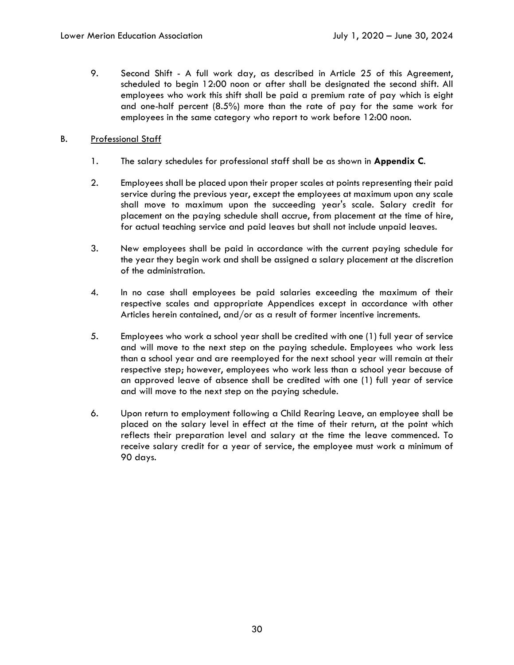9. Second Shift - A full work day, as described in Article 25 of this Agreement, scheduled to begin 12:00 noon or after shall be designated the second shift. All employees who work this shift shall be paid a premium rate of pay which is eight and one-half percent (8.5%) more than the rate of pay for the same work for employees in the same category who report to work before 12:00 noon.

#### B. Professional Staff

- 1. The salary schedules for professional staff shall be as shown in **Appendix C**.
- 2. Employees shall be placed upon their proper scales at points representing their paid service during the previous year, except the employees at maximum upon any scale shall move to maximum upon the succeeding year's scale. Salary credit for placement on the paying schedule shall accrue, from placement at the time of hire, for actual teaching service and paid leaves but shall not include unpaid leaves.
- 3. New employees shall be paid in accordance with the current paying schedule for the year they begin work and shall be assigned a salary placement at the discretion of the administration.
- 4. In no case shall employees be paid salaries exceeding the maximum of their respective scales and appropriate Appendices except in accordance with other Articles herein contained, and/or as a result of former incentive increments.
- 5. Employees who work a school year shall be credited with one (1) full year of service and will move to the next step on the paying schedule. Employees who work less than a school year and are reemployed for the next school year will remain at their respective step; however, employees who work less than a school year because of an approved leave of absence shall be credited with one (1) full year of service and will move to the next step on the paying schedule.
- 6. Upon return to employment following a Child Rearing Leave, an employee shall be placed on the salary level in effect at the time of their return, at the point which reflects their preparation level and salary at the time the leave commenced. To receive salary credit for a year of service, the employee must work a minimum of 90 days.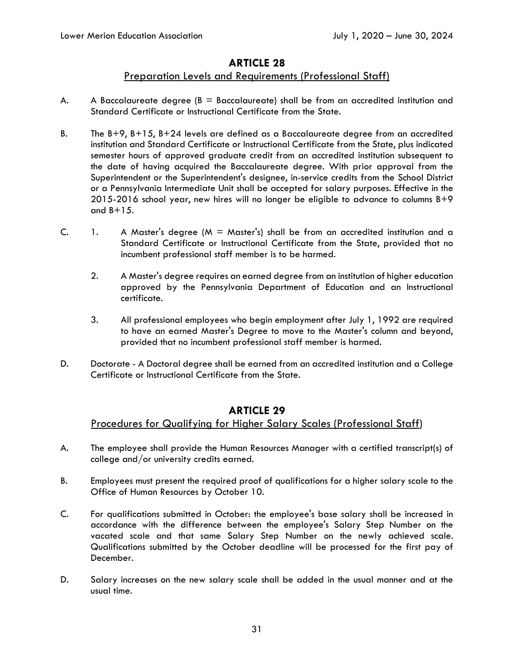### Preparation Levels and Requirements (Professional Staff)

- A. A Baccalaureate degree  $(B = Bacc$ alaureate) shall be from an accredited institution and Standard Certificate or Instructional Certificate from the State.
- B. The B+9, B+15, B+24 levels are defined as a Baccalaureate degree from an accredited institution and Standard Certificate or Instructional Certificate from the State, plus indicated semester hours of approved graduate credit from an accredited institution subsequent to the date of having acquired the Baccalaureate degree. With prior approval from the Superintendent or the Superintendent's designee, in-service credits from the School District or a Pennsylvania Intermediate Unit shall be accepted for salary purposes. Effective in the 2015-2016 school year, new hires will no longer be eligible to advance to columns B+9 and  $B+15$ .
- C. 1. A Master's degree (M = Master's) shall be from an accredited institution and a Standard Certificate or Instructional Certificate from the State, provided that no incumbent professional staff member is to be harmed.
	- 2. A Master's degree requires an earned degree from an institution of higher education approved by the Pennsylvania Department of Education and an Instructional certificate.
	- 3. All professional employees who begin employment after July 1, 1992 are required to have an earned Master's Degree to move to the Master's column and beyond, provided that no incumbent professional staff member is harmed.
- D. Doctorate A Doctoral degree shall be earned from an accredited institution and a College Certificate or Instructional Certificate from the State.

### **ARTICLE 29**

### Procedures for Qualifying for Higher Salary Scales (Professional Staff)

- A. The employee shall provide the Human Resources Manager with a certified transcript(s) of college and/or university credits earned.
- B. Employees must present the required proof of qualifications for a higher salary scale to the Office of Human Resources by October 10.
- C. For qualifications submitted in October: the employee's base salary shall be increased in accordance with the difference between the employee's Salary Step Number on the vacated scale and that same Salary Step Number on the newly achieved scale. Qualifications submitted by the October deadline will be processed for the first pay of December.
- D. Salary increases on the new salary scale shall be added in the usual manner and at the usual time.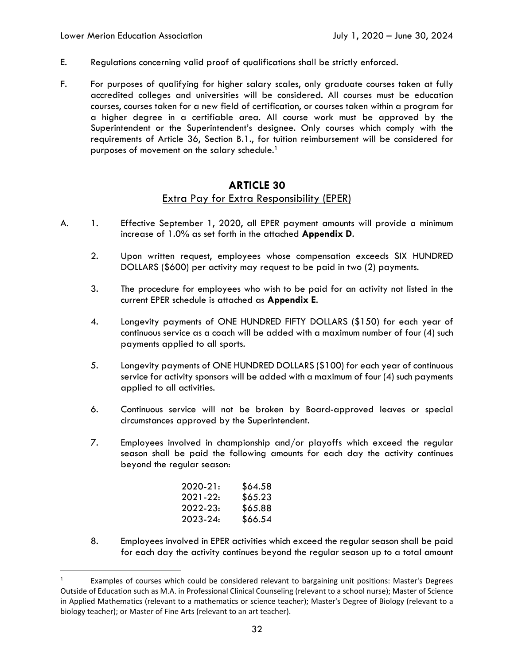- E. Regulations concerning valid proof of qualifications shall be strictly enforced.
- F. For purposes of qualifying for higher salary scales, only graduate courses taken at fully accredited colleges and universities will be considered. All courses must be education courses, courses taken for a new field of certification, or courses taken within a program for a higher degree in a certifiable area. All course work must be approved by the Superintendent or the Superintendent's designee. Only courses which comply with the requirements of Article 36, Section B.1., for tuition reimbursement will be considered for purposes of movement on the salary schedule.<sup>1</sup>

# **ARTICLE 30**  Extra Pay for Extra Responsibility (EPER)

- A. 1. Effective September 1, 2020, all EPER payment amounts will provide a minimum increase of 1.0% as set forth in the attached **Appendix D**.
	- 2. Upon written request, employees whose compensation exceeds SIX HUNDRED DOLLARS (\$600) per activity may request to be paid in two (2) payments.
	- 3. The procedure for employees who wish to be paid for an activity not listed in the current EPER schedule is attached as **Appendix E**.
	- 4. Longevity payments of ONE HUNDRED FIFTY DOLLARS (\$150) for each year of continuous service as a coach will be added with a maximum number of four (4) such payments applied to all sports.
	- 5. Longevity payments of ONE HUNDRED DOLLARS (\$100) for each year of continuous service for activity sponsors will be added with a maximum of four (4) such payments applied to all activities.
	- 6. Continuous service will not be broken by Board-approved leaves or special circumstances approved by the Superintendent.
	- 7. Employees involved in championship and/or playoffs which exceed the regular season shall be paid the following amounts for each day the activity continues beyond the regular season:

| \$64.58 |
|---------|
| \$65.23 |
| \$65.88 |
| \$66.54 |
|         |

8. Employees involved in EPER activities which exceed the regular season shall be paid for each day the activity continues beyond the regular season up to a total amount

<sup>1</sup> Examples of courses which could be considered relevant to bargaining unit positions: Master's Degrees Outside of Education such as M.A. in Professional Clinical Counseling (relevant to a school nurse); Master of Science in Applied Mathematics (relevant to a mathematics or science teacher); Master's Degree of Biology (relevant to a biology teacher); or Master of Fine Arts (relevant to an art teacher).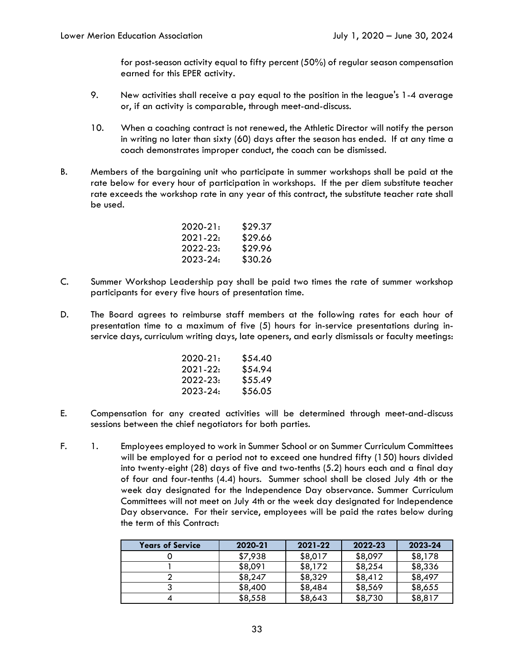for post-season activity equal to fifty percent (50%) of regular season compensation earned for this EPER activity.

- 9. New activities shall receive a pay equal to the position in the league's 1-4 average or, if an activity is comparable, through meet-and-discuss.
- 10. When a coaching contract is not renewed, the Athletic Director will notify the person in writing no later than sixty (60) days after the season has ended. If at any time a coach demonstrates improper conduct, the coach can be dismissed.
- B. Members of the bargaining unit who participate in summer workshops shall be paid at the rate below for every hour of participation in workshops. If the per diem substitute teacher rate exceeds the workshop rate in any year of this contract, the substitute teacher rate shall be used.

| 2020-21: | \$29.37 |
|----------|---------|
| 2021-22: | \$29.66 |
| 2022-23: | \$29.96 |
| 2023-24: | \$30.26 |

- C. Summer Workshop Leadership pay shall be paid two times the rate of summer workshop participants for every five hours of presentation time.
- D. The Board agrees to reimburse staff members at the following rates for each hour of presentation time to a maximum of five (5) hours for in-service presentations during inservice days, curriculum writing days, late openers, and early dismissals or faculty meetings:

| 2020-21: | \$54.40 |
|----------|---------|
| 2021-22: | \$54.94 |
| 2022-23: | \$55.49 |
| 2023-24: | \$56.05 |

- E. Compensation for any created activities will be determined through meet-and-discuss sessions between the chief negotiators for both parties.
- F. 1. Employees employed to work in Summer School or on Summer Curriculum Committees will be employed for a period not to exceed one hundred fifty (150) hours divided into twenty-eight (28) days of five and two-tenths (5.2) hours each and a final day of four and four-tenths (4.4) hours. Summer school shall be closed July 4th or the week day designated for the Independence Day observance. Summer Curriculum Committees will not meet on July 4th or the week day designated for Independence Day observance. For their service, employees will be paid the rates below during the term of this Contract:

| <b>Years of Service</b> | 2020-21 | 2021-22 | 2022-23 | 2023-24 |
|-------------------------|---------|---------|---------|---------|
|                         | \$7,938 | \$8,017 | \$8,097 | \$8,178 |
|                         | \$8,091 | \$8,172 | \$8,254 | \$8,336 |
|                         | \$8,247 | \$8,329 | \$8,412 | \$8,497 |
|                         | \$8,400 | \$8,484 | \$8,569 | \$8,655 |
|                         | \$8,558 | \$8,643 | \$8,730 | \$8,817 |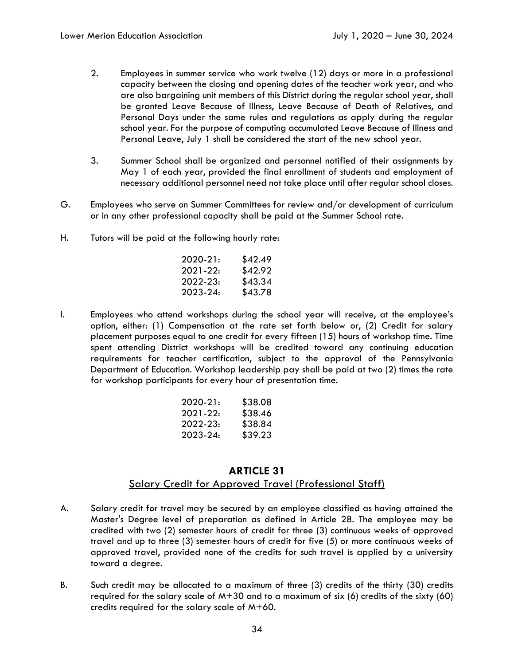- 2. Employees in summer service who work twelve (12) days or more in a professional capacity between the closing and opening dates of the teacher work year, and who are also bargaining unit members of this District during the regular school year, shall be granted Leave Because of Illness, Leave Because of Death of Relatives, and Personal Days under the same rules and regulations as apply during the regular school year. For the purpose of computing accumulated Leave Because of Illness and Personal Leave, July 1 shall be considered the start of the new school year.
- 3. Summer School shall be organized and personnel notified of their assignments by May 1 of each year, provided the final enrollment of students and employment of necessary additional personnel need not take place until after regular school closes.
- G. Employees who serve on Summer Committees for review and/or development of curriculum or in any other professional capacity shall be paid at the Summer School rate.
- H. Tutors will be paid at the following hourly rate:

| 2020-21: | \$42.49 |
|----------|---------|
| 2021-22: | \$42.92 |
| 2022-23: | \$43.34 |
| 2023-24: | \$43.78 |

I. Employees who attend workshops during the school year will receive, at the employee's option, either: (1) Compensation at the rate set forth below or, (2) Credit for salary placement purposes equal to one credit for every fifteen (15) hours of workshop time. Time spent attending District workshops will be credited toward any continuing education requirements for teacher certification, subject to the approval of the Pennsylvania Department of Education. Workshop leadership pay shall be paid at two (2) times the rate for workshop participants for every hour of presentation time.

| \$38.08 |
|---------|
| \$38.46 |
| \$38.84 |
| \$39.23 |
|         |

# **ARTICLE 31**  Salary Credit for Approved Travel (Professional Staff)

- A. Salary credit for travel may be secured by an employee classified as having attained the Master's Degree level of preparation as defined in Article 28. The employee may be credited with two (2) semester hours of credit for three (3) continuous weeks of approved travel and up to three (3) semester hours of credit for five (5) or more continuous weeks of approved travel, provided none of the credits for such travel is applied by a university toward a degree.
- B. Such credit may be allocated to a maximum of three (3) credits of the thirty (30) credits required for the salary scale of  $M+30$  and to a maximum of six (6) credits of the sixty (60) credits required for the salary scale of M+60.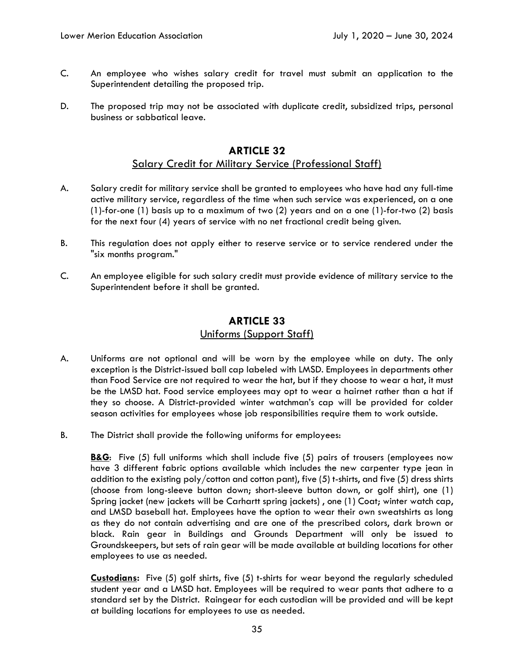- C. An employee who wishes salary credit for travel must submit an application to the Superintendent detailing the proposed trip.
- D. The proposed trip may not be associated with duplicate credit, subsidized trips, personal business or sabbatical leave.

### Salary Credit for Military Service (Professional Staff)

- A. Salary credit for military service shall be granted to employees who have had any full-time active military service, regardless of the time when such service was experienced, on a one (1)-for-one (1) basis up to a maximum of two (2) years and on a one (1)-for-two (2) basis for the next four (4) years of service with no net fractional credit being given.
- B. This regulation does not apply either to reserve service or to service rendered under the "six months program."
- C. An employee eligible for such salary credit must provide evidence of military service to the Superintendent before it shall be granted.

# **ARTICLE 33**

#### Uniforms (Support Staff)

- A. Uniforms are not optional and will be worn by the employee while on duty. The only exception is the District-issued ball cap labeled with LMSD. Employees in departments other than Food Service are not required to wear the hat, but if they choose to wear a hat, it must be the LMSD hat. Food service employees may opt to wear a hairnet rather than a hat if they so choose. A District-provided winter watchman's cap will be provided for colder season activities for employees whose job responsibilities require them to work outside.
- B. The District shall provide the following uniforms for employees:

**B&G**: Five (5) full uniforms which shall include five (5) pairs of trousers (employees now have 3 different fabric options available which includes the new carpenter type jean in addition to the existing poly/cotton and cotton pant), five  $(5)$  t-shirts, and five  $(5)$  dress shirts (choose from long-sleeve button down; short-sleeve button down, or golf shirt), one (1) Spring jacket (new jackets will be Carhartt spring jackets) , one (1) Coat; winter watch cap, and LMSD baseball hat. Employees have the option to wear their own sweatshirts as long as they do not contain advertising and are one of the prescribed colors, dark brown or black. Rain gear in Buildings and Grounds Department will only be issued to Groundskeepers, but sets of rain gear will be made available at building locations for other employees to use as needed.

**Custodians:** Five (5) golf shirts, five (5) t-shirts for wear beyond the regularly scheduled student year and a LMSD hat. Employees will be required to wear pants that adhere to a standard set by the District. Raingear for each custodian will be provided and will be kept at building locations for employees to use as needed.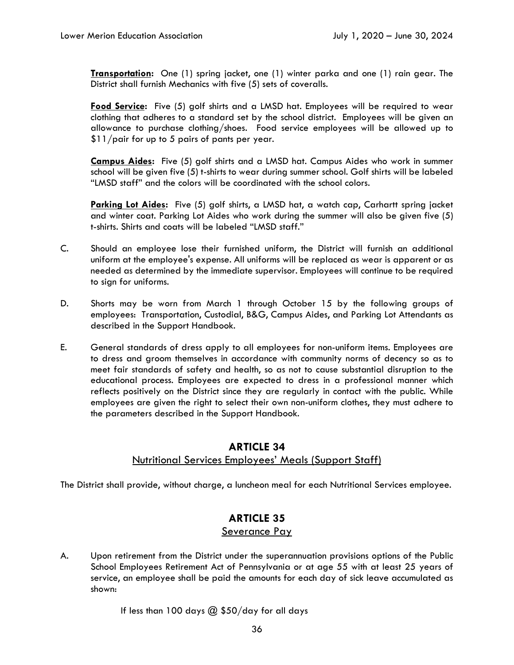**Transportation:** One (1) spring jacket, one (1) winter parka and one (1) rain gear. The District shall furnish Mechanics with five (5) sets of coveralls.

**Food Service:** Five (5) golf shirts and a LMSD hat. Employees will be required to wear clothing that adheres to a standard set by the school district. Employees will be given an allowance to purchase clothing/shoes. Food service employees will be allowed up to \$11/pair for up to 5 pairs of pants per year.

**Campus Aides:** Five (5) golf shirts and a LMSD hat. Campus Aides who work in summer school will be given five (5) t-shirts to wear during summer school. Golf shirts will be labeled "LMSD staff" and the colors will be coordinated with the school colors.

**Parking Lot Aides:** Five (5) golf shirts, a LMSD hat, a watch cap, Carhartt spring jacket and winter coat. Parking Lot Aides who work during the summer will also be given five (5) t-shirts. Shirts and coats will be labeled "LMSD staff."

- C. Should an employee lose their furnished uniform, the District will furnish an additional uniform at the employee's expense. All uniforms will be replaced as wear is apparent or as needed as determined by the immediate supervisor. Employees will continue to be required to sign for uniforms.
- D. Shorts may be worn from March 1 through October 15 by the following groups of employees: Transportation, Custodial, B&G, Campus Aides, and Parking Lot Attendants as described in the Support Handbook.
- E. General standards of dress apply to all employees for non-uniform items. Employees are to dress and groom themselves in accordance with community norms of decency so as to meet fair standards of safety and health, so as not to cause substantial disruption to the educational process. Employees are expected to dress in a professional manner which reflects positively on the District since they are regularly in contact with the public. While employees are given the right to select their own non-uniform clothes, they must adhere to the parameters described in the Support Handbook.

## **ARTICLE 34**  Nutritional Services Employees' Meals (Support Staff)

The District shall provide, without charge, a luncheon meal for each Nutritional Services employee.

# **ARTICLE 35**

## Severance Pay

A. Upon retirement from the District under the superannuation provisions options of the Public School Employees Retirement Act of Pennsylvania or at age 55 with at least 25 years of service, an employee shall be paid the amounts for each day of sick leave accumulated as shown:

If less than 100 days  $@$  \$50/day for all days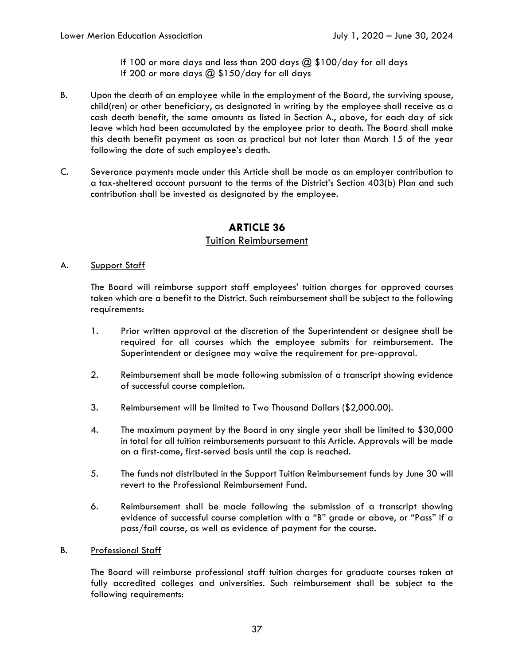If 100 or more days and less than 200 days  $@$  \$100/day for all days If 200 or more days  $@$  \$150/day for all days

- B. Upon the death of an employee while in the employment of the Board, the surviving spouse, child(ren) or other beneficiary, as designated in writing by the employee shall receive as a cash death benefit, the same amounts as listed in Section A., above, for each day of sick leave which had been accumulated by the employee prior to death. The Board shall make this death benefit payment as soon as practical but not later than March 15 of the year following the date of such employee's death.
- C. Severance payments made under this Article shall be made as an employer contribution to a tax-sheltered account pursuant to the terms of the District's Section 403(b) Plan and such contribution shall be invested as designated by the employee.

## **ARTICLE 36**

### Tuition Reimbursement

#### A. Support Staff

The Board will reimburse support staff employees' tuition charges for approved courses taken which are a benefit to the District. Such reimbursement shall be subject to the following requirements:

- 1. Prior written approval at the discretion of the Superintendent or designee shall be required for all courses which the employee submits for reimbursement. The Superintendent or designee may waive the requirement for pre-approval.
- 2. Reimbursement shall be made following submission of a transcript showing evidence of successful course completion.
- 3. Reimbursement will be limited to Two Thousand Dollars (\$2,000.00).
- 4. The maximum payment by the Board in any single year shall be limited to \$30,000 in total for all tuition reimbursements pursuant to this Article. Approvals will be made on a first-come, first-served basis until the cap is reached.
- 5. The funds not distributed in the Support Tuition Reimbursement funds by June 30 will revert to the Professional Reimbursement Fund.
- 6. Reimbursement shall be made following the submission of a transcript showing evidence of successful course completion with a "B" grade or above, or "Pass" if a pass/fail course, as well as evidence of payment for the course.

#### B. Professional Staff

The Board will reimburse professional staff tuition charges for graduate courses taken at fully accredited colleges and universities. Such reimbursement shall be subject to the following requirements: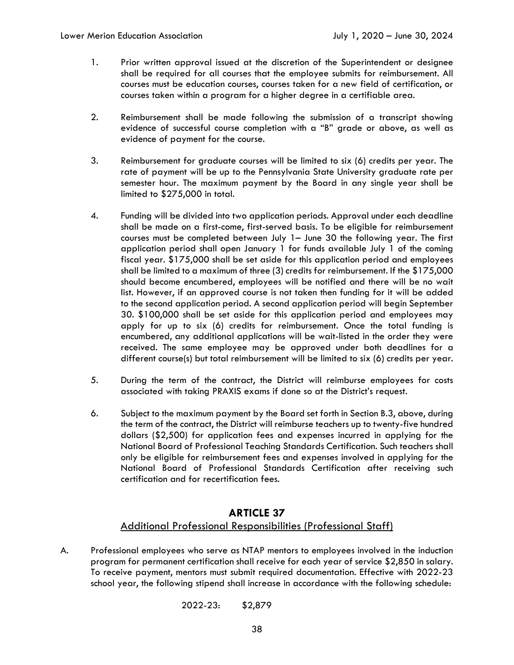- 1. Prior written approval issued at the discretion of the Superintendent or designee shall be required for all courses that the employee submits for reimbursement. All courses must be education courses, courses taken for a new field of certification, or courses taken within a program for a higher degree in a certifiable area.
- 2. Reimbursement shall be made following the submission of a transcript showing evidence of successful course completion with a "B" grade or above, as well as evidence of payment for the course.
- 3. Reimbursement for graduate courses will be limited to six (6) credits per year. The rate of payment will be up to the Pennsylvania State University graduate rate per semester hour. The maximum payment by the Board in any single year shall be limited to \$275,000 in total.
- 4. Funding will be divided into two application periods. Approval under each deadline shall be made on a first-come, first-served basis. To be eligible for reimbursement courses must be completed between July 1– June 30 the following year. The first application period shall open January 1 for funds available July 1 of the coming fiscal year. \$175,000 shall be set aside for this application period and employees shall be limited to a maximum of three (3) credits for reimbursement. If the \$175,000 should become encumbered, employees will be notified and there will be no wait list. However, if an approved course is not taken then funding for it will be added to the second application period. A second application period will begin September 30. \$100,000 shall be set aside for this application period and employees may apply for up to six (6) credits for reimbursement. Once the total funding is encumbered, any additional applications will be wait-listed in the order they were received. The same employee may be approved under both deadlines for a different course(s) but total reimbursement will be limited to six (6) credits per year.
- 5. During the term of the contract, the District will reimburse employees for costs associated with taking PRAXIS exams if done so at the District's request.
- 6. Subject to the maximum payment by the Board set forth in Section B.3, above, during the term of the contract, the District will reimburse teachers up to twenty-five hundred dollars (\$2,500) for application fees and expenses incurred in applying for the National Board of Professional Teaching Standards Certification. Such teachers shall only be eligible for reimbursement fees and expenses involved in applying for the National Board of Professional Standards Certification after receiving such certification and for recertification fees.

## **ARTICLE 37**  Additional Professional Responsibilities (Professional Staff)

A. Professional employees who serve as NTAP mentors to employees involved in the induction program for permanent certification shall receive for each year of service \$2,850 in salary. To receive payment, mentors must submit required documentation. Effective with 2022-23 school year, the following stipend shall increase in accordance with the following schedule:

2022-23: \$2,879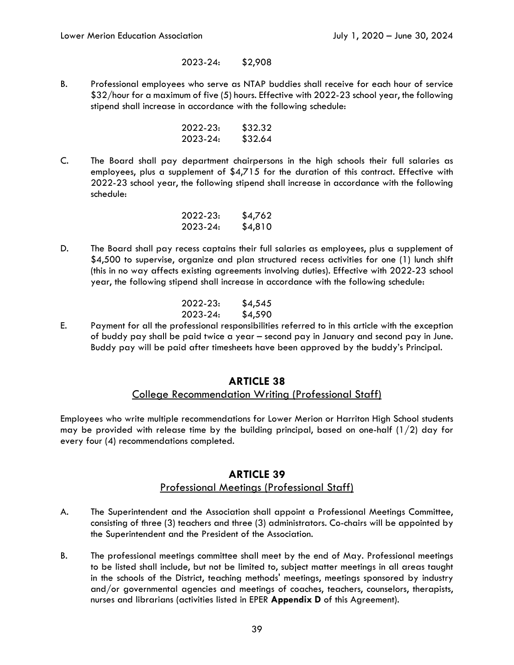#### 2023-24: \$2,908

B. Professional employees who serve as NTAP buddies shall receive for each hour of service \$32/hour for a maximum of five (5) hours. Effective with 2022-23 school year, the following stipend shall increase in accordance with the following schedule:

| 2022-23: | \$32.32 |
|----------|---------|
| 2023-24: | \$32.64 |

C. The Board shall pay department chairpersons in the high schools their full salaries as employees, plus a supplement of \$4,715 for the duration of this contract. Effective with 2022-23 school year, the following stipend shall increase in accordance with the following schedule:

| 2022-23: | \$4,762 |
|----------|---------|
| 2023-24: | \$4,810 |

D. The Board shall pay recess captains their full salaries as employees, plus a supplement of \$4,500 to supervise, organize and plan structured recess activities for one (1) lunch shift (this in no way affects existing agreements involving duties). Effective with 2022-23 school year, the following stipend shall increase in accordance with the following schedule:

| 2022-23: | \$4,545 |
|----------|---------|
| 2023-24: | \$4,590 |

E. Payment for all the professional responsibilities referred to in this article with the exception of buddy pay shall be paid twice a year – second pay in January and second pay in June. Buddy pay will be paid after timesheets have been approved by the buddy's Principal.

### **ARTICLE 38**

## College Recommendation Writing (Professional Staff)

Employees who write multiple recommendations for Lower Merion or Harriton High School students may be provided with release time by the building principal, based on one-half  $(1/2)$  day for every four (4) recommendations completed.

## **ARTICLE 39**  Professional Meetings (Professional Staff)

- A. The Superintendent and the Association shall appoint a Professional Meetings Committee, consisting of three (3) teachers and three (3) administrators. Co-chairs will be appointed by the Superintendent and the President of the Association.
- B. The professional meetings committee shall meet by the end of May. Professional meetings to be listed shall include, but not be limited to, subject matter meetings in all areas taught in the schools of the District, teaching methods' meetings, meetings sponsored by industry and/or governmental agencies and meetings of coaches, teachers, counselors, therapists, nurses and librarians (activities listed in EPER **Appendix D** of this Agreement).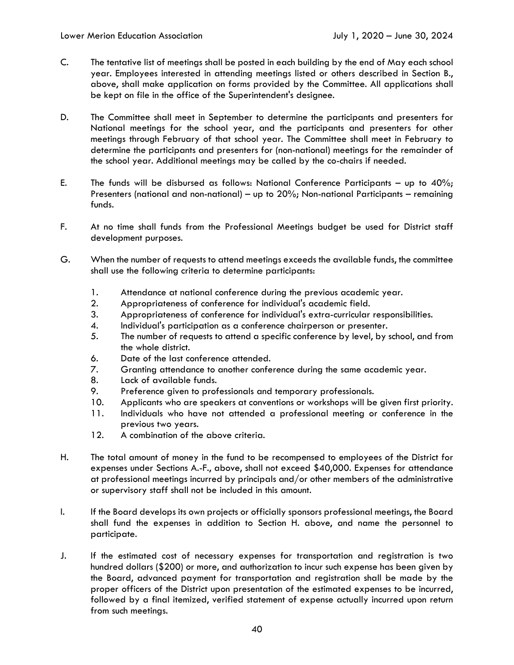- C. The tentative list of meetings shall be posted in each building by the end of May each school year. Employees interested in attending meetings listed or others described in Section B., above, shall make application on forms provided by the Committee. All applications shall be kept on file in the office of the Superintendent's designee.
- D. The Committee shall meet in September to determine the participants and presenters for National meetings for the school year, and the participants and presenters for other meetings through February of that school year. The Committee shall meet in February to determine the participants and presenters for (non-national) meetings for the remainder of the school year. Additional meetings may be called by the co-chairs if needed.
- E. The funds will be disbursed as follows: National Conference Participants up to  $40\%$ ; Presenters (national and non-national) – up to 20%; Non-national Participants – remaining funds.
- F. At no time shall funds from the Professional Meetings budget be used for District staff development purposes.
- G. When the number of requests to attend meetings exceeds the available funds, the committee shall use the following criteria to determine participants:
	- 1. Attendance at national conference during the previous academic year.
	- 2. Appropriateness of conference for individual's academic field.
	- 3. Appropriateness of conference for individual's extra-curricular responsibilities.
	- 4. Individual's participation as a conference chairperson or presenter.
	- 5. The number of requests to attend a specific conference by level, by school, and from the whole district.
	- 6. Date of the last conference attended.
	- 7. Granting attendance to another conference during the same academic year.
	- 8. Lack of available funds.
	- 9. Preference given to professionals and temporary professionals.
	- 10. Applicants who are speakers at conventions or workshops will be given first priority.
	- 11. Individuals who have not attended a professional meeting or conference in the previous two years.
	- 12. A combination of the above criteria.
- H. The total amount of money in the fund to be recompensed to employees of the District for expenses under Sections A.-F., above, shall not exceed \$40,000. Expenses for attendance at professional meetings incurred by principals and/or other members of the administrative or supervisory staff shall not be included in this amount.
- I. If the Board develops its own projects or officially sponsors professional meetings, the Board shall fund the expenses in addition to Section H. above, and name the personnel to participate.
- J. If the estimated cost of necessary expenses for transportation and registration is two hundred dollars (\$200) or more, and authorization to incur such expense has been given by the Board, advanced payment for transportation and registration shall be made by the proper officers of the District upon presentation of the estimated expenses to be incurred, followed by a final itemized, verified statement of expense actually incurred upon return from such meetings.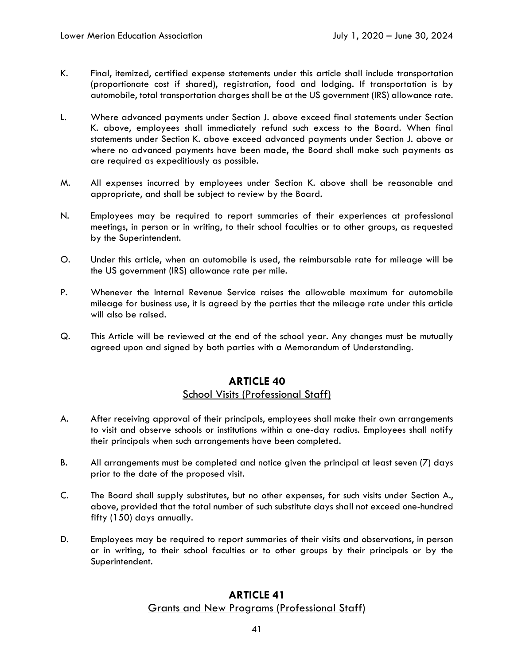- K. Final, itemized, certified expense statements under this article shall include transportation (proportionate cost if shared), registration, food and lodging. If transportation is by automobile, total transportation charges shall be at the US government (IRS) allowance rate.
- L. Where advanced payments under Section J. above exceed final statements under Section K. above, employees shall immediately refund such excess to the Board. When final statements under Section K. above exceed advanced payments under Section J. above or where no advanced payments have been made, the Board shall make such payments as are required as expeditiously as possible.
- M. All expenses incurred by employees under Section K. above shall be reasonable and appropriate, and shall be subject to review by the Board.
- N. Employees may be required to report summaries of their experiences at professional meetings, in person or in writing, to their school faculties or to other groups, as requested by the Superintendent.
- O. Under this article, when an automobile is used, the reimbursable rate for mileage will be the US government (IRS) allowance rate per mile.
- P. Whenever the Internal Revenue Service raises the allowable maximum for automobile mileage for business use, it is agreed by the parties that the mileage rate under this article will also be raised.
- Q. This Article will be reviewed at the end of the school year. Any changes must be mutually agreed upon and signed by both parties with a Memorandum of Understanding.

## **ARTICLE 40**  School Visits (Professional Staff)

- A. After receiving approval of their principals, employees shall make their own arrangements to visit and observe schools or institutions within a one-day radius. Employees shall notify their principals when such arrangements have been completed.
- B. All arrangements must be completed and notice given the principal at least seven (7) days prior to the date of the proposed visit.
- C. The Board shall supply substitutes, but no other expenses, for such visits under Section A., above, provided that the total number of such substitute days shall not exceed one-hundred fifty (150) days annually.
- D. Employees may be required to report summaries of their visits and observations, in person or in writing, to their school faculties or to other groups by their principals or by the Superintendent.

### **ARTICLE 41**  Grants and New Programs (Professional Staff)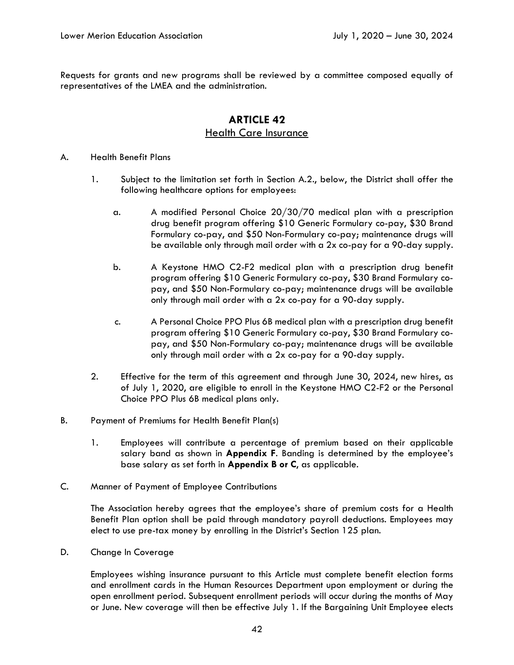Requests for grants and new programs shall be reviewed by a committee composed equally of representatives of the LMEA and the administration.

## **ARTICLE 42**  Health Care Insurance

#### A. Health Benefit Plans

- 1. Subject to the limitation set forth in Section A.2., below, the District shall offer the following healthcare options for employees:
	- a. A modified Personal Choice 20/30/70 medical plan with a prescription drug benefit program offering \$10 Generic Formulary co-pay, \$30 Brand Formulary co-pay, and \$50 Non-Formulary co-pay; maintenance drugs will be available only through mail order with a 2x co-pay for a 90-day supply.
	- b. A Keystone HMO C2-F2 medical plan with a prescription drug benefit program offering \$10 Generic Formulary co-pay, \$30 Brand Formulary copay, and \$50 Non-Formulary co-pay; maintenance drugs will be available only through mail order with a 2x co-pay for a 90-day supply.
	- c. A Personal Choice PPO Plus 6B medical plan with a prescription drug benefit program offering \$10 Generic Formulary co-pay, \$30 Brand Formulary copay, and \$50 Non-Formulary co-pay; maintenance drugs will be available only through mail order with a 2x co-pay for a 90-day supply.
- 2. Effective for the term of this agreement and through June 30, 2024, new hires, as of July 1, 2020, are eligible to enroll in the Keystone HMO C2-F2 or the Personal Choice PPO Plus 6B medical plans only.
- B. Payment of Premiums for Health Benefit Plan(s)
	- 1. Employees will contribute a percentage of premium based on their applicable salary band as shown in **Appendix F**. Banding is determined by the employee's base salary as set forth in **Appendix B or C**, as applicable.
- C. Manner of Payment of Employee Contributions

The Association hereby agrees that the employee's share of premium costs for a Health Benefit Plan option shall be paid through mandatory payroll deductions. Employees may elect to use pre-tax money by enrolling in the District's Section 125 plan.

D. Change In Coverage

Employees wishing insurance pursuant to this Article must complete benefit election forms and enrollment cards in the Human Resources Department upon employment or during the open enrollment period. Subsequent enrollment periods will occur during the months of May or June. New coverage will then be effective July 1. If the Bargaining Unit Employee elects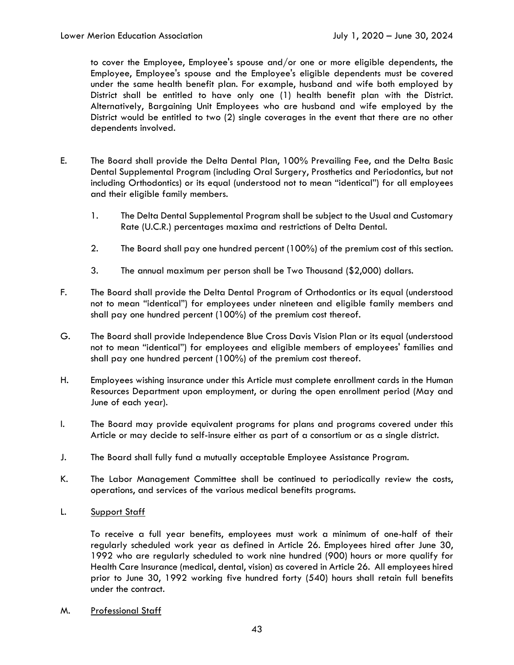to cover the Employee, Employee's spouse and/or one or more eligible dependents, the Employee, Employee's spouse and the Employee's eligible dependents must be covered under the same health benefit plan. For example, husband and wife both employed by District shall be entitled to have only one (1) health benefit plan with the District. Alternatively, Bargaining Unit Employees who are husband and wife employed by the District would be entitled to two (2) single coverages in the event that there are no other dependents involved.

- E. The Board shall provide the Delta Dental Plan, 100% Prevailing Fee, and the Delta Basic Dental Supplemental Program (including Oral Surgery, Prosthetics and Periodontics, but not including Orthodontics) or its equal (understood not to mean "identical") for all employees and their eligible family members.
	- 1. The Delta Dental Supplemental Program shall be subject to the Usual and Customary Rate (U.C.R.) percentages maxima and restrictions of Delta Dental.
	- 2. The Board shall pay one hundred percent (100%) of the premium cost of this section.
	- 3. The annual maximum per person shall be Two Thousand (\$2,000) dollars.
- F. The Board shall provide the Delta Dental Program of Orthodontics or its equal (understood not to mean "identical") for employees under nineteen and eligible family members and shall pay one hundred percent (100%) of the premium cost thereof.
- G. The Board shall provide Independence Blue Cross Davis Vision Plan or its equal (understood not to mean "identical") for employees and eligible members of employees' families and shall pay one hundred percent (100%) of the premium cost thereof.
- H. Employees wishing insurance under this Article must complete enrollment cards in the Human Resources Department upon employment, or during the open enrollment period (May and June of each year).
- I. The Board may provide equivalent programs for plans and programs covered under this Article or may decide to self-insure either as part of a consortium or as a single district.
- J. The Board shall fully fund a mutually acceptable Employee Assistance Program.
- K. The Labor Management Committee shall be continued to periodically review the costs, operations, and services of the various medical benefits programs.
- L. Support Staff

To receive a full year benefits, employees must work a minimum of one-half of their regularly scheduled work year as defined in Article 26. Employees hired after June 30, 1992 who are regularly scheduled to work nine hundred (900) hours or more qualify for Health Care Insurance (medical, dental, vision) as covered in Article 26. All employees hired prior to June 30, 1992 working five hundred forty (540) hours shall retain full benefits under the contract.

M. Professional Staff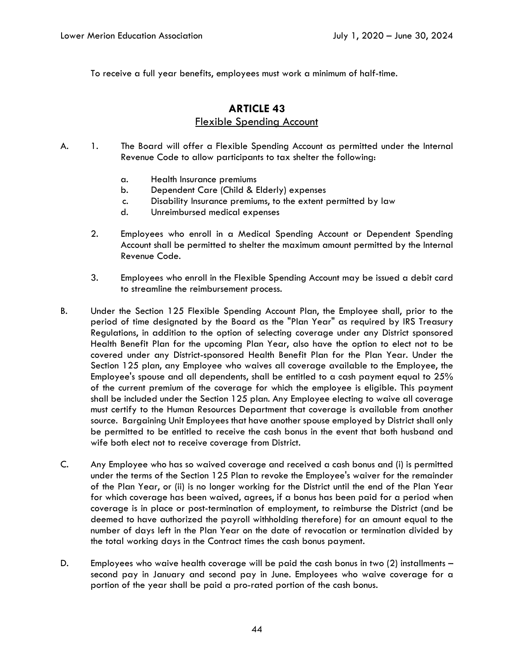To receive a full year benefits, employees must work a minimum of half-time.

## **ARTICLE 43**  Flexible Spending Account

- A. 1. The Board will offer a Flexible Spending Account as permitted under the Internal Revenue Code to allow participants to tax shelter the following:
	- a. Health Insurance premiums
	- b. Dependent Care (Child & Elderly) expenses
	- c. Disability Insurance premiums, to the extent permitted by law
	- d. Unreimbursed medical expenses
	- 2. Employees who enroll in a Medical Spending Account or Dependent Spending Account shall be permitted to shelter the maximum amount permitted by the Internal Revenue Code.
	- 3. Employees who enroll in the Flexible Spending Account may be issued a debit card to streamline the reimbursement process.
- B. Under the Section 125 Flexible Spending Account Plan, the Employee shall, prior to the period of time designated by the Board as the "Plan Year" as required by IRS Treasury Regulations, in addition to the option of selecting coverage under any District sponsored Health Benefit Plan for the upcoming Plan Year, also have the option to elect not to be covered under any District-sponsored Health Benefit Plan for the Plan Year. Under the Section 125 plan, any Employee who waives all coverage available to the Employee, the Employee's spouse and all dependents, shall be entitled to a cash payment equal to 25% of the current premium of the coverage for which the employee is eligible. This payment shall be included under the Section 125 plan. Any Employee electing to waive all coverage must certify to the Human Resources Department that coverage is available from another source. Bargaining Unit Employees that have another spouse employed by District shall only be permitted to be entitled to receive the cash bonus in the event that both husband and wife both elect not to receive coverage from District.
- C. Any Employee who has so waived coverage and received a cash bonus and (i) is permitted under the terms of the Section 125 Plan to revoke the Employee's waiver for the remainder of the Plan Year, or (ii) is no longer working for the District until the end of the Plan Year for which coverage has been waived, agrees, if a bonus has been paid for a period when coverage is in place or post-termination of employment, to reimburse the District (and be deemed to have authorized the payroll withholding therefore) for an amount equal to the number of days left in the Plan Year on the date of revocation or termination divided by the total working days in the Contract times the cash bonus payment.
- D. Employees who waive health coverage will be paid the cash bonus in two (2) installments second pay in January and second pay in June. Employees who waive coverage for a portion of the year shall be paid a pro-rated portion of the cash bonus.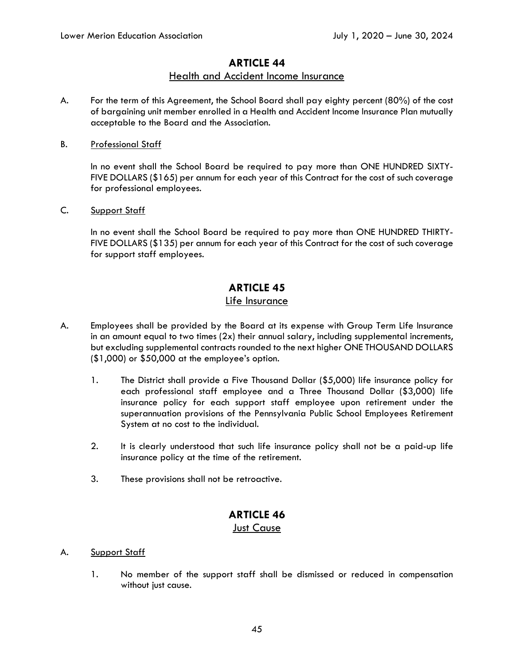### **ARTICLE 44**

## Health and Accident Income Insurance

- A. For the term of this Agreement, the School Board shall pay eighty percent (80%) of the cost of bargaining unit member enrolled in a Health and Accident Income Insurance Plan mutually acceptable to the Board and the Association.
- B. Professional Staff

In no event shall the School Board be required to pay more than ONE HUNDRED SIXTY-FIVE DOLLARS (\$165) per annum for each year of this Contract for the cost of such coverage for professional employees.

### C. Support Staff

In no event shall the School Board be required to pay more than ONE HUNDRED THIRTY-FIVE DOLLARS (\$135) per annum for each year of this Contract for the cost of such coverage for support staff employees.

# **ARTICLE 45**

### Life Insurance

- A. Employees shall be provided by the Board at its expense with Group Term Life Insurance in an amount equal to two times  $(2x)$  their annual salary, including supplemental increments, but excluding supplemental contracts rounded to the next higher ONE THOUSAND DOLLARS (\$1,000) or \$50,000 at the employee's option.
	- 1. The District shall provide a Five Thousand Dollar (\$5,000) life insurance policy for each professional staff employee and a Three Thousand Dollar (\$3,000) life insurance policy for each support staff employee upon retirement under the superannuation provisions of the Pennsylvania Public School Employees Retirement System at no cost to the individual.
	- 2. It is clearly understood that such life insurance policy shall not be a paid-up life insurance policy at the time of the retirement.
	- 3. These provisions shall not be retroactive.

# **ARTICLE 46**

## Just Cause

### A. Support Staff

1. No member of the support staff shall be dismissed or reduced in compensation without just cause.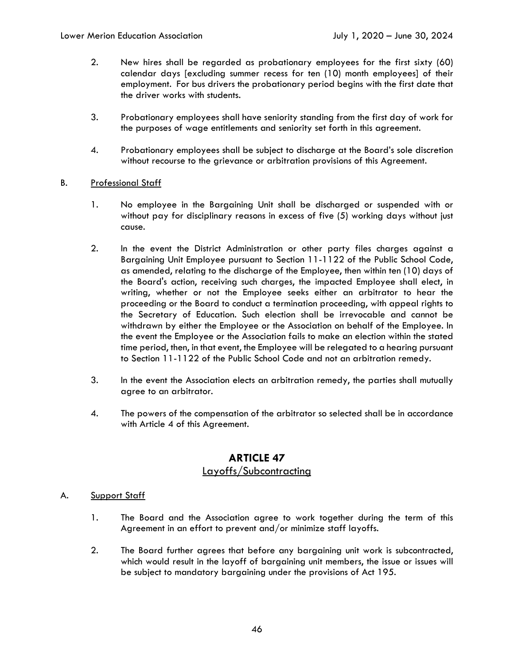- 2. New hires shall be regarded as probationary employees for the first sixty (60) calendar days [excluding summer recess for ten (10) month employees] of their employment. For bus drivers the probationary period begins with the first date that the driver works with students.
- 3. Probationary employees shall have seniority standing from the first day of work for the purposes of wage entitlements and seniority set forth in this agreement.
- 4. Probationary employees shall be subject to discharge at the Board's sole discretion without recourse to the grievance or arbitration provisions of this Agreement.

#### B. Professional Staff

- 1. No employee in the Bargaining Unit shall be discharged or suspended with or without pay for disciplinary reasons in excess of five (5) working days without just cause.
- 2. In the event the District Administration or other party files charges against a Bargaining Unit Employee pursuant to Section 11-1122 of the Public School Code, as amended, relating to the discharge of the Employee, then within ten (10) days of the Board's action, receiving such charges, the impacted Employee shall elect, in writing, whether or not the Employee seeks either an arbitrator to hear the proceeding or the Board to conduct a termination proceeding, with appeal rights to the Secretary of Education. Such election shall be irrevocable and cannot be withdrawn by either the Employee or the Association on behalf of the Employee. In the event the Employee or the Association fails to make an election within the stated time period, then, in that event, the Employee will be relegated to a hearing pursuant to Section 11-1122 of the Public School Code and not an arbitration remedy.
- 3. In the event the Association elects an arbitration remedy, the parties shall mutually agree to an arbitrator.
- 4. The powers of the compensation of the arbitrator so selected shall be in accordance with Article 4 of this Agreement.

## **ARTICLE 47**  Layoffs/Subcontracting

#### A. Support Staff

- 1. The Board and the Association agree to work together during the term of this Agreement in an effort to prevent and/or minimize staff layoffs.
- 2. The Board further agrees that before any bargaining unit work is subcontracted, which would result in the layoff of bargaining unit members, the issue or issues will be subject to mandatory bargaining under the provisions of Act 195.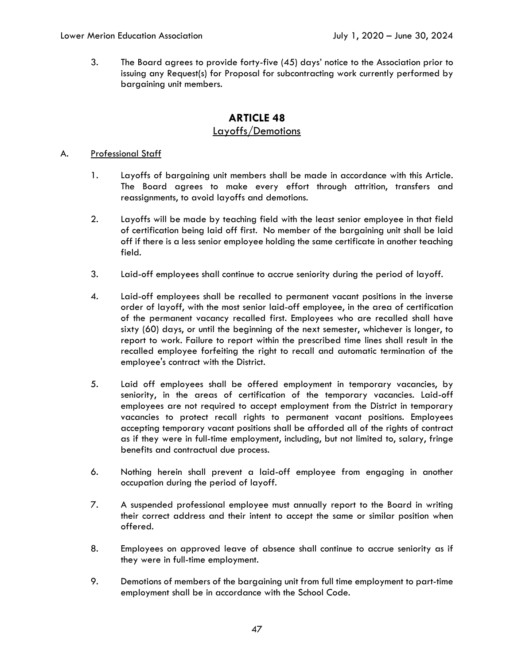3. The Board agrees to provide forty-five (45) days' notice to the Association prior to issuing any Request(s) for Proposal for subcontracting work currently performed by bargaining unit members.

# **ARTICLE 48**  Layoffs/Demotions

#### A. Professional Staff

- 1. Layoffs of bargaining unit members shall be made in accordance with this Article. The Board agrees to make every effort through attrition, transfers and reassignments, to avoid layoffs and demotions.
- 2. Layoffs will be made by teaching field with the least senior employee in that field of certification being laid off first. No member of the bargaining unit shall be laid off if there is a less senior employee holding the same certificate in another teaching field.
- 3. Laid-off employees shall continue to accrue seniority during the period of layoff.
- 4. Laid-off employees shall be recalled to permanent vacant positions in the inverse order of layoff, with the most senior laid-off employee, in the area of certification of the permanent vacancy recalled first. Employees who are recalled shall have sixty (60) days, or until the beginning of the next semester, whichever is longer, to report to work. Failure to report within the prescribed time lines shall result in the recalled employee forfeiting the right to recall and automatic termination of the employee's contract with the District.
- 5. Laid off employees shall be offered employment in temporary vacancies, by seniority, in the areas of certification of the temporary vacancies. Laid-off employees are not required to accept employment from the District in temporary vacancies to protect recall rights to permanent vacant positions. Employees accepting temporary vacant positions shall be afforded all of the rights of contract as if they were in full-time employment, including, but not limited to, salary, fringe benefits and contractual due process.
- 6. Nothing herein shall prevent a laid-off employee from engaging in another occupation during the period of layoff.
- 7. A suspended professional employee must annually report to the Board in writing their correct address and their intent to accept the same or similar position when offered.
- 8. Employees on approved leave of absence shall continue to accrue seniority as if they were in full-time employment.
- 9. Demotions of members of the bargaining unit from full time employment to part-time employment shall be in accordance with the School Code.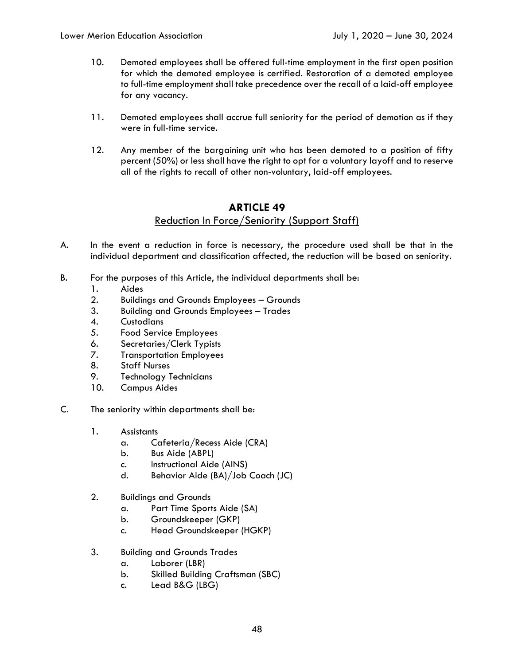- 10. Demoted employees shall be offered full-time employment in the first open position for which the demoted employee is certified. Restoration of a demoted employee to full-time employment shall take precedence over the recall of a laid-off employee for any vacancy.
- 11. Demoted employees shall accrue full seniority for the period of demotion as if they were in full-time service.
- 12. Any member of the bargaining unit who has been demoted to a position of fifty percent (50%) or less shall have the right to opt for a voluntary layoff and to reserve all of the rights to recall of other non-voluntary, laid-off employees.

## **ARTICLE 49**  Reduction In Force/Seniority (Support Staff)

- A. In the event a reduction in force is necessary, the procedure used shall be that in the individual department and classification affected, the reduction will be based on seniority.
- B. For the purposes of this Article, the individual departments shall be:
	- 1. Aides
	- 2. Buildings and Grounds Employees Grounds
	- 3. Building and Grounds Employees Trades
	- 4. Custodians
	- 5. Food Service Employees
	- 6. Secretaries/Clerk Typists
	- 7. Transportation Employees
	- 8. Staff Nurses
	- 9. Technology Technicians
	- 10. Campus Aides
- C. The seniority within departments shall be:
	- 1. Assistants
		- a. Cafeteria/Recess Aide (CRA)
		- b. Bus Aide (ABPL)
		- c. Instructional Aide (AINS)
		- d. Behavior Aide (BA)/Job Coach (JC)
	- 2. Buildings and Grounds
		- a. Part Time Sports Aide (SA)
		- b. Groundskeeper (GKP)
		- c. Head Groundskeeper (HGKP)
	- 3. Building and Grounds Trades
		- a. Laborer (LBR)
		- b. Skilled Building Craftsman (SBC)
		- c. Lead B&G (LBG)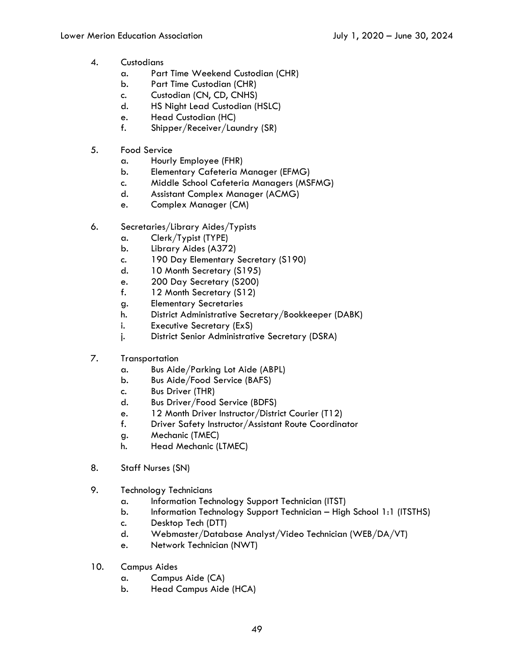- 4. Custodians
	- a. Part Time Weekend Custodian (CHR)
	- b. Part Time Custodian (CHR)
	- c. Custodian (CN, CD, CNHS)
	- d. HS Night Lead Custodian (HSLC)
	- e. Head Custodian (HC)
	- f. Shipper/Receiver/Laundry (SR)
- 5. Food Service
	- a. Hourly Employee (FHR)
	- b. Elementary Cafeteria Manager (EFMG)
	- c. Middle School Cafeteria Managers (MSFMG)
	- d. Assistant Complex Manager (ACMG)
	- e. Complex Manager (CM)
- 6. Secretaries/Library Aides/Typists
	- a. Clerk/Typist (TYPE)
	- b. Library Aides (A372)
	- c. 190 Day Elementary Secretary (S190)
	- d. 10 Month Secretary (S195)
	- e. 200 Day Secretary (S200)
	- f. 12 Month Secretary (S12)
	- g. Elementary Secretaries
	- h. District Administrative Secretary/Bookkeeper (DABK)
	- i. Executive Secretary (ExS)
	- j. District Senior Administrative Secretary (DSRA)
- 7. Transportation
	- a. Bus Aide/Parking Lot Aide (ABPL)
	- b. Bus Aide/Food Service (BAFS)
	- c. Bus Driver (THR)
	- d. Bus Driver/Food Service (BDFS)
	- e. 12 Month Driver Instructor/District Courier (T12)
	- f. Driver Safety Instructor/Assistant Route Coordinator
	- g. Mechanic (TMEC)
	- h. Head Mechanic (LTMEC)
- 8. Staff Nurses (SN)
- 9. Technology Technicians
	- a. Information Technology Support Technician (ITST)
	- b. Information Technology Support Technician High School 1:1 (ITSTHS)
	- c. Desktop Tech (DTT)
	- d. Webmaster/Database Analyst/Video Technician (WEB/DA/VT)
	- e. Network Technician (NWT)
- 10. Campus Aides
	- a. Campus Aide (CA)
	- b. Head Campus Aide (HCA)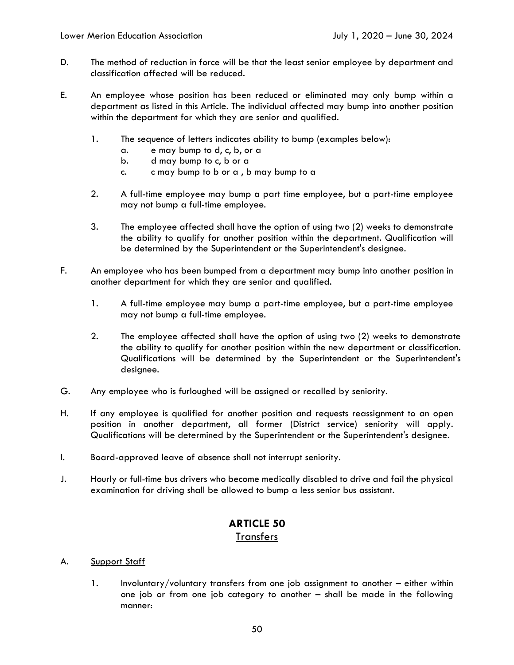- D. The method of reduction in force will be that the least senior employee by department and classification affected will be reduced.
- E. An employee whose position has been reduced or eliminated may only bump within a department as listed in this Article. The individual affected may bump into another position within the department for which they are senior and qualified.
	- 1. The sequence of letters indicates ability to bump (examples below):
		- a. e may bump to d, c, b, or a
		- b. d may bump to c, b or a
		- c. c may bump to b or a , b may bump to a
	- 2. A full-time employee may bump a part time employee, but a part-time employee may not bump a full-time employee.
	- 3. The employee affected shall have the option of using two (2) weeks to demonstrate the ability to qualify for another position within the department. Qualification will be determined by the Superintendent or the Superintendent's designee.
- F. An employee who has been bumped from a department may bump into another position in another department for which they are senior and qualified.
	- 1. A full-time employee may bump a part-time employee, but a part-time employee may not bump a full-time employee.
	- 2. The employee affected shall have the option of using two (2) weeks to demonstrate the ability to qualify for another position within the new department or classification. Qualifications will be determined by the Superintendent or the Superintendent's designee.
- G. Any employee who is furloughed will be assigned or recalled by seniority.
- H. If any employee is qualified for another position and requests reassignment to an open position in another department, all former (District service) seniority will apply. Qualifications will be determined by the Superintendent or the Superintendent's designee.
- I. Board-approved leave of absence shall not interrupt seniority.
- J. Hourly or full-time bus drivers who become medically disabled to drive and fail the physical examination for driving shall be allowed to bump a less senior bus assistant.

## **ARTICLE 50 Transfers**

#### A. Support Staff

1. Involuntary/voluntary transfers from one job assignment to another – either within one job or from one job category to another – shall be made in the following manner: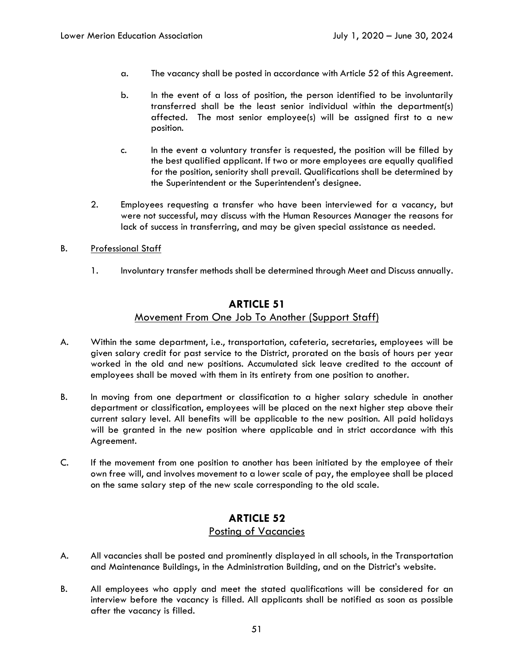- a. The vacancy shall be posted in accordance with Article 52 of this Agreement.
- b. In the event of a loss of position, the person identified to be involuntarily transferred shall be the least senior individual within the department(s) affected. The most senior employee(s) will be assigned first to a new position.
- c. In the event a voluntary transfer is requested, the position will be filled by the best qualified applicant. If two or more employees are equally qualified for the position, seniority shall prevail. Qualifications shall be determined by the Superintendent or the Superintendent's designee.
- 2. Employees requesting a transfer who have been interviewed for a vacancy, but were not successful, may discuss with the Human Resources Manager the reasons for lack of success in transferring, and may be given special assistance as needed.
- B. Professional Staff
	- 1. Involuntary transfer methods shall be determined through Meet and Discuss annually.

### **ARTICLE 51**

### Movement From One Job To Another (Support Staff)

- A. Within the same department, i.e., transportation, cafeteria, secretaries, employees will be given salary credit for past service to the District, prorated on the basis of hours per year worked in the old and new positions. Accumulated sick leave credited to the account of employees shall be moved with them in its entirety from one position to another.
- B. In moving from one department or classification to a higher salary schedule in another department or classification, employees will be placed on the next higher step above their current salary level. All benefits will be applicable to the new position. All paid holidays will be granted in the new position where applicable and in strict accordance with this Agreement.
- C. If the movement from one position to another has been initiated by the employee of their own free will, and involves movement to a lower scale of pay, the employee shall be placed on the same salary step of the new scale corresponding to the old scale.

## **ARTICLE 52**  Posting of Vacancies

- A. All vacancies shall be posted and prominently displayed in all schools, in the Transportation and Maintenance Buildings, in the Administration Building, and on the District's website.
- B. All employees who apply and meet the stated qualifications will be considered for an interview before the vacancy is filled. All applicants shall be notified as soon as possible after the vacancy is filled.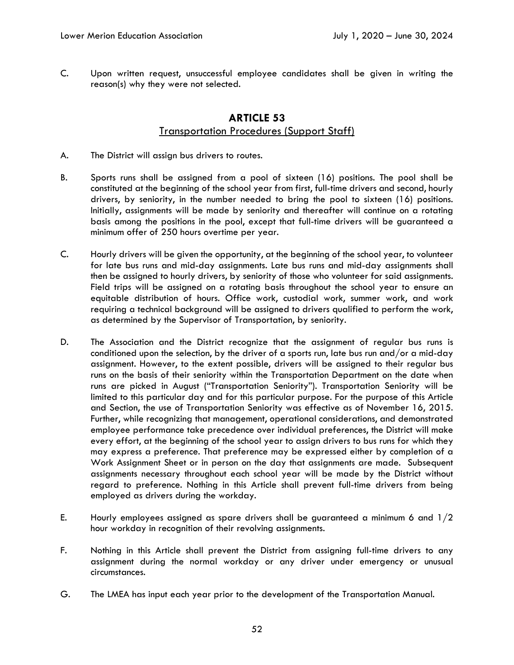C. Upon written request, unsuccessful employee candidates shall be given in writing the reason(s) why they were not selected.

## **ARTICLE 53**  Transportation Procedures (Support Staff)

- A. The District will assign bus drivers to routes.
- B. Sports runs shall be assigned from a pool of sixteen (16) positions. The pool shall be constituted at the beginning of the school year from first, full-time drivers and second, hourly drivers, by seniority, in the number needed to bring the pool to sixteen (16) positions. Initially, assignments will be made by seniority and thereafter will continue on a rotating basis among the positions in the pool, except that full-time drivers will be guaranteed a minimum offer of 250 hours overtime per year.
- C. Hourly drivers will be given the opportunity, at the beginning of the school year, to volunteer for late bus runs and mid-day assignments. Late bus runs and mid-day assignments shall then be assigned to hourly drivers, by seniority of those who volunteer for said assignments. Field trips will be assigned on a rotating basis throughout the school year to ensure an equitable distribution of hours. Office work, custodial work, summer work, and work requiring a technical background will be assigned to drivers qualified to perform the work, as determined by the Supervisor of Transportation, by seniority.
- D. The Association and the District recognize that the assignment of regular bus runs is conditioned upon the selection, by the driver of a sports run, late bus run and/or a mid-day assignment. However, to the extent possible, drivers will be assigned to their regular bus runs on the basis of their seniority within the Transportation Department on the date when runs are picked in August ("Transportation Seniority"). Transportation Seniority will be limited to this particular day and for this particular purpose. For the purpose of this Article and Section, the use of Transportation Seniority was effective as of November 16, 2015. Further, while recognizing that management, operational considerations, and demonstrated employee performance take precedence over individual preferences, the District will make every effort, at the beginning of the school year to assign drivers to bus runs for which they may express a preference. That preference may be expressed either by completion of a Work Assignment Sheet or in person on the day that assignments are made. Subsequent assignments necessary throughout each school year will be made by the District without regard to preference. Nothing in this Article shall prevent full-time drivers from being employed as drivers during the workday.
- E. Hourly employees assigned as spare drivers shall be guaranteed a minimum 6 and  $1/2$ hour workday in recognition of their revolving assignments.
- F. Nothing in this Article shall prevent the District from assigning full-time drivers to any assignment during the normal workday or any driver under emergency or unusual circumstances.
- G. The LMEA has input each year prior to the development of the Transportation Manual.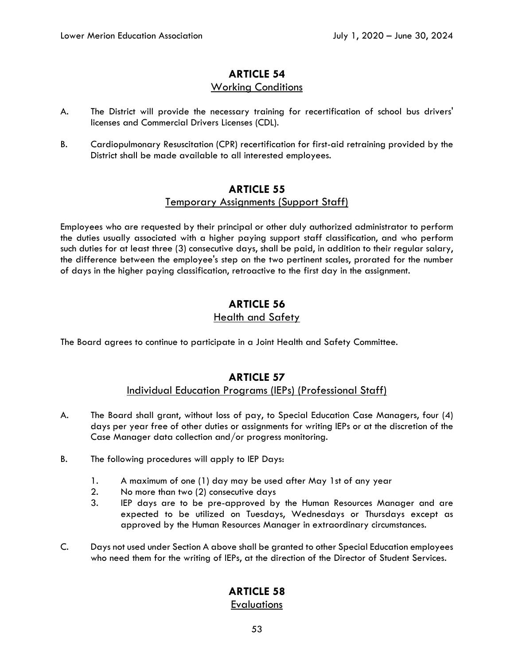# **ARTICLE 54**

### Working Conditions

- A. The District will provide the necessary training for recertification of school bus drivers' licenses and Commercial Drivers Licenses (CDL).
- B. Cardiopulmonary Resuscitation (CPR) recertification for first-aid retraining provided by the District shall be made available to all interested employees.

## **ARTICLE 55**

### Temporary Assignments (Support Staff)

Employees who are requested by their principal or other duly authorized administrator to perform the duties usually associated with a higher paying support staff classification, and who perform such duties for at least three (3) consecutive days, shall be paid, in addition to their regular salary, the difference between the employee's step on the two pertinent scales, prorated for the number of days in the higher paying classification, retroactive to the first day in the assignment.

## **ARTICLE 56**  Health and Safety

The Board agrees to continue to participate in a Joint Health and Safety Committee.

## **ARTICLE 57**  Individual Education Programs (IEPs) (Professional Staff)

- A. The Board shall grant, without loss of pay, to Special Education Case Managers, four (4) days per year free of other duties or assignments for writing IEPs or at the discretion of the Case Manager data collection and/or progress monitoring.
- B. The following procedures will apply to IEP Days:
	- 1. A maximum of one (1) day may be used after May 1st of any year
	- 2. No more than two (2) consecutive days
	- 3. IEP days are to be pre-approved by the Human Resources Manager and are expected to be utilized on Tuesdays, Wednesdays or Thursdays except as approved by the Human Resources Manager in extraordinary circumstances.
- C. Days not used under Section A above shall be granted to other Special Education employees who need them for the writing of IEPs, at the direction of the Director of Student Services.

# **ARTICLE 58**

### **Evaluations**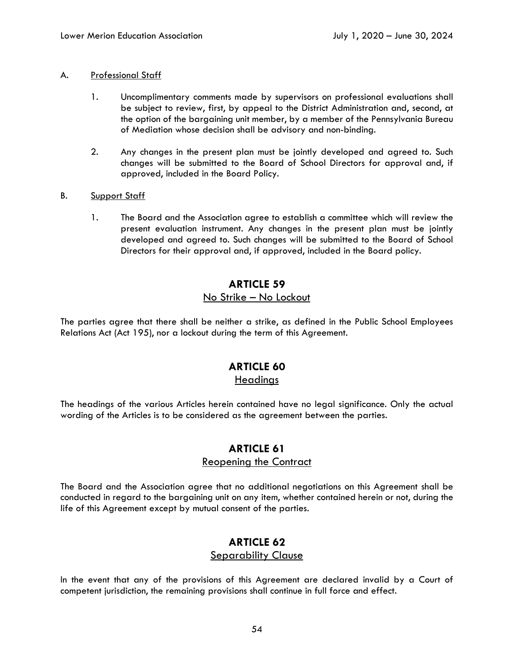#### A. Professional Staff

- 1. Uncomplimentary comments made by supervisors on professional evaluations shall be subject to review, first, by appeal to the District Administration and, second, at the option of the bargaining unit member, by a member of the Pennsylvania Bureau of Mediation whose decision shall be advisory and non-binding.
- 2. Any changes in the present plan must be jointly developed and agreed to. Such changes will be submitted to the Board of School Directors for approval and, if approved, included in the Board Policy.
- B. Support Staff
	- 1. The Board and the Association agree to establish a committee which will review the present evaluation instrument. Any changes in the present plan must be jointly developed and agreed to. Such changes will be submitted to the Board of School Directors for their approval and, if approved, included in the Board policy.

## **ARTICLE 59**  No Strike – No Lockout

The parties agree that there shall be neither a strike, as defined in the Public School Employees Relations Act (Act 195), nor a lockout during the term of this Agreement.

# **ARTICLE 60**

## **Headings**

The headings of the various Articles herein contained have no legal significance. Only the actual wording of the Articles is to be considered as the agreement between the parties.

# **ARTICLE 61**

### Reopening the Contract

The Board and the Association agree that no additional negotiations on this Agreement shall be conducted in regard to the bargaining unit on any item, whether contained herein or not, during the life of this Agreement except by mutual consent of the parties.

## **ARTICLE 62**  Separability Clause

In the event that any of the provisions of this Agreement are declared invalid by a Court of competent jurisdiction, the remaining provisions shall continue in full force and effect.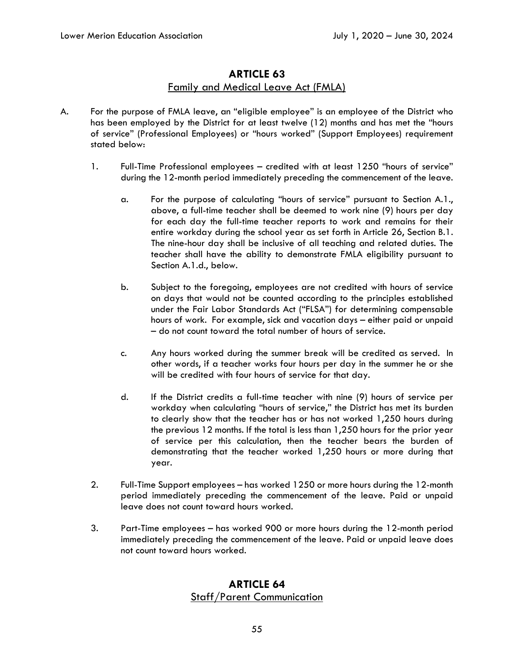## **ARTICLE 63**  Family and Medical Leave Act (FMLA)

- A. For the purpose of FMLA leave, an "eligible employee" is an employee of the District who has been employed by the District for at least twelve (12) months and has met the "hours of service" (Professional Employees) or "hours worked" (Support Employees) requirement stated below:
	- 1. Full-Time Professional employees credited with at least 1250 "hours of service" during the 12-month period immediately preceding the commencement of the leave.
		- a. For the purpose of calculating "hours of service" pursuant to Section A.1., above, a full-time teacher shall be deemed to work nine (9) hours per day for each day the full-time teacher reports to work and remains for their entire workday during the school year as set forth in Article 26, Section B.1. The nine-hour day shall be inclusive of all teaching and related duties. The teacher shall have the ability to demonstrate FMLA eligibility pursuant to Section A.1.d., below.
		- b. Subject to the foregoing, employees are not credited with hours of service on days that would not be counted according to the principles established under the Fair Labor Standards Act ("FLSA") for determining compensable hours of work. For example, sick and vacation days – either paid or unpaid – do not count toward the total number of hours of service.
		- c. Any hours worked during the summer break will be credited as served. In other words, if a teacher works four hours per day in the summer he or she will be credited with four hours of service for that day.
		- d. If the District credits a full-time teacher with nine (9) hours of service per workday when calculating "hours of service," the District has met its burden to clearly show that the teacher has or has not worked 1,250 hours during the previous 12 months. If the total is less than 1,250 hours for the prior year of service per this calculation, then the teacher bears the burden of demonstrating that the teacher worked 1,250 hours or more during that year.
	- 2. Full-Time Support employees has worked 1250 or more hours during the 12-month period immediately preceding the commencement of the leave. Paid or unpaid leave does not count toward hours worked.
	- 3. Part-Time employees has worked 900 or more hours during the 12-month period immediately preceding the commencement of the leave. Paid or unpaid leave does not count toward hours worked.

## **ARTICLE 64**  Staff/Parent Communication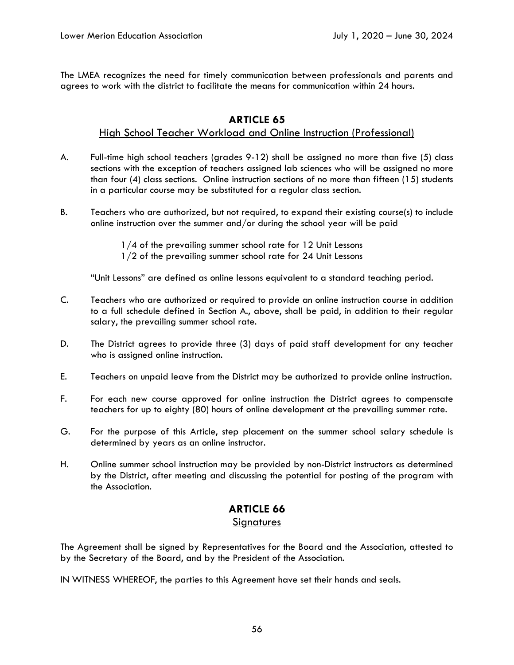The LMEA recognizes the need for timely communication between professionals and parents and agrees to work with the district to facilitate the means for communication within 24 hours.

## **ARTICLE 65**

### High School Teacher Workload and Online Instruction (Professional)

- A. Full-time high school teachers (grades 9-12) shall be assigned no more than five (5) class sections with the exception of teachers assigned lab sciences who will be assigned no more than four (4) class sections. Online instruction sections of no more than fifteen (15) students in a particular course may be substituted for a regular class section.
- B. Teachers who are authorized, but not required, to expand their existing course(s) to include online instruction over the summer and/or during the school year will be paid
	- 1/4 of the prevailing summer school rate for 12 Unit Lessons
	- 1/2 of the prevailing summer school rate for 24 Unit Lessons

"Unit Lessons" are defined as online lessons equivalent to a standard teaching period.

- C. Teachers who are authorized or required to provide an online instruction course in addition to a full schedule defined in Section A., above, shall be paid, in addition to their regular salary, the prevailing summer school rate.
- D. The District agrees to provide three (3) days of paid staff development for any teacher who is assigned online instruction.
- E. Teachers on unpaid leave from the District may be authorized to provide online instruction.
- F. For each new course approved for online instruction the District agrees to compensate teachers for up to eighty (80) hours of online development at the prevailing summer rate.
- G. For the purpose of this Article, step placement on the summer school salary schedule is determined by years as an online instructor.
- H. Online summer school instruction may be provided by non-District instructors as determined by the District, after meeting and discussing the potential for posting of the program with the Association.

## **ARTICLE 66**

#### **Signatures**

The Agreement shall be signed by Representatives for the Board and the Association, attested to by the Secretary of the Board, and by the President of the Association.

IN WITNESS WHEREOF, the parties to this Agreement have set their hands and seals.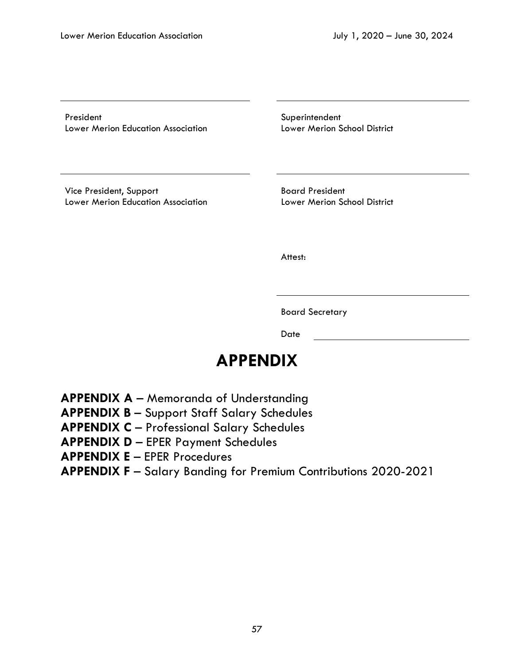President **Superintendent** Lower Merion Education Association Lower Merion School District

Vice President, Support Board President Lower Merion Education Association Lower Merion School District

**Attest:** 

Board Secretary

**Date Date Date** 

# **APPENDIX**

- **APPENDIX A** Memoranda of Understanding
- **APPENDIX B** Support Staff Salary Schedules
- **APPENDIX C** Professional Salary Schedules
- **APPENDIX D** EPER Payment Schedules
- **APPENDIX E** EPER Procedures
- **APPENDIX F** Salary Banding for Premium Contributions 2020-2021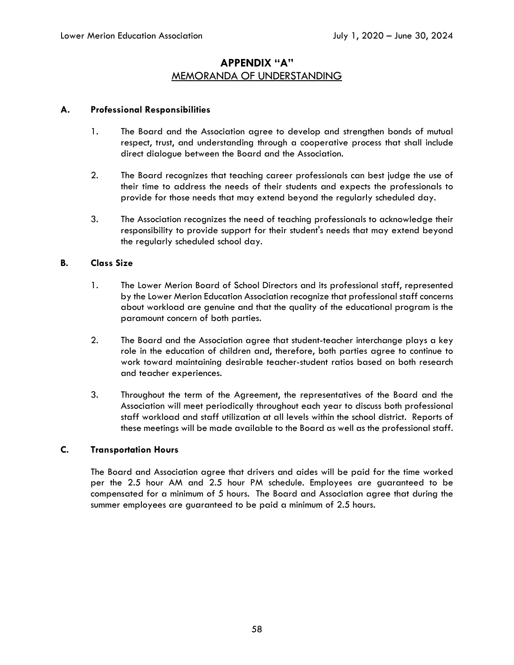## **APPENDIX "A"**  MEMORANDA OF UNDERSTANDING

#### **A. Professional Responsibilities**

- 1. The Board and the Association agree to develop and strengthen bonds of mutual respect, trust, and understanding through a cooperative process that shall include direct dialogue between the Board and the Association.
- 2. The Board recognizes that teaching career professionals can best judge the use of their time to address the needs of their students and expects the professionals to provide for those needs that may extend beyond the regularly scheduled day.
- 3. The Association recognizes the need of teaching professionals to acknowledge their responsibility to provide support for their student's needs that may extend beyond the regularly scheduled school day.

#### **B. Class Size**

- 1. The Lower Merion Board of School Directors and its professional staff, represented by the Lower Merion Education Association recognize that professional staff concerns about workload are genuine and that the quality of the educational program is the paramount concern of both parties.
- 2. The Board and the Association agree that student-teacher interchange plays a key role in the education of children and, therefore, both parties agree to continue to work toward maintaining desirable teacher-student ratios based on both research and teacher experiences.
- 3. Throughout the term of the Agreement, the representatives of the Board and the Association will meet periodically throughout each year to discuss both professional staff workload and staff utilization at all levels within the school district. Reports of these meetings will be made available to the Board as well as the professional staff.

#### **C. Transportation Hours**

The Board and Association agree that drivers and aides will be paid for the time worked per the 2.5 hour AM and 2.5 hour PM schedule. Employees are guaranteed to be compensated for a minimum of 5 hours. The Board and Association agree that during the summer employees are guaranteed to be paid a minimum of 2.5 hours.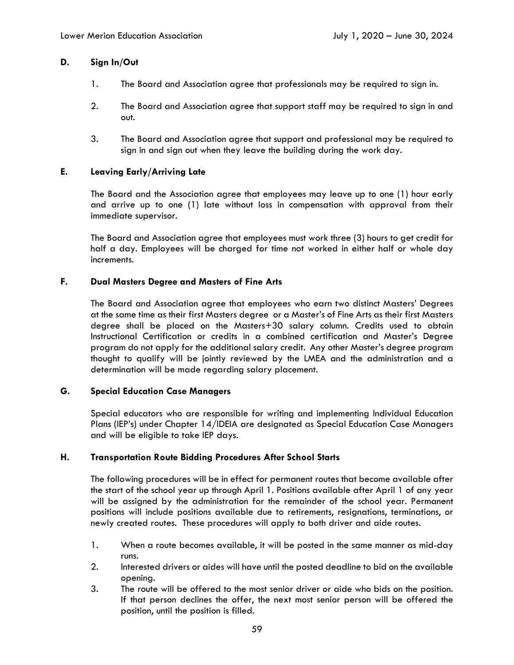#### **D. Sign In/Out**

- 1. The Board and Association agree that professionals may be required to sign in.
- 2. The Board and Association agree that support staff may be required to sign in and out.
- 3. The Board and Association agree that support and professional may be required to sign in and sign out when they leave the building during the work day.

#### **E. Leaving Early/Arriving Late**

The Board and the Association agree that employees may leave up to one (1) hour early and arrive up to one (1) late without loss in compensation with approval from their immediate supervisor.

The Board and Association agree that employees must work three (3) hours to get credit for half a day. Employees will be charged for time not worked in either half or whole day increments.

#### **F. Dual Masters Degree and Masters of Fine Arts**

The Board and Association agree that employees who earn two distinct Masters' Degrees at the same time as their first Masters degree or a Master's of Fine Arts as their first Masters degree shall be placed on the Masters+30 salary column. Credits used to obtain Instructional Certification or credits in a combined certification and Master's Degree program do not apply for the additional salary credit. Any other Master's degree program thought to qualify will be jointly reviewed by the LMEA and the administration and a determination will be made regarding salary placement.

#### **G. Special Education Case Managers**

Special educators who are responsible for writing and implementing Individual Education Plans (IEP's) under Chapter 14/IDEIA are designated as Special Education Case Managers and will be eligible to take IEP days.

#### **H. Transportation Route Bidding Procedures After School Starts**

The following procedures will be in effect for permanent routes that become available after the start of the school year up through April 1. Positions available after April 1 of any year will be assigned by the administration for the remainder of the school year. Permanent positions will include positions available due to retirements, resignations, terminations, or newly created routes. These procedures will apply to both driver and aide routes.

- 1. When a route becomes available, it will be posted in the same manner as mid-day runs.
- 2. Interested drivers or aides will have until the posted deadline to bid on the available opening.
- 3. The route will be offered to the most senior driver or aide who bids on the position. If that person declines the offer, the next most senior person will be offered the position, until the position is filled.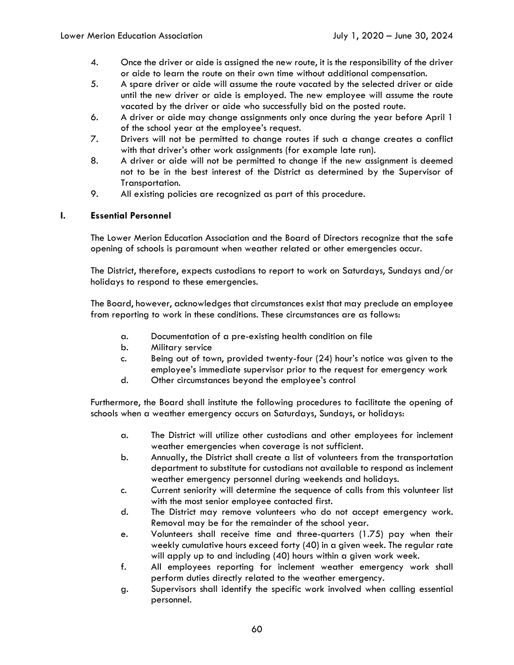- 4. Once the driver or aide is assigned the new route, it is the responsibility of the driver or aide to learn the route on their own time without additional compensation.
- 5. A spare driver or aide will assume the route vacated by the selected driver or aide until the new driver or aide is employed. The new employee will assume the route vacated by the driver or aide who successfully bid on the posted route.
- 6. A driver or aide may change assignments only once during the year before April 1 of the school year at the employee's request.
- 7. Drivers will not be permitted to change routes if such a change creates a conflict with that driver's other work assignments (for example late run).
- 8. A driver or aide will not be permitted to change if the new assignment is deemed not to be in the best interest of the District as determined by the Supervisor of Transportation.
- 9. All existing policies are recognized as part of this procedure.

### **I. Essential Personnel**

The Lower Merion Education Association and the Board of Directors recognize that the safe opening of schools is paramount when weather related or other emergencies occur.

The District, therefore, expects custodians to report to work on Saturdays, Sundays and/or holidays to respond to these emergencies.

The Board, however, acknowledges that circumstances exist that may preclude an employee from reporting to work in these conditions. These circumstances are as follows:

- a. Documentation of a pre-existing health condition on file
- b. Military service
- c. Being out of town, provided twenty-four (24) hour's notice was given to the employee's immediate supervisor prior to the request for emergency work
- d. Other circumstances beyond the employee's control

Furthermore, the Board shall institute the following procedures to facilitate the opening of schools when a weather emergency occurs on Saturdays, Sundays, or holidays:

- a. The District will utilize other custodians and other employees for inclement weather emergencies when coverage is not sufficient.
- b. Annually, the District shall create a list of volunteers from the transportation department to substitute for custodians not available to respond as inclement weather emergency personnel during weekends and holidays.
- c. Current seniority will determine the sequence of calls from this volunteer list with the most senior employee contacted first.
- d. The District may remove volunteers who do not accept emergency work. Removal may be for the remainder of the school year.
- e. Volunteers shall receive time and three-quarters (1.75) pay when their weekly cumulative hours exceed forty (40) in a given week. The regular rate will apply up to and including (40) hours within a given work week.
- f. All employees reporting for inclement weather emergency work shall perform duties directly related to the weather emergency.
- g. Supervisors shall identify the specific work involved when calling essential personnel.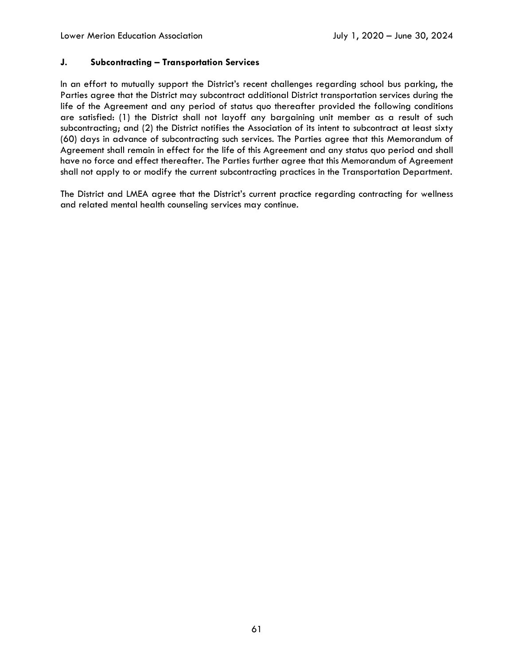### **J. Subcontracting – Transportation Services**

In an effort to mutually support the District's recent challenges regarding school bus parking, the Parties agree that the District may subcontract additional District transportation services during the life of the Agreement and any period of status quo thereafter provided the following conditions are satisfied: (1) the District shall not layoff any bargaining unit member as a result of such subcontracting; and (2) the District notifies the Association of its intent to subcontract at least sixty (60) days in advance of subcontracting such services. The Parties agree that this Memorandum of Agreement shall remain in effect for the life of this Agreement and any status quo period and shall have no force and effect thereafter. The Parties further agree that this Memorandum of Agreement shall not apply to or modify the current subcontracting practices in the Transportation Department.

The District and LMEA agree that the District's current practice regarding contracting for wellness and related mental health counseling services may continue.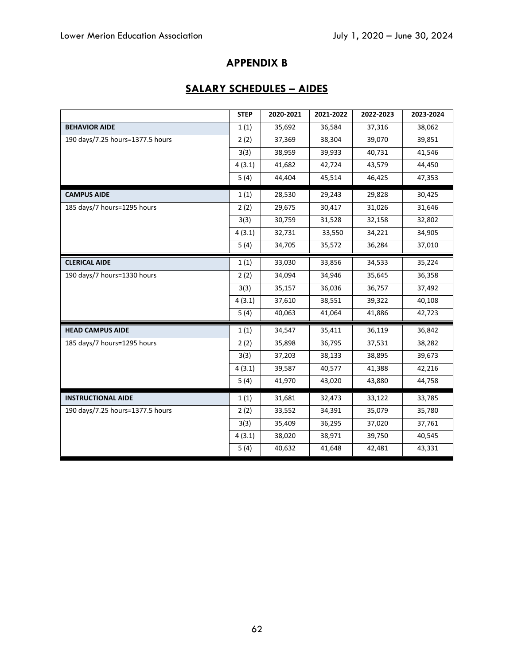## **APPENDIX B**

# **SALARY SCHEDULES – AIDES**

|                                  | <b>STEP</b> | 2020-2021 | 2021-2022 | 2022-2023 | 2023-2024 |
|----------------------------------|-------------|-----------|-----------|-----------|-----------|
| <b>BEHAVIOR AIDE</b>             | 1(1)        | 35,692    | 36,584    | 37,316    | 38,062    |
| 190 days/7.25 hours=1377.5 hours | 2(2)        | 37,369    | 38,304    | 39,070    | 39,851    |
|                                  | 3(3)        | 38,959    | 39,933    | 40,731    | 41,546    |
|                                  | 4(3.1)      | 41,682    | 42,724    | 43,579    | 44,450    |
|                                  | 5(4)        | 44,404    | 45,514    | 46,425    | 47,353    |
| <b>CAMPUS AIDE</b>               | 1(1)        | 28,530    | 29,243    | 29,828    | 30,425    |
| 185 days/7 hours=1295 hours      | 2(2)        | 29,675    | 30,417    | 31,026    | 31,646    |
|                                  | 3(3)        | 30,759    | 31,528    | 32,158    | 32,802    |
|                                  | 4(3.1)      | 32,731    | 33,550    | 34,221    | 34,905    |
|                                  | 5(4)        | 34,705    | 35,572    | 36,284    | 37,010    |
| <b>CLERICAL AIDE</b>             | 1(1)        | 33,030    | 33,856    | 34,533    | 35,224    |
| 190 days/7 hours=1330 hours      | 2(2)        | 34,094    | 34,946    | 35,645    | 36,358    |
|                                  | 3(3)        | 35,157    | 36,036    | 36,757    | 37,492    |
|                                  | 4(3.1)      | 37,610    | 38,551    | 39,322    | 40,108    |
|                                  | 5(4)        | 40,063    | 41,064    | 41,886    | 42,723    |
| <b>HEAD CAMPUS AIDE</b>          | 1(1)        | 34,547    | 35,411    | 36,119    | 36,842    |
| 185 days/7 hours=1295 hours      | 2(2)        | 35,898    | 36,795    | 37,531    | 38,282    |
|                                  | 3(3)        | 37,203    | 38,133    | 38,895    | 39,673    |
|                                  | 4(3.1)      | 39,587    | 40,577    | 41,388    | 42,216    |
|                                  | 5(4)        | 41,970    | 43,020    | 43,880    | 44,758    |
| <b>INSTRUCTIONAL AIDE</b>        | 1(1)        | 31,681    | 32,473    | 33,122    | 33,785    |
| 190 days/7.25 hours=1377.5 hours | 2(2)        | 33,552    | 34,391    | 35,079    | 35,780    |
|                                  | 3(3)        | 35,409    | 36,295    | 37,020    | 37,761    |
|                                  | 4(3.1)      | 38,020    | 38,971    | 39,750    | 40,545    |
|                                  | 5(4)        | 40,632    | 41,648    | 42,481    | 43,331    |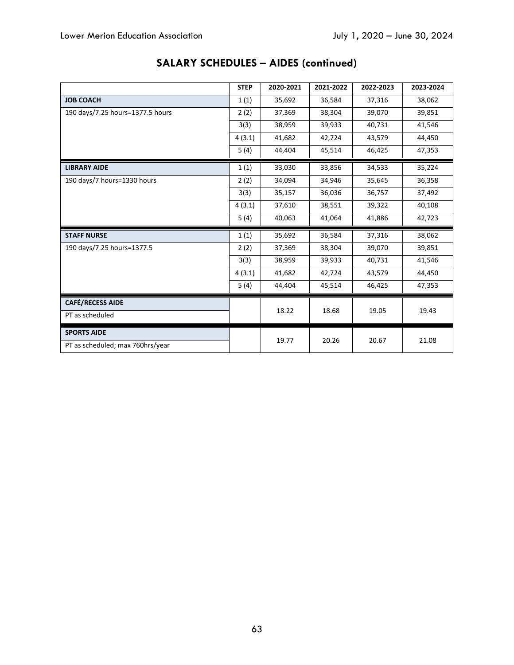|                                  | <b>STEP</b> | 2020-2021 | 2021-2022 | 2022-2023 | 2023-2024 |
|----------------------------------|-------------|-----------|-----------|-----------|-----------|
| <b>JOB COACH</b>                 | 1(1)        | 35,692    | 36,584    | 37,316    | 38,062    |
| 190 days/7.25 hours=1377.5 hours | 2(2)        | 37,369    | 38,304    | 39,070    | 39,851    |
|                                  | 3(3)        | 38,959    | 39,933    | 40,731    | 41,546    |
|                                  | 4(3.1)      | 41,682    | 42,724    | 43,579    | 44,450    |
|                                  | 5(4)        | 44,404    | 45,514    | 46,425    | 47,353    |
| <b>LIBRARY AIDE</b>              | 1(1)        | 33,030    | 33,856    | 34,533    | 35,224    |
| 190 days/7 hours=1330 hours      | 2(2)        | 34,094    | 34,946    | 35,645    | 36,358    |
|                                  | 3(3)        | 35,157    | 36,036    | 36,757    | 37,492    |
|                                  | 4(3.1)      | 37,610    | 38,551    | 39,322    | 40,108    |
|                                  | 5(4)        | 40,063    | 41,064    | 41,886    | 42,723    |
| <b>STAFF NURSE</b>               | 1(1)        | 35,692    | 36,584    | 37,316    | 38,062    |
| 190 days/7.25 hours=1377.5       | 2(2)        | 37,369    | 38,304    | 39,070    | 39,851    |
|                                  | 3(3)        | 38,959    | 39,933    | 40,731    | 41,546    |
|                                  | 4(3.1)      | 41,682    | 42,724    | 43,579    | 44,450    |
|                                  | 5(4)        | 44,404    | 45,514    | 46,425    | 47,353    |
| <b>CAFÉ/RECESS AIDE</b>          |             |           |           |           |           |
| PT as scheduled                  |             | 18.22     | 18.68     | 19.05     | 19.43     |
| <b>SPORTS AIDE</b>               |             |           |           |           |           |
| PT as scheduled; max 760hrs/year |             | 19.77     | 20.26     | 20.67     | 21.08     |

# **SALARY SCHEDULES – AIDES (continued)**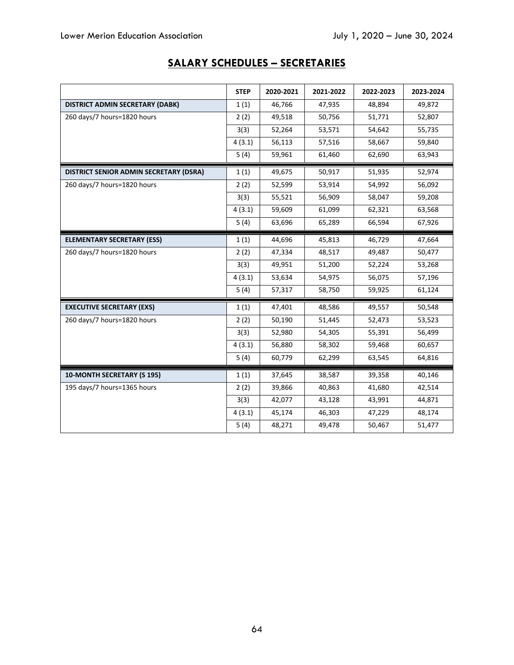# **SALARY SCHEDULES – SECRETARIES**

|                                        | <b>STEP</b> | 2020-2021 | 2021-2022 | 2022-2023 | 2023-2024 |
|----------------------------------------|-------------|-----------|-----------|-----------|-----------|
| DISTRICT ADMIN SECRETARY (DABK)        | 1(1)        | 46,766    | 47,935    | 48,894    | 49,872    |
| 260 days/7 hours=1820 hours            | 2(2)        | 49,518    | 50,756    | 51,771    | 52,807    |
|                                        | 3(3)        | 52,264    | 53,571    | 54,642    | 55,735    |
|                                        | 4(3.1)      | 56,113    | 57,516    | 58,667    | 59,840    |
|                                        | 5(4)        | 59,961    | 61,460    | 62,690    | 63,943    |
| DISTRICT SENIOR ADMIN SECRETARY (DSRA) | 1(1)        | 49,675    | 50,917    | 51,935    | 52,974    |
| 260 days/7 hours=1820 hours            | 2(2)        | 52,599    | 53,914    | 54,992    | 56,092    |
|                                        | 3(3)        | 55,521    | 56,909    | 58,047    | 59,208    |
|                                        | 4(3.1)      | 59,609    | 61,099    | 62,321    | 63,568    |
|                                        | 5(4)        | 63,696    | 65,289    | 66,594    | 67,926    |
| <b>ELEMENTARY SECRETARY (ESS)</b>      | 1(1)        | 44,696    | 45,813    | 46,729    | 47,664    |
| 260 days/7 hours=1820 hours            | 2(2)        | 47,334    | 48,517    | 49,487    | 50,477    |
|                                        | 3(3)        | 49,951    | 51,200    | 52,224    | 53,268    |
|                                        | 4(3.1)      | 53,634    | 54,975    | 56,075    | 57,196    |
|                                        | 5(4)        | 57,317    | 58,750    | 59,925    | 61,124    |
| <b>EXECUTIVE SECRETARY (EXS)</b>       | 1(1)        | 47,401    | 48,586    | 49,557    | 50,548    |
| 260 days/7 hours=1820 hours            | 2(2)        | 50,190    | 51,445    | 52,473    | 53,523    |
|                                        | 3(3)        | 52,980    | 54,305    | 55,391    | 56,499    |
|                                        | 4(3.1)      | 56,880    | 58,302    | 59,468    | 60,657    |
|                                        | 5(4)        | 60,779    | 62,299    | 63,545    | 64,816    |
| 10-MONTH SECRETARY (S 195)             | 1(1)        | 37,645    | 38,587    | 39,358    | 40,146    |
| 195 days/7 hours=1365 hours            | 2(2)        | 39,866    | 40,863    | 41,680    | 42,514    |
|                                        | 3(3)        | 42,077    | 43,128    | 43,991    | 44,871    |
|                                        | 4(3.1)      | 45,174    | 46,303    | 47,229    | 48,174    |
|                                        | 5(4)        | 48,271    | 49,478    | 50,467    | 51,477    |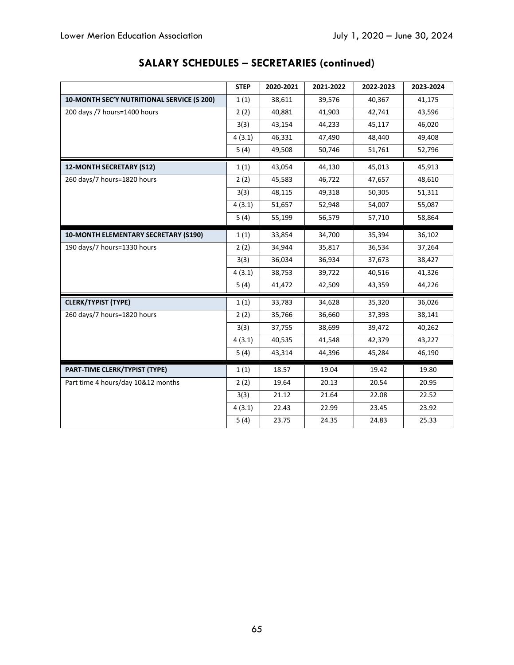|                                             | <b>STEP</b> | 2020-2021 | 2021-2022 | 2022-2023 | 2023-2024 |
|---------------------------------------------|-------------|-----------|-----------|-----------|-----------|
| 10-MONTH SEC'Y NUTRITIONAL SERVICE (S 200)  | 1(1)        | 38,611    | 39,576    | 40,367    | 41,175    |
| 200 days /7 hours=1400 hours                | 2(2)        | 40,881    | 41,903    | 42,741    | 43,596    |
|                                             | 3(3)        | 43,154    | 44,233    | 45,117    | 46,020    |
|                                             | 4(3.1)      | 46,331    | 47,490    | 48,440    | 49,408    |
|                                             | 5(4)        | 49,508    | 50,746    | 51,761    | 52,796    |
| 12-MONTH SECRETARY (S12)                    | 1(1)        | 43,054    | 44,130    | 45,013    | 45,913    |
| 260 days/7 hours=1820 hours                 | 2(2)        | 45,583    | 46,722    | 47,657    | 48,610    |
|                                             | 3(3)        | 48,115    | 49,318    | 50,305    | 51,311    |
|                                             | 4(3.1)      | 51,657    | 52,948    | 54,007    | 55,087    |
|                                             | 5(4)        | 55,199    | 56,579    | 57,710    | 58,864    |
| <b>10-MONTH ELEMENTARY SECRETARY (S190)</b> | 1(1)        | 33,854    | 34,700    | 35,394    | 36,102    |
| 190 days/7 hours=1330 hours                 | 2(2)        | 34,944    | 35,817    | 36,534    | 37,264    |
|                                             | 3(3)        | 36,034    | 36,934    | 37,673    | 38,427    |
|                                             | 4(3.1)      | 38,753    | 39,722    | 40,516    | 41,326    |
|                                             | 5(4)        | 41,472    | 42,509    | 43,359    | 44,226    |
| <b>CLERK/TYPIST (TYPE)</b>                  | 1(1)        | 33,783    | 34,628    | 35,320    | 36,026    |
| 260 days/7 hours=1820 hours                 | 2(2)        | 35,766    | 36,660    | 37,393    | 38,141    |
|                                             | 3(3)        | 37,755    | 38,699    | 39,472    | 40,262    |
|                                             | 4(3.1)      | 40,535    | 41,548    | 42,379    | 43,227    |
|                                             | 5(4)        | 43,314    | 44,396    | 45,284    | 46,190    |
| PART-TIME CLERK/TYPIST (TYPE)               | 1(1)        | 18.57     | 19.04     | 19.42     | 19.80     |
| Part time 4 hours/day 10&12 months          | 2(2)        | 19.64     | 20.13     | 20.54     | 20.95     |
|                                             | 3(3)        | 21.12     | 21.64     | 22.08     | 22.52     |
|                                             | 4(3.1)      | 22.43     | 22.99     | 23.45     | 23.92     |
|                                             | 5(4)        | 23.75     | 24.35     | 24.83     | 25.33     |

# **SALARY SCHEDULES – SECRETARIES (continued)**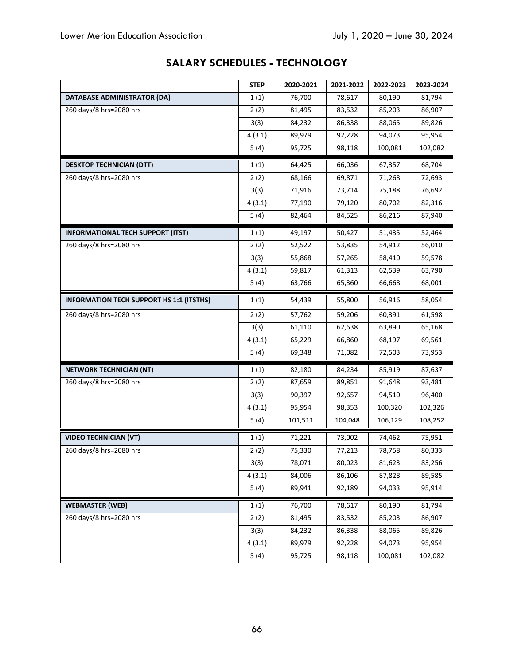|                                                 | <b>STEP</b> | 2020-2021 | 2021-2022 | 2022-2023 | 2023-2024 |
|-------------------------------------------------|-------------|-----------|-----------|-----------|-----------|
| <b>DATABASE ADMINISTRATOR (DA)</b>              | 1(1)        | 76,700    | 78,617    | 80,190    | 81,794    |
| 260 days/8 hrs=2080 hrs                         | 2(2)        | 81,495    | 83,532    | 85,203    | 86,907    |
|                                                 | 3(3)        | 84,232    | 86,338    | 88,065    | 89,826    |
|                                                 | 4(3.1)      | 89,979    | 92,228    | 94,073    | 95,954    |
|                                                 | 5(4)        | 95,725    | 98,118    | 100,081   | 102,082   |
| <b>DESKTOP TECHNICIAN (DTT)</b>                 | 1(1)        | 64,425    | 66,036    | 67,357    | 68,704    |
| 260 days/8 hrs=2080 hrs                         | 2(2)        | 68,166    | 69,871    | 71,268    | 72,693    |
|                                                 | 3(3)        | 71,916    | 73,714    | 75,188    | 76,692    |
|                                                 | 4(3.1)      | 77,190    | 79,120    | 80,702    | 82,316    |
|                                                 | 5(4)        | 82,464    | 84,525    | 86,216    | 87,940    |
| <b>INFORMATIONAL TECH SUPPORT (ITST)</b>        | 1(1)        | 49,197    | 50,427    | 51,435    | 52,464    |
| 260 days/8 hrs=2080 hrs                         | 2(2)        | 52,522    | 53,835    | 54,912    | 56,010    |
|                                                 | 3(3)        | 55,868    | 57,265    | 58,410    | 59,578    |
|                                                 | 4(3.1)      | 59,817    | 61,313    | 62,539    | 63,790    |
|                                                 | 5(4)        | 63,766    | 65,360    | 66,668    | 68,001    |
| <b>INFORMATION TECH SUPPORT HS 1:1 (ITSTHS)</b> | 1(1)        | 54,439    | 55,800    | 56,916    | 58,054    |
| 260 days/8 hrs=2080 hrs                         | 2(2)        | 57,762    | 59,206    | 60,391    | 61,598    |
|                                                 | 3(3)        | 61,110    | 62,638    | 63,890    | 65,168    |
|                                                 | 4(3.1)      | 65,229    | 66,860    | 68,197    | 69,561    |
|                                                 | 5(4)        | 69,348    | 71,082    | 72,503    | 73,953    |
| <b>NETWORK TECHNICIAN (NT)</b>                  | 1(1)        | 82,180    | 84,234    | 85,919    | 87,637    |
| 260 days/8 hrs=2080 hrs                         | 2(2)        | 87,659    | 89,851    | 91,648    | 93,481    |
|                                                 | 3(3)        | 90,397    | 92,657    | 94,510    | 96,400    |
|                                                 | 4(3.1)      | 95,954    | 98,353    | 100,320   | 102,326   |
|                                                 | 5(4)        | 101,511   | 104,048   | 106,129   | 108,252   |
| <b>VIDEO TECHNICIAN (VT)</b>                    | 1(1)        | 71,221    | 73,002    | 74,462    | 75,951    |
| 260 days/8 hrs=2080 hrs                         | 2(2)        | 75,330    | 77,213    | 78,758    | 80,333    |
|                                                 | 3(3)        | 78,071    | 80,023    | 81,623    | 83,256    |
|                                                 | 4(3.1)      | 84,006    | 86,106    | 87,828    | 89,585    |
|                                                 | 5(4)        | 89,941    | 92,189    | 94,033    | 95,914    |
| <b>WEBMASTER (WEB)</b>                          | 1(1)        | 76,700    | 78,617    | 80,190    | 81,794    |
| 260 days/8 hrs=2080 hrs                         | 2(2)        | 81,495    | 83,532    | 85,203    | 86,907    |
|                                                 | 3(3)        | 84,232    | 86,338    | 88,065    | 89,826    |
|                                                 | 4(3.1)      | 89,979    | 92,228    | 94,073    | 95,954    |
|                                                 | 5(4)        | 95,725    | 98,118    | 100,081   | 102,082   |

# **SALARY SCHEDULES - TECHNOLOGY**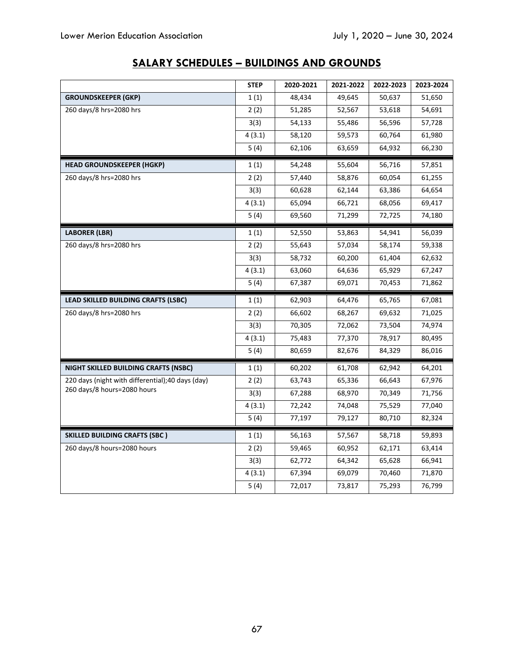|                                                  | <b>STEP</b> | 2020-2021 | 2021-2022 | 2022-2023 | 2023-2024 |
|--------------------------------------------------|-------------|-----------|-----------|-----------|-----------|
| <b>GROUNDSKEEPER (GKP)</b>                       | 1(1)        | 48,434    | 49,645    | 50,637    | 51,650    |
| 260 days/8 hrs=2080 hrs                          | 2(2)        | 51,285    | 52,567    | 53,618    | 54,691    |
|                                                  | 3(3)        | 54,133    | 55,486    | 56,596    | 57,728    |
|                                                  | 4(3.1)      | 58,120    | 59,573    | 60,764    | 61,980    |
|                                                  | 5(4)        | 62,106    | 63,659    | 64,932    | 66,230    |
| <b>HEAD GROUNDSKEEPER (HGKP)</b>                 | 1(1)        | 54,248    | 55,604    | 56,716    | 57,851    |
| 260 days/8 hrs=2080 hrs                          | 2(2)        | 57,440    | 58,876    | 60,054    | 61,255    |
|                                                  | 3(3)        | 60,628    | 62,144    | 63,386    | 64,654    |
|                                                  | 4(3.1)      | 65,094    | 66,721    | 68,056    | 69,417    |
|                                                  | 5(4)        | 69,560    | 71,299    | 72,725    | 74,180    |
| <b>LABORER (LBR)</b>                             | 1(1)        | 52,550    | 53,863    | 54,941    | 56,039    |
| 260 days/8 hrs=2080 hrs                          | 2(2)        | 55,643    | 57,034    | 58,174    | 59,338    |
|                                                  | 3(3)        | 58,732    | 60,200    | 61,404    | 62,632    |
|                                                  | 4(3.1)      | 63,060    | 64,636    | 65,929    | 67,247    |
|                                                  | 5(4)        | 67,387    | 69,071    | 70,453    | 71,862    |
| LEAD SKILLED BUILDING CRAFTS (LSBC)              | 1(1)        | 62,903    | 64,476    | 65,765    | 67,081    |
| 260 days/8 hrs=2080 hrs                          | 2(2)        | 66,602    | 68,267    | 69,632    | 71,025    |
|                                                  | 3(3)        | 70,305    | 72,062    | 73,504    | 74,974    |
|                                                  | 4(3.1)      | 75,483    | 77,370    | 78,917    | 80,495    |
|                                                  | 5(4)        | 80,659    | 82,676    | 84,329    | 86,016    |
| NIGHT SKILLED BUILDING CRAFTS (NSBC)             | 1(1)        | 60,202    | 61,708    | 62,942    | 64,201    |
| 220 days (night with differential);40 days (day) | 2(2)        | 63,743    | 65,336    | 66,643    | 67,976    |
| 260 days/8 hours=2080 hours                      | 3(3)        | 67,288    | 68,970    | 70,349    | 71,756    |
|                                                  | 4(3.1)      | 72,242    | 74,048    | 75,529    | 77,040    |
|                                                  | 5(4)        | 77,197    | 79,127    | 80,710    | 82,324    |
| <b>SKILLED BUILDING CRAFTS (SBC)</b>             | 1(1)        | 56,163    | 57,567    | 58,718    | 59,893    |
| 260 days/8 hours=2080 hours                      | 2(2)        | 59,465    | 60,952    | 62,171    | 63,414    |
|                                                  | 3(3)        | 62,772    | 64,342    | 65,628    | 66,941    |
|                                                  | 4(3.1)      | 67,394    | 69,079    | 70,460    | 71,870    |
|                                                  | 5(4)        | 72,017    | 73,817    | 75,293    | 76,799    |

# **SALARY SCHEDULES – BUILDINGS AND GROUNDS**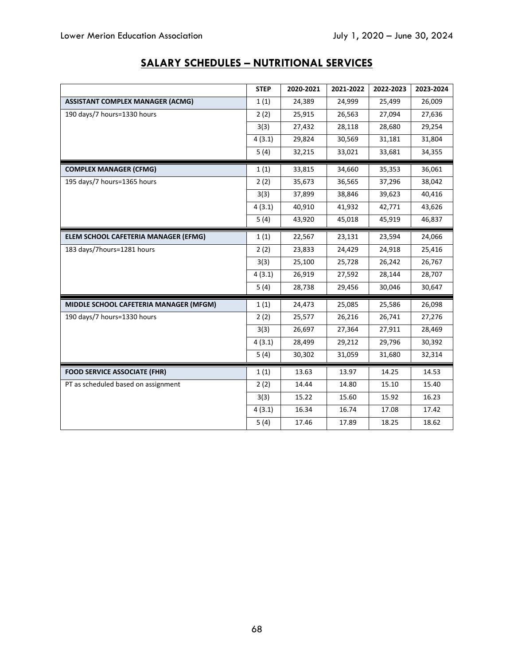|                                         | <b>STEP</b> | 2020-2021 | 2021-2022 | 2022-2023 | 2023-2024 |
|-----------------------------------------|-------------|-----------|-----------|-----------|-----------|
| <b>ASSISTANT COMPLEX MANAGER (ACMG)</b> | 1(1)        | 24,389    | 24,999    | 25,499    | 26,009    |
| 190 days/7 hours=1330 hours             | 2(2)        | 25,915    | 26,563    | 27,094    | 27,636    |
|                                         | 3(3)        | 27,432    | 28,118    | 28,680    | 29,254    |
|                                         | 4(3.1)      | 29,824    | 30,569    | 31,181    | 31,804    |
|                                         | 5(4)        | 32,215    | 33,021    | 33,681    | 34,355    |
| <b>COMPLEX MANAGER (CFMG)</b>           | 1(1)        | 33,815    | 34,660    | 35,353    | 36,061    |
| 195 days/7 hours=1365 hours             | 2(2)        | 35,673    | 36,565    | 37,296    | 38,042    |
|                                         | 3(3)        | 37,899    | 38,846    | 39,623    | 40,416    |
|                                         | 4(3.1)      | 40,910    | 41,932    | 42,771    | 43,626    |
|                                         | 5(4)        | 43,920    | 45,018    | 45,919    | 46,837    |
| ELEM SCHOOL CAFETERIA MANAGER (EFMG)    | 1(1)        | 22,567    | 23,131    | 23,594    | 24,066    |
| 183 days/7hours=1281 hours              | 2(2)        | 23,833    | 24,429    | 24,918    | 25,416    |
|                                         | 3(3)        | 25,100    | 25,728    | 26,242    | 26,767    |
|                                         | 4(3.1)      | 26,919    | 27,592    | 28,144    | 28,707    |
|                                         | 5(4)        | 28,738    | 29,456    | 30,046    | 30,647    |
| MIDDLE SCHOOL CAFETERIA MANAGER (MFGM)  | 1(1)        | 24,473    | 25,085    | 25,586    | 26,098    |
| 190 days/7 hours=1330 hours             | 2(2)        | 25,577    | 26,216    | 26,741    | 27,276    |
|                                         | 3(3)        | 26,697    | 27,364    | 27,911    | 28,469    |
|                                         | 4(3.1)      | 28,499    | 29,212    | 29,796    | 30,392    |
|                                         | 5(4)        | 30,302    | 31,059    | 31,680    | 32,314    |
| <b>FOOD SERVICE ASSOCIATE (FHR)</b>     | 1(1)        | 13.63     | 13.97     | 14.25     | 14.53     |
| PT as scheduled based on assignment     | 2(2)        | 14.44     | 14.80     | 15.10     | 15.40     |
|                                         | 3(3)        | 15.22     | 15.60     | 15.92     | 16.23     |
|                                         | 4(3.1)      | 16.34     | 16.74     | 17.08     | 17.42     |
|                                         | 5(4)        | 17.46     | 17.89     | 18.25     | 18.62     |

# **SALARY SCHEDULES – NUTRITIONAL SERVICES**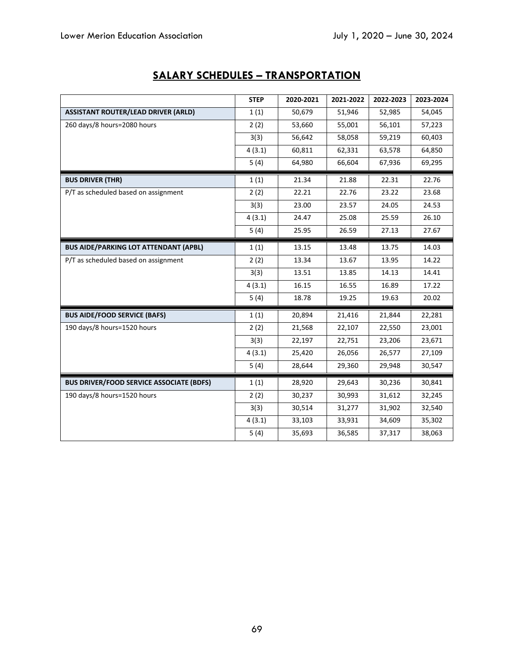|                                                 | <b>STEP</b> | 2020-2021 | 2021-2022 | 2022-2023 | 2023-2024 |
|-------------------------------------------------|-------------|-----------|-----------|-----------|-----------|
| <b>ASSISTANT ROUTER/LEAD DRIVER (ARLD)</b>      | 1(1)        | 50,679    | 51,946    | 52,985    | 54,045    |
| 260 days/8 hours=2080 hours                     | 2(2)        | 53,660    | 55,001    | 56,101    | 57,223    |
|                                                 | 3(3)        | 56,642    | 58,058    | 59,219    | 60,403    |
|                                                 | 4(3.1)      | 60,811    | 62,331    | 63,578    | 64,850    |
|                                                 | 5(4)        | 64,980    | 66,604    | 67,936    | 69,295    |
| <b>BUS DRIVER (THR)</b>                         | 1(1)        | 21.34     | 21.88     | 22.31     | 22.76     |
| P/T as scheduled based on assignment            | 2(2)        | 22.21     | 22.76     | 23.22     | 23.68     |
|                                                 | 3(3)        | 23.00     | 23.57     | 24.05     | 24.53     |
|                                                 | 4(3.1)      | 24.47     | 25.08     | 25.59     | 26.10     |
|                                                 | 5(4)        | 25.95     | 26.59     | 27.13     | 27.67     |
| <b>BUS AIDE/PARKING LOT ATTENDANT (APBL)</b>    | 1(1)        | 13.15     | 13.48     | 13.75     | 14.03     |
| P/T as scheduled based on assignment            | 2(2)        | 13.34     | 13.67     | 13.95     | 14.22     |
|                                                 | 3(3)        | 13.51     | 13.85     | 14.13     | 14.41     |
|                                                 | 4(3.1)      | 16.15     | 16.55     | 16.89     | 17.22     |
|                                                 | 5(4)        | 18.78     | 19.25     | 19.63     | 20.02     |
| <b>BUS AIDE/FOOD SERVICE (BAFS)</b>             | 1(1)        | 20,894    | 21,416    | 21,844    | 22,281    |
| 190 days/8 hours=1520 hours                     | 2(2)        | 21,568    | 22,107    | 22,550    | 23,001    |
|                                                 | 3(3)        | 22,197    | 22,751    | 23,206    | 23,671    |
|                                                 | 4(3.1)      | 25,420    | 26,056    | 26,577    | 27,109    |
|                                                 | 5(4)        | 28,644    | 29,360    | 29,948    | 30,547    |
| <b>BUS DRIVER/FOOD SERVICE ASSOCIATE (BDFS)</b> | 1(1)        | 28,920    | 29,643    | 30,236    | 30,841    |
| 190 days/8 hours=1520 hours                     | 2(2)        | 30,237    | 30,993    | 31,612    | 32,245    |
|                                                 | 3(3)        | 30,514    | 31,277    | 31,902    | 32,540    |
|                                                 | 4(3.1)      | 33,103    | 33,931    | 34,609    | 35,302    |
|                                                 | 5(4)        | 35,693    | 36,585    | 37,317    | 38,063    |

# **SALARY SCHEDULES – TRANSPORTATION**

 $\overline{\phantom{0}}$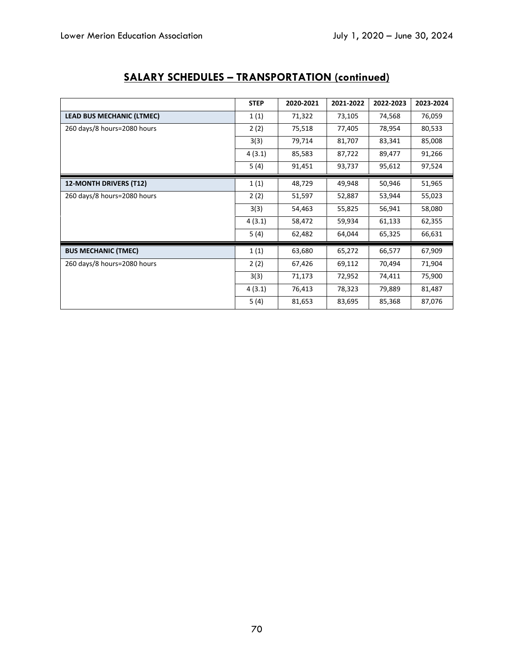|                                  | <b>STEP</b> | 2020-2021 | 2021-2022 | 2022-2023 | 2023-2024 |
|----------------------------------|-------------|-----------|-----------|-----------|-----------|
| <b>LEAD BUS MECHANIC (LTMEC)</b> | 1(1)        | 71,322    | 73,105    | 74,568    | 76,059    |
| 260 days/8 hours=2080 hours      | 2(2)        | 75,518    | 77,405    | 78,954    | 80,533    |
|                                  | 3(3)        | 79,714    | 81,707    | 83,341    | 85,008    |
|                                  | 4(3.1)      | 85,583    | 87,722    | 89,477    | 91,266    |
|                                  | 5(4)        | 91,451    | 93,737    | 95,612    | 97,524    |
| 12-MONTH DRIVERS (T12)           | 1(1)        | 48,729    | 49,948    | 50,946    | 51,965    |
| 260 days/8 hours=2080 hours      | 2(2)        | 51,597    | 52,887    | 53,944    | 55,023    |
|                                  | 3(3)        | 54,463    | 55,825    | 56,941    | 58,080    |
|                                  | 4(3.1)      | 58,472    | 59,934    | 61,133    | 62,355    |
|                                  | 5(4)        | 62,482    | 64,044    | 65,325    | 66,631    |
| <b>BUS MECHANIC (TMEC)</b>       | 1(1)        | 63,680    | 65,272    | 66,577    | 67,909    |
| 260 days/8 hours=2080 hours      | 2(2)        | 67,426    | 69,112    | 70,494    | 71,904    |
|                                  | 3(3)        | 71,173    | 72,952    | 74,411    | 75,900    |
|                                  | 4(3.1)      | 76,413    | 78,323    | 79,889    | 81,487    |
|                                  | 5(4)        | 81,653    | 83,695    | 85,368    | 87,076    |

# **SALARY SCHEDULES – TRANSPORTATION (continued)**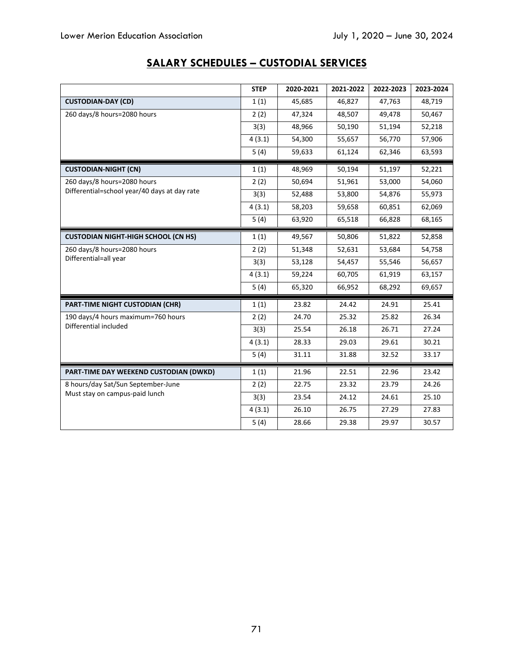# **SALARY SCHEDULES – CUSTODIAL SERVICES**

|                                                                             | <b>STEP</b> | 2020-2021 | 2021-2022 | 2022-2023 | 2023-2024 |
|-----------------------------------------------------------------------------|-------------|-----------|-----------|-----------|-----------|
| <b>CUSTODIAN-DAY (CD)</b>                                                   | 1(1)        | 45,685    | 46,827    | 47,763    | 48,719    |
| 260 days/8 hours=2080 hours                                                 | 2(2)        | 47,324    | 48,507    | 49,478    | 50,467    |
|                                                                             | 3(3)        | 48,966    | 50,190    | 51,194    | 52,218    |
|                                                                             | 4(3.1)      | 54,300    | 55,657    | 56,770    | 57,906    |
|                                                                             | 5(4)        | 59,633    | 61,124    | 62,346    | 63,593    |
| <b>CUSTODIAN-NIGHT (CN)</b>                                                 | 1(1)        | 48,969    | 50,194    | 51,197    | 52,221    |
| 260 days/8 hours=2080 hours<br>Differential=school year/40 days at day rate | 2(2)        | 50,694    | 51,961    | 53,000    | 54,060    |
|                                                                             | 3(3)        | 52,488    | 53,800    | 54,876    | 55,973    |
|                                                                             | 4(3.1)      | 58,203    | 59,658    | 60,851    | 62,069    |
|                                                                             | 5(4)        | 63,920    | 65,518    | 66,828    | 68,165    |
| <b>CUSTODIAN NIGHT-HIGH SCHOOL (CN HS)</b>                                  | 1(1)        | 49,567    | 50,806    | 51,822    | 52,858    |
| 260 days/8 hours=2080 hours<br>Differential=all year                        | 2(2)        | 51,348    | 52,631    | 53,684    | 54,758    |
|                                                                             | 3(3)        | 53,128    | 54,457    | 55,546    | 56,657    |
|                                                                             | 4(3.1)      | 59,224    | 60,705    | 61,919    | 63,157    |
|                                                                             | 5(4)        | 65,320    | 66,952    | 68,292    | 69,657    |
| PART-TIME NIGHT CUSTODIAN (CHR)                                             | 1(1)        | 23.82     | 24.42     | 24.91     | 25.41     |
| 190 days/4 hours maximum=760 hours<br>Differential included                 | 2(2)        | 24.70     | 25.32     | 25.82     | 26.34     |
|                                                                             | 3(3)        | 25.54     | 26.18     | 26.71     | 27.24     |
|                                                                             | 4(3.1)      | 28.33     | 29.03     | 29.61     | 30.21     |
|                                                                             | 5(4)        | 31.11     | 31.88     | 32.52     | 33.17     |
| PART-TIME DAY WEEKEND CUSTODIAN (DWKD)                                      | 1(1)        | 21.96     | 22.51     | 22.96     | 23.42     |
| 8 hours/day Sat/Sun September-June<br>Must stay on campus-paid lunch        | 2(2)        | 22.75     | 23.32     | 23.79     | 24.26     |
|                                                                             | 3(3)        | 23.54     | 24.12     | 24.61     | 25.10     |
|                                                                             | 4(3.1)      | 26.10     | 26.75     | 27.29     | 27.83     |
|                                                                             | 5(4)        | 28.66     | 29.38     | 29.97     | 30.57     |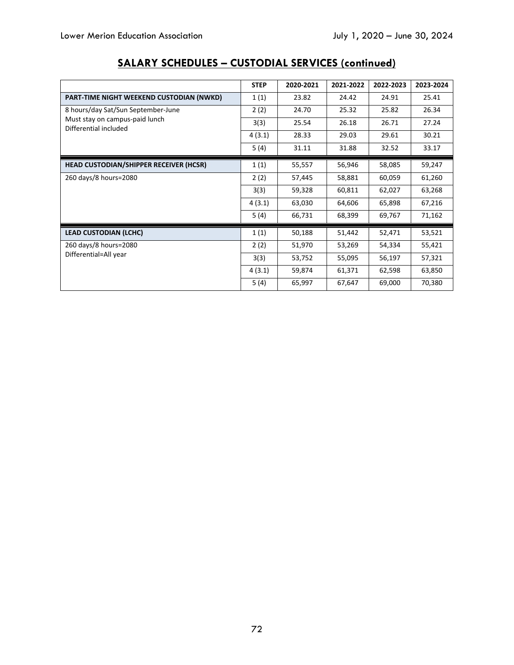|                                                         | <b>STEP</b> | 2020-2021 | 2021-2022 | 2022-2023 | 2023-2024 |
|---------------------------------------------------------|-------------|-----------|-----------|-----------|-----------|
| PART-TIME NIGHT WEEKEND CUSTODIAN (NWKD)                | 1(1)        | 23.82     | 24.42     | 24.91     | 25.41     |
| 8 hours/day Sat/Sun September-June                      | 2(2)        | 24.70     | 25.32     | 25.82     | 26.34     |
| Must stay on campus-paid lunch<br>Differential included | 3(3)        | 25.54     | 26.18     | 26.71     | 27.24     |
|                                                         | 4(3.1)      | 28.33     | 29.03     | 29.61     | 30.21     |
|                                                         | 5(4)        | 31.11     | 31.88     | 32.52     | 33.17     |
| HEAD CUSTODIAN/SHIPPER RECEIVER (HCSR)                  | 1(1)        | 55,557    | 56,946    | 58,085    | 59,247    |
| 260 days/8 hours=2080                                   | 2(2)        | 57,445    | 58,881    | 60,059    | 61,260    |
|                                                         | 3(3)        | 59,328    | 60,811    | 62,027    | 63,268    |
|                                                         | 4(3.1)      | 63,030    | 64,606    | 65,898    | 67,216    |
|                                                         | 5(4)        | 66,731    | 68,399    | 69,767    | 71,162    |
| <b>LEAD CUSTODIAN (LCHC)</b>                            | 1(1)        | 50,188    | 51,442    | 52,471    | 53,521    |
| 260 days/8 hours=2080                                   | 2(2)        | 51,970    | 53,269    | 54,334    | 55,421    |
| Differential=All year                                   | 3(3)        | 53,752    | 55,095    | 56,197    | 57,321    |
|                                                         | 4(3.1)      | 59,874    | 61,371    | 62,598    | 63,850    |
|                                                         | 5(4)        | 65,997    | 67,647    | 69,000    | 70,380    |

# **SALARY SCHEDULES – CUSTODIAL SERVICES (continued)**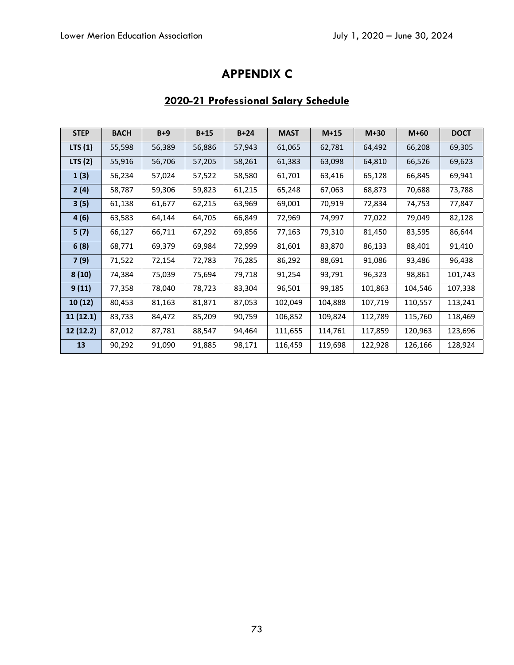## **APPENDIX C**

## **2020-21 Professional Salary Schedule**

| <b>STEP</b> | <b>BACH</b> | $B+9$  | $B+15$ | $B+24$ | <b>MAST</b> | $M+15$  | $M+30$  | $M+60$  | <b>DOCT</b> |
|-------------|-------------|--------|--------|--------|-------------|---------|---------|---------|-------------|
| LTS $(1)$   | 55,598      | 56,389 | 56,886 | 57,943 | 61,065      | 62,781  | 64,492  | 66,208  | 69,305      |
| LTS $(2)$   | 55,916      | 56,706 | 57,205 | 58,261 | 61,383      | 63,098  | 64,810  | 66,526  | 69,623      |
| 1(3)        | 56,234      | 57,024 | 57,522 | 58,580 | 61,701      | 63,416  | 65,128  | 66,845  | 69,941      |
| 2(4)        | 58,787      | 59,306 | 59,823 | 61,215 | 65,248      | 67,063  | 68,873  | 70,688  | 73,788      |
| 3(5)        | 61,138      | 61,677 | 62,215 | 63,969 | 69,001      | 70,919  | 72,834  | 74,753  | 77,847      |
| 4(6)        | 63,583      | 64,144 | 64,705 | 66,849 | 72,969      | 74,997  | 77,022  | 79,049  | 82,128      |
| 5(7)        | 66,127      | 66,711 | 67,292 | 69,856 | 77,163      | 79,310  | 81,450  | 83,595  | 86,644      |
| 6(8)        | 68,771      | 69,379 | 69,984 | 72,999 | 81,601      | 83,870  | 86,133  | 88,401  | 91,410      |
| 7(9)        | 71,522      | 72,154 | 72,783 | 76,285 | 86,292      | 88,691  | 91,086  | 93,486  | 96,438      |
| 8(10)       | 74,384      | 75,039 | 75,694 | 79,718 | 91,254      | 93,791  | 96,323  | 98,861  | 101,743     |
| 9(11)       | 77,358      | 78,040 | 78,723 | 83,304 | 96,501      | 99,185  | 101,863 | 104,546 | 107,338     |
| 10(12)      | 80,453      | 81,163 | 81,871 | 87,053 | 102,049     | 104,888 | 107,719 | 110,557 | 113,241     |
| 11(12.1)    | 83,733      | 84,472 | 85,209 | 90,759 | 106,852     | 109,824 | 112,789 | 115,760 | 118,469     |
| 12 (12.2)   | 87,012      | 87,781 | 88,547 | 94,464 | 111,655     | 114,761 | 117,859 | 120,963 | 123,696     |
| 13          | 90,292      | 91,090 | 91,885 | 98,171 | 116,459     | 119,698 | 122,928 | 126,166 | 128,924     |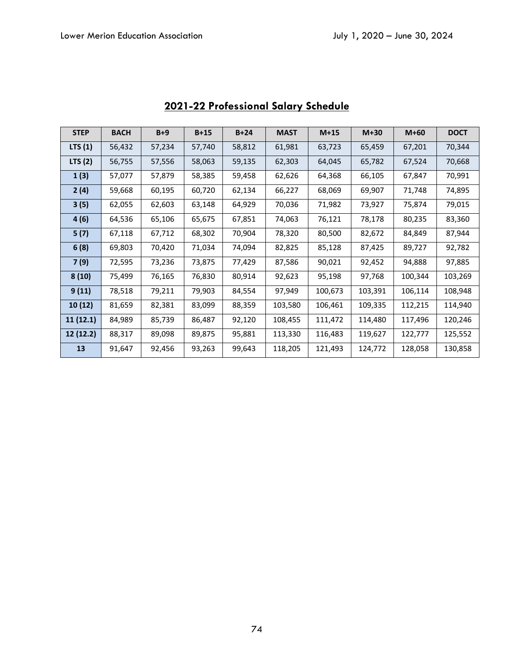| <b>STEP</b> | <b>BACH</b> | $B+9$  | $B+15$ | $B+24$ | <b>MAST</b> | $M+15$  | $M+30$  | $M+60$  | <b>DOCT</b> |
|-------------|-------------|--------|--------|--------|-------------|---------|---------|---------|-------------|
| LTS $(1)$   | 56,432      | 57,234 | 57,740 | 58,812 | 61,981      | 63,723  | 65,459  | 67,201  | 70,344      |
| LTS $(2)$   | 56,755      | 57,556 | 58,063 | 59,135 | 62,303      | 64,045  | 65,782  | 67,524  | 70,668      |
| 1(3)        | 57,077      | 57,879 | 58,385 | 59,458 | 62,626      | 64,368  | 66,105  | 67,847  | 70,991      |
| 2(4)        | 59,668      | 60,195 | 60,720 | 62,134 | 66,227      | 68,069  | 69,907  | 71,748  | 74,895      |
| 3(5)        | 62,055      | 62,603 | 63,148 | 64,929 | 70,036      | 71,982  | 73,927  | 75,874  | 79,015      |
| 4(6)        | 64,536      | 65,106 | 65,675 | 67,851 | 74,063      | 76,121  | 78,178  | 80,235  | 83,360      |
| 5(7)        | 67,118      | 67,712 | 68,302 | 70,904 | 78,320      | 80,500  | 82,672  | 84,849  | 87,944      |
| 6(8)        | 69,803      | 70,420 | 71,034 | 74,094 | 82,825      | 85,128  | 87,425  | 89,727  | 92,782      |
| 7(9)        | 72,595      | 73,236 | 73,875 | 77,429 | 87,586      | 90,021  | 92,452  | 94,888  | 97,885      |
| 8(10)       | 75,499      | 76,165 | 76,830 | 80,914 | 92,623      | 95,198  | 97,768  | 100,344 | 103,269     |
| 9(11)       | 78,518      | 79,211 | 79,903 | 84,554 | 97,949      | 100,673 | 103,391 | 106,114 | 108,948     |
| 10(12)      | 81,659      | 82,381 | 83,099 | 88,359 | 103,580     | 106,461 | 109,335 | 112,215 | 114,940     |
| 11(12.1)    | 84,989      | 85,739 | 86,487 | 92,120 | 108,455     | 111,472 | 114,480 | 117,496 | 120,246     |
| 12(12.2)    | 88,317      | 89,098 | 89,875 | 95,881 | 113,330     | 116,483 | 119,627 | 122,777 | 125,552     |
| 13          | 91,647      | 92,456 | 93,263 | 99,643 | 118,205     | 121,493 | 124,772 | 128,058 | 130,858     |

# **2021-22 Professional Salary Schedule**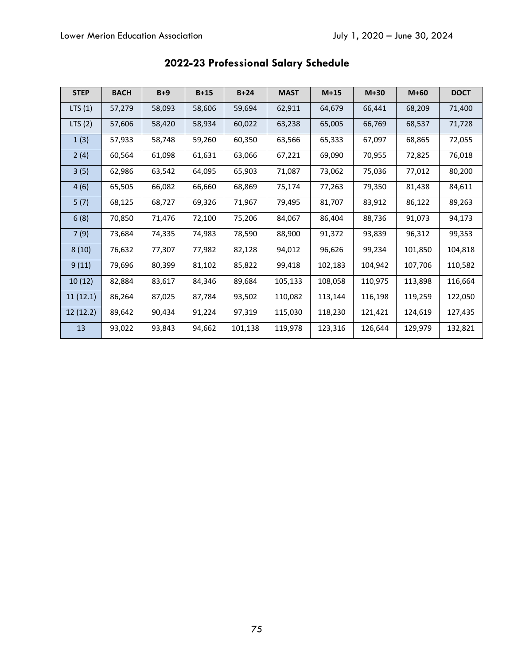| <b>STEP</b> | <b>BACH</b> | $B+9$  | $B+15$ | $B+24$  | <b>MAST</b> | $M+15$  | $M+30$  | $M+60$  | <b>DOCT</b> |
|-------------|-------------|--------|--------|---------|-------------|---------|---------|---------|-------------|
| LTS(1)      | 57,279      | 58,093 | 58,606 | 59,694  | 62,911      | 64,679  | 66,441  | 68,209  | 71,400      |
| LTS(2)      | 57,606      | 58,420 | 58,934 | 60,022  | 63,238      | 65,005  | 66,769  | 68,537  | 71,728      |
| 1(3)        | 57,933      | 58,748 | 59,260 | 60,350  | 63,566      | 65,333  | 67,097  | 68,865  | 72,055      |
| 2(4)        | 60,564      | 61,098 | 61,631 | 63,066  | 67,221      | 69,090  | 70,955  | 72,825  | 76,018      |
| 3(5)        | 62,986      | 63,542 | 64,095 | 65,903  | 71,087      | 73,062  | 75,036  | 77,012  | 80,200      |
| 4(6)        | 65,505      | 66,082 | 66,660 | 68,869  | 75,174      | 77,263  | 79,350  | 81,438  | 84,611      |
| 5(7)        | 68,125      | 68,727 | 69,326 | 71,967  | 79,495      | 81,707  | 83,912  | 86,122  | 89,263      |
| 6(8)        | 70,850      | 71,476 | 72,100 | 75,206  | 84,067      | 86,404  | 88,736  | 91,073  | 94,173      |
| 7(9)        | 73,684      | 74,335 | 74,983 | 78,590  | 88,900      | 91,372  | 93,839  | 96,312  | 99,353      |
| 8(10)       | 76,632      | 77,307 | 77,982 | 82,128  | 94,012      | 96,626  | 99,234  | 101,850 | 104,818     |
| 9(11)       | 79,696      | 80,399 | 81,102 | 85,822  | 99,418      | 102,183 | 104,942 | 107,706 | 110,582     |
| 10(12)      | 82,884      | 83,617 | 84,346 | 89,684  | 105,133     | 108,058 | 110,975 | 113,898 | 116,664     |
| 11(12.1)    | 86,264      | 87,025 | 87,784 | 93,502  | 110,082     | 113,144 | 116,198 | 119,259 | 122,050     |
| 12 (12.2)   | 89,642      | 90,434 | 91,224 | 97,319  | 115,030     | 118,230 | 121,421 | 124,619 | 127,435     |
| 13          | 93,022      | 93,843 | 94,662 | 101,138 | 119,978     | 123,316 | 126,644 | 129,979 | 132,821     |

# **2022-23 Professional Salary Schedule**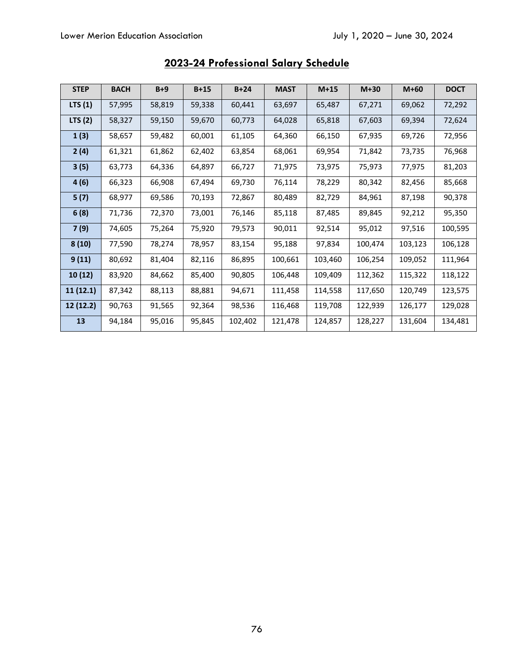| <b>STEP</b> | <b>BACH</b> | $B+9$  | $B+15$ | $B+24$  | <b>MAST</b> | $M+15$  | $M+30$  | $M+60$  | <b>DOCT</b> |
|-------------|-------------|--------|--------|---------|-------------|---------|---------|---------|-------------|
| LTS(1)      | 57,995      | 58,819 | 59,338 | 60,441  | 63,697      | 65,487  | 67,271  | 69,062  | 72,292      |
| LTS $(2)$   | 58,327      | 59,150 | 59,670 | 60,773  | 64,028      | 65,818  | 67,603  | 69,394  | 72,624      |
| 1(3)        | 58,657      | 59,482 | 60,001 | 61,105  | 64,360      | 66,150  | 67,935  | 69,726  | 72,956      |
| 2(4)        | 61,321      | 61,862 | 62,402 | 63,854  | 68,061      | 69,954  | 71,842  | 73,735  | 76,968      |
| 3(5)        | 63,773      | 64,336 | 64,897 | 66,727  | 71,975      | 73,975  | 75,973  | 77,975  | 81,203      |
| 4(6)        | 66,323      | 66,908 | 67,494 | 69,730  | 76,114      | 78,229  | 80,342  | 82,456  | 85,668      |
| 5(7)        | 68,977      | 69,586 | 70,193 | 72,867  | 80,489      | 82,729  | 84,961  | 87,198  | 90,378      |
| 6(8)        | 71,736      | 72,370 | 73,001 | 76,146  | 85,118      | 87,485  | 89,845  | 92,212  | 95,350      |
| 7(9)        | 74,605      | 75,264 | 75,920 | 79,573  | 90,011      | 92,514  | 95,012  | 97,516  | 100,595     |
| 8(10)       | 77,590      | 78,274 | 78,957 | 83,154  | 95,188      | 97,834  | 100,474 | 103,123 | 106,128     |
| 9(11)       | 80,692      | 81,404 | 82,116 | 86,895  | 100,661     | 103,460 | 106,254 | 109,052 | 111,964     |
| 10(12)      | 83,920      | 84,662 | 85,400 | 90,805  | 106,448     | 109,409 | 112,362 | 115,322 | 118,122     |
| 11(12.1)    | 87,342      | 88,113 | 88,881 | 94,671  | 111,458     | 114,558 | 117,650 | 120,749 | 123,575     |
| 12 (12.2)   | 90,763      | 91,565 | 92,364 | 98,536  | 116,468     | 119,708 | 122,939 | 126,177 | 129,028     |
| 13          | 94,184      | 95,016 | 95,845 | 102,402 | 121,478     | 124,857 | 128,227 | 131,604 | 134,481     |

# **2023-24 Professional Salary Schedule**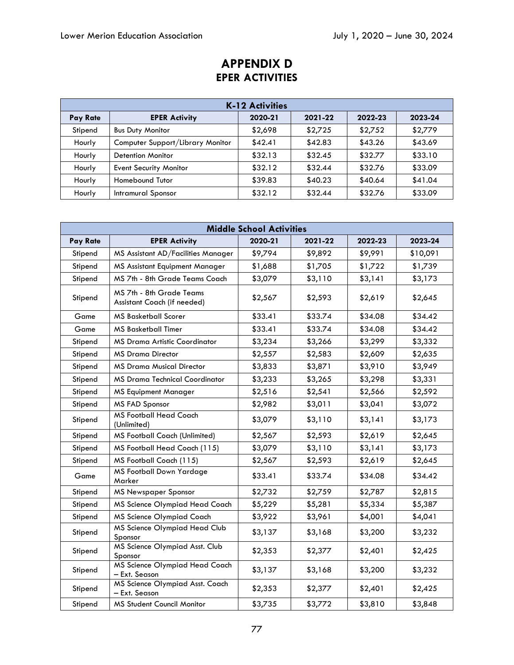|          | <b>K-12 Activities</b>           |         |         |         |         |  |  |  |
|----------|----------------------------------|---------|---------|---------|---------|--|--|--|
| Pay Rate | <b>EPER Activity</b>             | 2020-21 | 2021-22 | 2022-23 | 2023-24 |  |  |  |
| Stipend  | <b>Bus Duty Monitor</b>          | \$2,698 | \$2,725 | \$2,752 | \$2,779 |  |  |  |
| Hourly   | Computer Support/Library Monitor | \$42.41 | \$42.83 | \$43.26 | \$43.69 |  |  |  |
| Hourly   | <b>Detention Monitor</b>         | \$32.13 | \$32.45 | \$32.77 | \$33.10 |  |  |  |
| Hourly   | <b>Event Security Monitor</b>    | \$32.12 | \$32.44 | \$32.76 | \$33.09 |  |  |  |
| Hourly   | Homebound Tutor                  | \$39.83 | \$40.23 | \$40.64 | \$41.04 |  |  |  |
| Hourly   | Intramural Sponsor               | \$32.12 | \$32.44 | \$32.76 | \$33.09 |  |  |  |

#### **Middle School Activities Pay Rate EPER Activity 2020-21 2021-22 2022-23 2023-24**  Stipend | MS Assistant AD/Facilities Manager |  $$9,794$  |  $$9,892$  |  $$9,991$  |  $$10,091$ Stipend | MS Assistant Equipment Manager |  $$1,688$  |  $$1,705$  |  $$1,722$  |  $$1,739$ Stipend | MS 7th - 8th Grade Teams Coach | \$3,079 | \$3,110 | \$3,141 | \$3,173 Stipend MS 7th - 8th Grade Teams Assistant Coach (if needed) \$2,567 \$2,593 \$2,619 \$2,645 Game | MS Basketball Scorer | \$33.41 | \$33.74 | \$34.08 | \$34.42 Game | MS Basketball Timer | \$33.41 | \$33.74 | \$34.08 | \$34.42 Stipend MS Drama Artistic Coordinator \$3,234 \$3,266 \$3,299 \$3,332 Stipend | MS Drama Director \$2,557 | \$2,583 | \$2,609 | \$2,635 Stipend | MS Drama Musical Director | \$3,833 | \$3,871 | \$3,910 | \$3,949 Stipend | MS Drama Technical Coordinator |  $$3,233$  |  $$3,265$  |  $$3,298$  |  $$3,331$ Stipend | MS Equipment Manager | \$2,516 | \$2,541 | \$2,566 | \$2,592 Stipend | MS FAD Sponsor \$2,982 | \$3,011 | \$3,041 | \$3,072 Stipend | MS Football Head Coach<br>(Unlimited) MSTOODGIFFIEGG COGCH | \$3,079 | \$3,110 | \$3,141 | \$3,173<br>(Unlimited) Stipend | MS Football Coach (Unlimited) | \$2,567 | \$2,593 | \$2,619 | \$2,645 Stipend | MS Football Head Coach (115) | \$3,079 | \$3,110 | \$3,141 | \$3,173 Stipend | MS Football Coach (115)  $\begin{array}{|c|c|c|c|c|c|c|c|c|} \hline \text{S1} & \text{S2,567} & \text{S2,593} & \text{S2,619} & \text{S2,645} \ \hline \end{array}$ Game | MS Football Down Yardage Marker \$33.41 \$33.74 \$34.08 \$34.42 Stipend | MS Newspaper Sponsor | \$2,732 | \$2,759 | \$2,787 | \$2,815 Stipend | MS Science Olympiad Head Coach |  $$5,229$  |  $$5,281$  |  $$5,334$  |  $$5,387$ Stipend | MS Science Olympiad Coach | \$3,922 | \$3,961 | \$4,001 | \$4,041 Stipend | MS Science Olympiad Head Club<br>Sponsor MS Science Orympidd Hedd Clob | \$3,137 | \$3,168 | \$3,200 | \$3,232 Stipend | MS Science Olympiad Asst. Club<br>Sponsor MS Science Orympidd Assi. Club  $\begin{vmatrix} $2,353 \end{vmatrix} = $2,377$   $$2,401$   $$2,425$ Stipend | MS Science Olympiad Head Coach<br>- Ext. Season mb blence Orympidd Hedd Coddi | \$3,137 | \$3,168 | \$3,200 | \$3,232<br>- Ext. Season Stipend  $MS$  Science Olympiad Asst. Coach<br>- Ext. Season – Ext. Season \$2,353 \$2,377 \$2,401 \$2,425 Stipend | MS Student Council Monitor | \$3,735 | \$3,772 | \$3,810 | \$3,848

## **APPENDIX D EPER ACTIVITIES**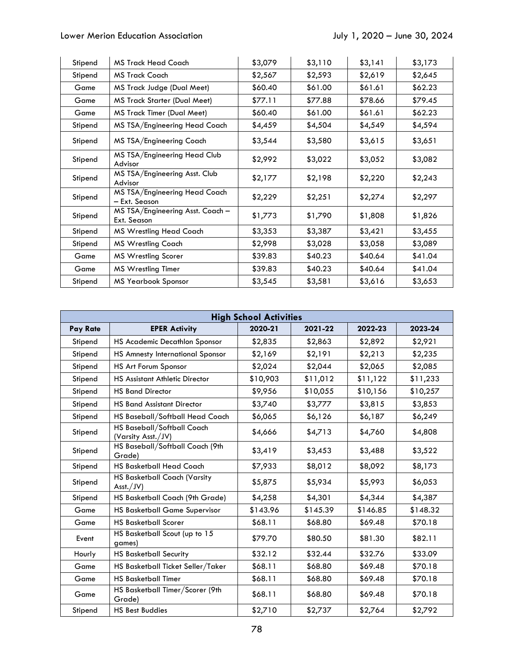### Lower Merion Education Association **Association** July 1, 2020 – June 30, 2024

| Stipend | MS Track Head Coach                             | \$3,079 | \$3,110 | \$3,141 | \$3,173 |
|---------|-------------------------------------------------|---------|---------|---------|---------|
| Stipend | MS Track Coach                                  | \$2,567 | \$2,593 | \$2,619 | \$2,645 |
| Game    | MS Track Judge (Dual Meet)                      | \$60.40 | \$61.00 | \$61.61 | \$62.23 |
| Game    | <b>MS Track Starter (Dual Meet)</b>             | \$77.11 | \$77.88 | \$78.66 | \$79.45 |
| Game    | <b>MS Track Timer (Dual Meet)</b>               | \$60.40 | \$61.00 | \$61.61 | \$62.23 |
| Stipend | MS TSA/Engineering Head Coach                   | \$4,459 | \$4,504 | \$4,549 | \$4,594 |
| Stipend | MS TSA/Engineering Coach                        | \$3,544 | \$3,580 | \$3,615 | \$3,651 |
| Stipend | MS TSA/Engineering Head Club<br>Advisor         | \$2,992 | \$3,022 | \$3,052 | \$3,082 |
| Stipend | MS TSA/Engineering Asst. Club<br>Advisor        | \$2,177 | \$2,198 | \$2,220 | \$2,243 |
| Stipend | MS TSA/Engineering Head Coach<br>— Ext. Season  | \$2,229 | \$2,251 | \$2,274 | \$2,297 |
| Stipend | MS TSA/Engineering Asst. Coach -<br>Ext. Season | \$1,773 | \$1,790 | \$1,808 | \$1,826 |
| Stipend | <b>MS Wrestling Head Coach</b>                  | \$3,353 | \$3,387 | \$3,421 | \$3,455 |
| Stipend | <b>MS Wrestling Coach</b>                       | \$2,998 | \$3,028 | \$3,058 | \$3,089 |
| Game    | <b>MS Wrestling Scorer</b>                      | \$39.83 | \$40.23 | \$40.64 | \$41.04 |
| Game    | <b>MS Wrestling Timer</b>                       | \$39.83 | \$40.23 | \$40.64 | \$41.04 |
| Stipend | <b>MS Yearbook Sponsor</b>                      | \$3,545 | \$3,581 | \$3,616 | \$3,653 |

| <b>High School Activities</b> |                                                  |          |          |          |          |  |  |
|-------------------------------|--------------------------------------------------|----------|----------|----------|----------|--|--|
| Pay Rate                      | <b>EPER Activity</b>                             | 2020-21  | 2021-22  | 2022-23  | 2023-24  |  |  |
| Stipend                       | HS Academic Decathlon Sponsor                    | \$2,835  | \$2,863  | \$2,892  | \$2,921  |  |  |
| Stipend                       | HS Amnesty International Sponsor                 | \$2,169  | \$2,191  | \$2,213  | \$2,235  |  |  |
| Stipend                       | HS Art Forum Sponsor                             | \$2,024  | \$2,044  | \$2,065  | \$2,085  |  |  |
| Stipend                       | HS Assistant Athletic Director                   | \$10,903 | \$11,012 | \$11,122 | \$11,233 |  |  |
| Stipend                       | <b>HS Band Director</b>                          | \$9,956  | \$10,055 | \$10,156 | \$10,257 |  |  |
| Stipend                       | <b>HS Band Assistant Director</b>                | \$3,740  | \$3,777  | \$3,815  | \$3,853  |  |  |
| Stipend                       | HS Baseball/Softball Head Coach                  | \$6,065  | \$6,126  | \$6,187  | \$6,249  |  |  |
| Stipend                       | HS Baseball/Softball Coach<br>(Varsity Asst./JV) | \$4,666  | \$4,713  | \$4,760  | \$4,808  |  |  |
| Stipend                       | HS Baseball/Softball Coach (9th<br>Grade)        | \$3,419  | \$3,453  | \$3,488  | \$3,522  |  |  |
| Stipend                       | <b>HS Basketball Head Coach</b>                  | \$7,933  | \$8,012  | \$8,092  | \$8,173  |  |  |
| Stipend                       | HS Basketball Coach (Varsity<br>Ask/JV)          | \$5,875  | \$5,934  | \$5,993  | \$6,053  |  |  |
| Stipend                       | HS Basketball Coach (9th Grade)                  | \$4,258  | \$4,301  | \$4,344  | \$4,387  |  |  |
| Game                          | <b>HS Basketball Game Supervisor</b>             | \$143.96 | \$145.39 | \$146.85 | \$148.32 |  |  |
| Game                          | <b>HS Basketball Scorer</b>                      | \$68.11  | \$68.80  | \$69.48  | \$70.18  |  |  |
| Event                         | HS Basketball Scout (up to 15<br>games)          | \$79.70  | \$80.50  | \$81.30  | \$82.11  |  |  |
| Hourly                        | <b>HS Basketball Security</b>                    | \$32.12  | \$32.44  | \$32.76  | \$33.09  |  |  |
| Game                          | HS Basketball Ticket Seller/Taker                | \$68.11  | \$68.80  | \$69.48  | \$70.18  |  |  |
| Game                          | <b>HS Basketball Timer</b>                       | \$68.11  | \$68.80  | \$69.48  | \$70.18  |  |  |
| Game                          | HS Basketball Timer/Scorer (9th<br>Grade)        | \$68.11  | \$68.80  | \$69.48  | \$70.18  |  |  |
| Stipend                       | <b>HS Best Buddies</b>                           | \$2,710  | \$2,737  | \$2,764  | \$2,792  |  |  |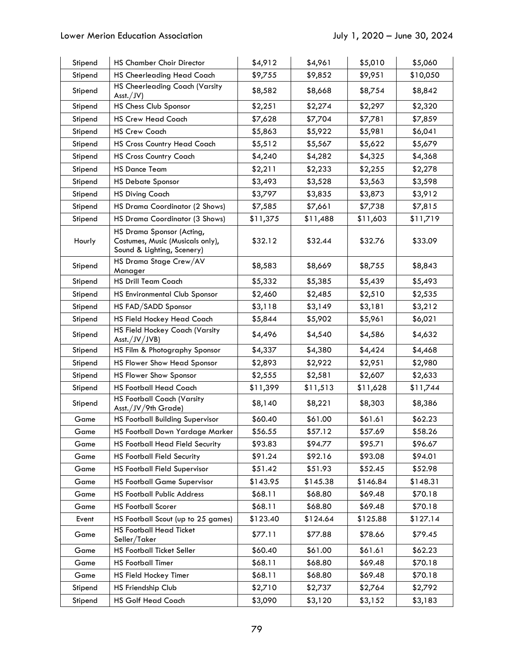| Stipend | <b>HS Chamber Choir Director</b>                                                            | \$4,912  | \$4,961  | \$5,010  | \$5,060  |
|---------|---------------------------------------------------------------------------------------------|----------|----------|----------|----------|
| Stipend | <b>HS Cheerleading Head Coach</b>                                                           | \$9,755  | \$9,852  | \$9,951  | \$10,050 |
| Stipend | <b>HS Cheerleading Coach (Varsity</b><br>Ask./JV)                                           | \$8,582  | \$8,668  | \$8,754  | \$8,842  |
| Stipend | HS Chess Club Sponsor                                                                       | \$2,251  | \$2,274  | \$2,297  | \$2,320  |
| Stipend | <b>HS Crew Head Coach</b>                                                                   | \$7,628  | \$7,704  | \$7,781  | \$7,859  |
| Stipend | <b>HS Crew Coach</b>                                                                        | \$5,863  | \$5,922  | \$5,981  | \$6,041  |
| Stipend | <b>HS Cross Country Head Coach</b>                                                          | \$5,512  | \$5,567  | \$5,622  | \$5,679  |
| Stipend | <b>HS Cross Country Coach</b>                                                               | \$4,240  | \$4,282  | \$4,325  | \$4,368  |
| Stipend | <b>HS Dance Team</b>                                                                        | \$2,211  | \$2,233  | \$2,255  | \$2,278  |
| Stipend | <b>HS Debate Sponsor</b>                                                                    | \$3,493  | \$3,528  | \$3,563  | \$3,598  |
| Stipend | <b>HS Diving Coach</b>                                                                      | \$3,797  | \$3,835  | \$3,873  | \$3,912  |
| Stipend | HS Drama Coordinator (2 Shows)                                                              | \$7,585  | \$7,661  | \$7,738  | \$7,815  |
| Stipend | <b>HS Drama Coordinator (3 Shows)</b>                                                       | \$11,375 | \$11,488 | \$11,603 | \$11,719 |
| Hourly  | HS Drama Sponsor (Acting,<br>Costumes, Music (Musicals only),<br>Sound & Lighting, Scenery) | \$32.12  | \$32.44  | \$32.76  | \$33.09  |
| Stipend | HS Drama Stage Crew/AV<br>Manager                                                           | \$8,583  | \$8,669  | \$8,755  | \$8,843  |
| Stipend | <b>HS Drill Team Coach</b>                                                                  | \$5,332  | \$5,385  | \$5,439  | \$5,493  |
| Stipend | HS Environmental Club Sponsor                                                               | \$2,460  | \$2,485  | \$2,510  | \$2,535  |
| Stipend | HS FAD/SADD Sponsor                                                                         | \$3,118  | \$3,149  | \$3,181  | \$3,212  |
| Stipend | HS Field Hockey Head Coach                                                                  | \$5,844  | \$5,902  | \$5,961  | \$6,021  |
| Stipend | HS Field Hockey Coach (Varsity<br>Asst./JV/JVB)                                             | \$4,496  | \$4,540  | \$4,586  | \$4,632  |
| Stipend | HS Film & Photography Sponsor                                                               | \$4,337  | \$4,380  | \$4,424  | \$4,468  |
| Stipend | <b>HS Flower Show Head Sponsor</b>                                                          | \$2,893  | \$2,922  | \$2,951  | \$2,980  |
| Stipend | HS Flower Show Sponsor                                                                      | \$2,555  | \$2,581  | \$2,607  | \$2,633  |
| Stipend | <b>HS Football Head Coach</b>                                                               | \$11,399 | \$11,513 | \$11,628 | \$11,744 |
| Stipend | <b>HS Football Coach (Varsity</b><br>Asst./JV/9th Grade)                                    | \$8,140  | \$8,221  | \$8,303  | \$8,386  |
| Game    | <b>HS Football Building Supervisor</b>                                                      | \$60.40  | \$61.00  | \$61.61  | \$62.23  |
| Game    | HS Football Down Yardage Marker                                                             | \$56.55  | \$57.12  | \$57.69  | \$58.26  |
| Game    | HS Football Head Field Security                                                             | \$93.83  | \$94.77  | \$95.71  | \$96.67  |
| Game    | <b>HS Football Field Security</b>                                                           | \$91.24  | \$92.16  | \$93.08  | \$94.01  |
| Game    | <b>HS Football Field Supervisor</b>                                                         | \$51.42  | \$51.93  | \$52.45  | \$52.98  |
| Game    | <b>HS Football Game Supervisor</b>                                                          | \$143.95 | \$145.38 | \$146.84 | \$148.31 |
| Game    | <b>HS Football Public Address</b>                                                           | \$68.11  | \$68.80  | \$69.48  | \$70.18  |
| Game    | <b>HS Football Scorer</b>                                                                   | \$68.11  | \$68.80  | \$69.48  | \$70.18  |
| Event   | HS Football Scout (up to 25 games)                                                          | \$123.40 | \$124.64 | \$125.88 | \$127.14 |
| Game    | <b>HS Football Head Ticket</b><br>Seller/Taker                                              | \$77.11  | \$77.88  | \$78.66  | \$79.45  |
| Game    | HS Football Ticket Seller                                                                   | \$60.40  | \$61.00  | \$61.61  | \$62.23  |
| Game    | <b>HS Football Timer</b>                                                                    | \$68.11  | \$68.80  | \$69.48  | \$70.18  |
| Game    | HS Field Hockey Timer                                                                       | \$68.11  | \$68.80  | \$69.48  | \$70.18  |
| Stipend | HS Friendship Club                                                                          | \$2,710  | \$2,737  | \$2,764  | \$2,792  |
| Stipend | <b>HS Golf Head Coach</b>                                                                   | \$3,090  | \$3,120  | \$3,152  | \$3,183  |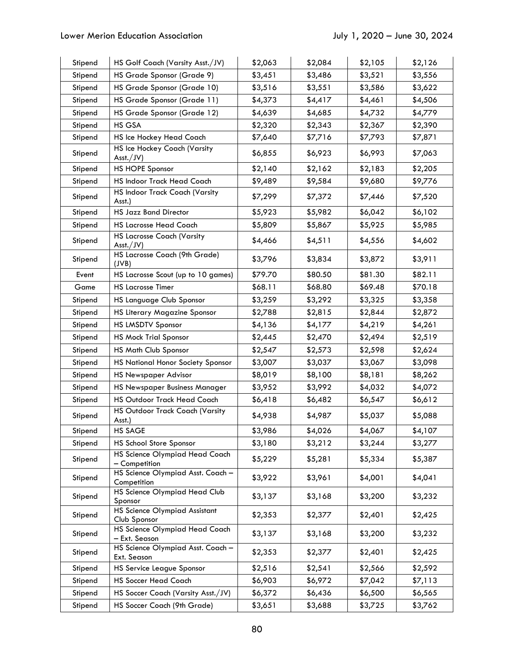| Stipend | HS Golf Coach (Varsity Asst./JV)                 | \$2,063 | \$2,084 | \$2,105 | \$2,126 |
|---------|--------------------------------------------------|---------|---------|---------|---------|
| Stipend | HS Grade Sponsor (Grade 9)                       | \$3,451 | \$3,486 | \$3,521 | \$3,556 |
| Stipend | HS Grade Sponsor (Grade 10)                      | \$3,516 | \$3,551 | \$3,586 | \$3,622 |
| Stipend | HS Grade Sponsor (Grade 11)                      | \$4,373 | \$4,417 | \$4,461 | \$4,506 |
| Stipend | HS Grade Sponsor (Grade 12)                      | \$4,639 | \$4,685 | \$4,732 | \$4,779 |
| Stipend | HS GSA                                           | \$2,320 | \$2,343 | \$2,367 | \$2,390 |
| Stipend | HS Ice Hockey Head Coach                         | \$7,640 | \$7,716 | \$7,793 | \$7,871 |
| Stipend | HS Ice Hockey Coach (Varsity<br>Ask./JV)         | \$6,855 | \$6,923 | \$6,993 | \$7,063 |
| Stipend | <b>HS HOPE Sponsor</b>                           | \$2,140 | \$2,162 | \$2,183 | \$2,205 |
| Stipend | HS Indoor Track Head Coach                       | \$9,489 | \$9,584 | \$9,680 | \$9,776 |
| Stipend | HS Indoor Track Coach (Varsity<br>Asst.)         | \$7,299 | \$7,372 | \$7,446 | \$7,520 |
| Stipend | <b>HS Jazz Band Director</b>                     | \$5,923 | \$5,982 | \$6,042 | \$6,102 |
| Stipend | <b>HS Lacrosse Head Coach</b>                    | \$5,809 | \$5,867 | \$5,925 | \$5,985 |
| Stipend | <b>HS Lacrosse Coach (Varsity</b><br>Ask./JV)    | \$4,466 | \$4,511 | \$4,556 | \$4,602 |
| Stipend | HS Lacrosse Coach (9th Grade)<br>(JVB)           | \$3,796 | \$3,834 | \$3,872 | \$3,911 |
| Event   | HS Lacrosse Scout (up to 10 games)               | \$79.70 | \$80.50 | \$81.30 | \$82.11 |
| Game    | <b>HS Lacrosse Timer</b>                         | \$68.11 | \$68.80 | \$69.48 | \$70.18 |
| Stipend | HS Language Club Sponsor                         | \$3,259 | \$3,292 | \$3,325 | \$3,358 |
| Stipend | HS Literary Magazine Sponsor                     | \$2,788 | \$2,815 | \$2,844 | \$2,872 |
| Stipend | <b>HS LMSDTV Sponsor</b>                         | \$4,136 | \$4,177 | \$4,219 | \$4,261 |
| Stipend | <b>HS Mock Trial Sponsor</b>                     | \$2,445 | \$2,470 | \$2,494 | \$2,519 |
| Stipend | <b>HS Math Club Sponsor</b>                      | \$2,547 | \$2,573 | \$2,598 | \$2,624 |
| Stipend | HS National Honor Society Sponsor                | \$3,007 | \$3,037 | \$3,067 | \$3,098 |
| Stipend | <b>HS Newspaper Advisor</b>                      | \$8,019 | \$8,100 | \$8,181 | \$8,262 |
| Stipend | HS Newspaper Business Manager                    | \$3,952 | \$3,992 | \$4,032 | \$4,072 |
| Stipend | HS Outdoor Track Head Coach                      | \$6,418 | \$6,482 | \$6,547 | \$6,612 |
| Stipend | HS Outdoor Track Coach (Varsity<br>Asst.)        | \$4,938 | \$4,987 | \$5,037 | \$5,088 |
| Stipend | <b>HS SAGE</b>                                   | \$3,986 | \$4,026 | \$4,067 | \$4,107 |
| Stipend | HS School Store Sponsor                          | \$3,180 | \$3,212 | \$3,244 | \$3,277 |
| Stipend | HS Science Olympiad Head Coach<br>- Competition  | \$5,229 | \$5,281 | \$5,334 | \$5,387 |
| Stipend | HS Science Olympiad Asst. Coach -<br>Competition | \$3,922 | \$3,961 | \$4,001 | \$4,041 |
| Stipend | <b>HS Science Olympiad Head Club</b><br>Sponsor  | \$3,137 | \$3,168 | \$3,200 | \$3,232 |
| Stipend | HS Science Olympiad Assistant<br>Club Sponsor    | \$2,353 | \$2,377 | \$2,401 | \$2,425 |
| Stipend | HS Science Olympiad Head Coach<br>- Ext. Season  | \$3,137 | \$3,168 | \$3,200 | \$3,232 |
| Stipend | HS Science Olympiad Asst. Coach -<br>Ext. Season | \$2,353 | \$2,377 | \$2,401 | \$2,425 |
| Stipend | HS Service League Sponsor                        | \$2,516 | \$2,541 | \$2,566 | \$2,592 |
| Stipend | <b>HS Soccer Head Coach</b>                      | \$6,903 | \$6,972 | \$7,042 | \$7,113 |
| Stipend | HS Soccer Coach (Varsity Asst./JV)               | \$6,372 | \$6,436 | \$6,500 | \$6,565 |
| Stipend | HS Soccer Coach (9th Grade)                      | \$3,651 | \$3,688 | \$3,725 | \$3,762 |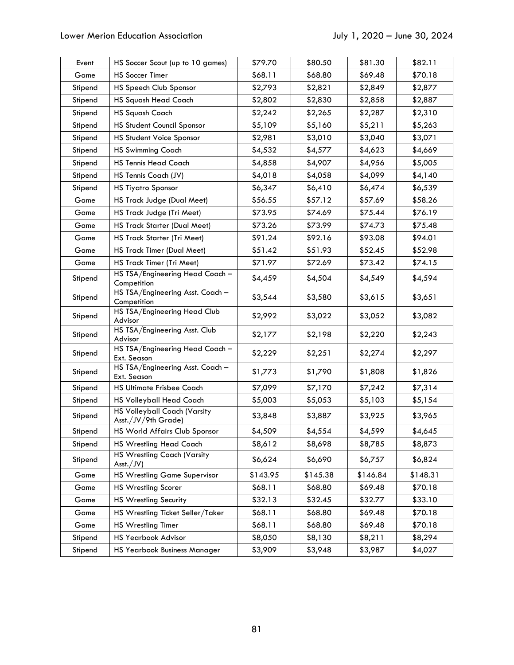| Event   | HS Soccer Scout (up to 10 games)                           | \$79.70  | \$80.50  | \$81.30  | \$82.11  |
|---------|------------------------------------------------------------|----------|----------|----------|----------|
| Game    | <b>HS Soccer Timer</b>                                     | \$68.11  | \$68.80  | \$69.48  | \$70.18  |
| Stipend | HS Speech Club Sponsor                                     | \$2,793  | \$2,821  | \$2,849  | \$2,877  |
| Stipend | <b>HS Squash Head Coach</b>                                | \$2,802  | \$2,830  | \$2,858  | \$2,887  |
| Stipend | <b>HS Squash Coach</b>                                     | \$2,242  | \$2,265  | \$2,287  | \$2,310  |
| Stipend | <b>HS Student Council Sponsor</b>                          | \$5,109  | \$5,160  | \$5,211  | \$5,263  |
| Stipend | HS Student Voice Sponsor                                   | \$2,981  | \$3,010  | \$3,040  | \$3,071  |
| Stipend | <b>HS Swimming Coach</b>                                   | \$4,532  | \$4,577  | \$4,623  | \$4,669  |
| Stipend | <b>HS Tennis Head Coach</b>                                | \$4,858  | \$4,907  | \$4,956  | \$5,005  |
| Stipend | HS Tennis Coach (JV)                                       | \$4,018  | \$4,058  | \$4,099  | \$4,140  |
| Stipend | <b>HS Tiyatro Sponsor</b>                                  | \$6,347  | \$6,410  | \$6,474  | \$6,539  |
| Game    | HS Track Judge (Dual Meet)                                 | \$56.55  | \$57.12  | \$57.69  | \$58.26  |
| Game    | HS Track Judge (Tri Meet)                                  | \$73.95  | \$74.69  | \$75.44  | \$76.19  |
| Game    | HS Track Starter (Dual Meet)                               | \$73.26  | \$73.99  | \$74.73  | \$75.48  |
| Game    | HS Track Starter (Tri Meet)                                | \$91.24  | \$92.16  | \$93.08  | \$94.01  |
| Game    | <b>HS Track Timer (Dual Meet)</b>                          | \$51.42  | \$51.93  | \$52.45  | \$52.98  |
| Game    | HS Track Timer (Tri Meet)                                  | \$71.97  | \$72.69  | \$73.42  | \$74.15  |
| Stipend | HS TSA/Engineering Head Coach -<br>Competition             | \$4,459  | \$4,504  | \$4,549  | \$4,594  |
| Stipend | HS TSA/Engineering Asst. Coach -<br>Competition            | \$3,544  | \$3,580  | \$3,615  | \$3,651  |
| Stipend | HS TSA/Engineering Head Club<br>Advisor                    | \$2,992  | \$3,022  | \$3,052  | \$3,082  |
| Stipend | HS TSA/Engineering Asst. Club<br>Advisor                   | \$2,177  | \$2,198  | \$2,220  | \$2,243  |
| Stipend | HS TSA/Engineering Head Coach -<br>Ext. Season             | \$2,229  | \$2,251  | \$2,274  | \$2,297  |
| Stipend | HS TSA/Engineering Asst. Coach -<br>Ext. Season            | \$1,773  | \$1,790  | \$1,808  | \$1,826  |
| Stipend | <b>HS Ultimate Frisbee Coach</b>                           | \$7,099  | \$7,170  | \$7,242  | \$7,314  |
| Stipend | <b>HS Volleyball Head Coach</b>                            | \$5,003  | \$5,053  | \$5,103  | \$5,154  |
| Stipend | <b>HS Volleyball Coach (Varsity</b><br>Asst./JV/9th Grade) | \$3,848  | \$3,887  | \$3,925  | \$3,965  |
| Stipend | HS World Affairs Club Sponsor                              | \$4,509  | \$4,554  | \$4,599  | \$4,645  |
| Stipend | <b>HS Wrestling Head Coach</b>                             | \$8,612  | \$8,698  | \$8,785  | \$8,873  |
| Stipend | HS Wrestling Coach (Varsity<br>$\text{Asst.}/\text{JV}$    | \$6,624  | \$6,690  | \$6,757  | \$6,824  |
| Game    | <b>HS Wrestling Game Supervisor</b>                        | \$143.95 | \$145.38 | \$146.84 | \$148.31 |
| Game    | <b>HS Wrestling Scorer</b>                                 | \$68.11  | \$68.80  | \$69.48  | \$70.18  |
| Game    | <b>HS Wrestling Security</b>                               | \$32.13  | \$32.45  | \$32.77  | \$33.10  |
| Game    | HS Wrestling Ticket Seller/Taker                           | \$68.11  | \$68.80  | \$69.48  | \$70.18  |
| Game    | <b>HS Wrestling Timer</b>                                  | \$68.11  | \$68.80  | \$69.48  | \$70.18  |
| Stipend | HS Yearbook Advisor                                        | \$8,050  | \$8,130  | \$8,211  | \$8,294  |
| Stipend | HS Yearbook Business Manager                               | \$3,909  | \$3,948  | \$3,987  | \$4,027  |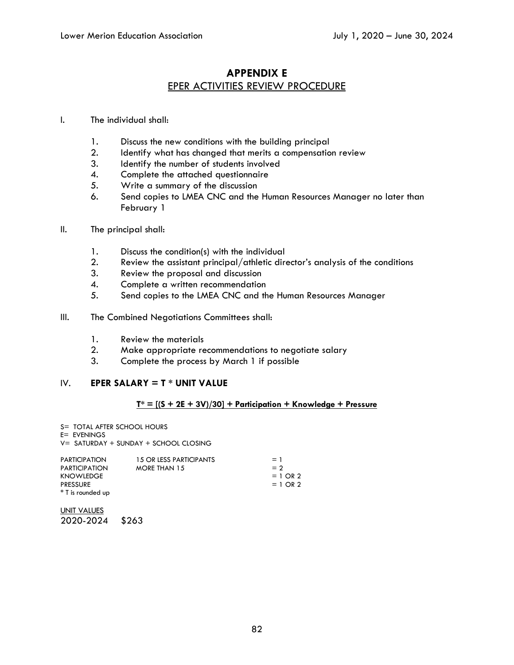### **APPENDIX E**  EPER ACTIVITIES REVIEW PROCEDURE

#### I. The individual shall:

- 1. Discuss the new conditions with the building principal<br>2. Identify what has changed that merits a compensation
- Identify what has changed that merits a compensation review
- 3. Identify the number of students involved
- 4. Complete the attached questionnaire
- 5. Write a summary of the discussion
- 6. Send copies to LMEA CNC and the Human Resources Manager no later than February 1
- II. The principal shall:
	- 1. Discuss the condition(s) with the individual
	- 2. Review the assistant principal/athletic director's analysis of the conditions
	- 3. Review the proposal and discussion
	- 4. Complete a written recommendation
	- 5. Send copies to the LMEA CNC and the Human Resources Manager
- III. The Combined Negotiations Committees shall:
	- 1. Review the materials
	- 2. Make appropriate recommendations to negotiate salary<br>3. Complete the process by March 1 if possible
	- 3. Complete the process by March 1 if possible

#### IV. **EPER SALARY = T \* UNIT VALUE**

#### **T\* = [(S + 2E + 3V)/30] + Participation + Knowledge + Pressure**

- S= TOTAL AFTER SCHOOL HOURS
- E= EVENINGS
- V= SATURDAY + SUNDAY + SCHOOL CLOSING

| <b>PARTICIPATION</b> | 15 OR LESS PARTICIPANTS | $= 1$      |
|----------------------|-------------------------|------------|
| <b>PARTICIPATION</b> | <b>MORE THAN 15</b>     | $= 2$      |
| KNOWLEDGE            |                         | $= 1$ OR 2 |
| <b>PRESSURE</b>      |                         | $= 1$ OR 2 |
| * T is rounded up    |                         |            |
|                      |                         |            |

UNIT VALUES 2020-2024 \$263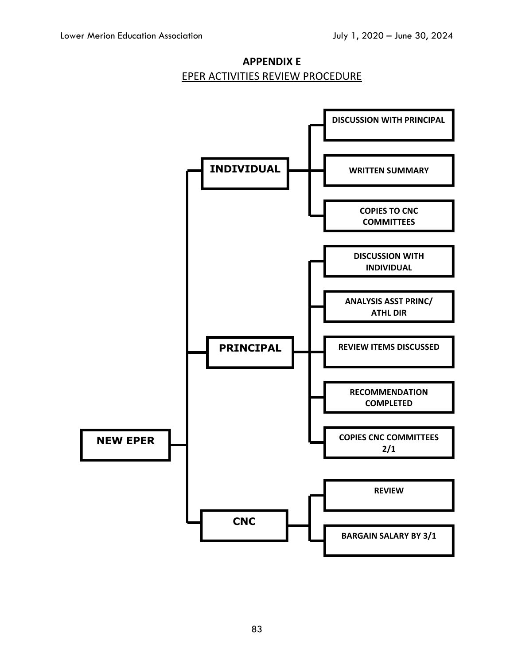

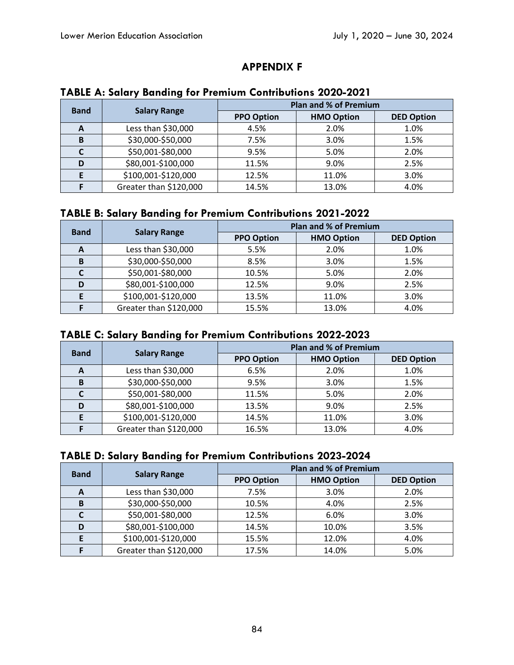## **APPENDIX F**

| <b>Band</b>  | <b>Salary Range</b>    | <b>Plan and % of Premium</b> |                   |                   |
|--------------|------------------------|------------------------------|-------------------|-------------------|
|              |                        | <b>PPO Option</b>            | <b>HMO Option</b> | <b>DED Option</b> |
| $\mathbf{A}$ | Less than \$30,000     | 4.5%                         | 2.0%              | 1.0%              |
| B            | \$30,000-\$50,000      | 7.5%                         | 3.0%              | 1.5%              |
|              | \$50,001-\$80,000      | 9.5%                         | 5.0%              | 2.0%              |
|              | \$80,001-\$100,000     | 11.5%                        | 9.0%              | 2.5%              |
|              | \$100,001-\$120,000    | 12.5%                        | 11.0%             | 3.0%              |
|              | Greater than \$120,000 | 14.5%                        | 13.0%             | 4.0%              |

### **TABLE A: Salary Banding for Premium Contributions 2020-2021**

## **TABLE B: Salary Banding for Premium Contributions 2021-2022**

| <b>Band</b> | <b>Salary Range</b>    | <b>Plan and % of Premium</b> |                   |                   |
|-------------|------------------------|------------------------------|-------------------|-------------------|
|             |                        | <b>PPO Option</b>            | <b>HMO Option</b> | <b>DED Option</b> |
| A           | Less than \$30,000     | 5.5%                         | 2.0%              | 1.0%              |
| в           | \$30,000-\$50,000      | 8.5%                         | 3.0%              | 1.5%              |
|             | \$50,001-\$80,000      | 10.5%                        | 5.0%              | 2.0%              |
| D           | \$80,001-\$100,000     | 12.5%                        | 9.0%              | 2.5%              |
|             | \$100,001-\$120,000    | 13.5%                        | 11.0%             | 3.0%              |
|             | Greater than \$120,000 | 15.5%                        | 13.0%             | 4.0%              |

## **TABLE C: Salary Banding for Premium Contributions 2022-2023**

| <b>Band</b> | <b>Salary Range</b>    | <b>Plan and % of Premium</b> |                   |                   |
|-------------|------------------------|------------------------------|-------------------|-------------------|
|             |                        | <b>PPO Option</b>            | <b>HMO Option</b> | <b>DED Option</b> |
| A           | Less than \$30,000     | 6.5%                         | 2.0%              | 1.0%              |
| B           | \$30,000-\$50,000      | 9.5%                         | 3.0%              | 1.5%              |
|             | \$50,001-\$80,000      | 11.5%                        | 5.0%              | 2.0%              |
|             | \$80,001-\$100,000     | 13.5%                        | 9.0%              | 2.5%              |
|             | \$100,001-\$120,000    | 14.5%                        | 11.0%             | 3.0%              |
|             | Greater than \$120,000 | 16.5%                        | 13.0%             | 4.0%              |

## **TABLE D: Salary Banding for Premium Contributions 2023-2024**

| <b>Band</b> | <b>Salary Range</b>    | <b>Plan and % of Premium</b> |                   |                   |
|-------------|------------------------|------------------------------|-------------------|-------------------|
|             |                        | <b>PPO Option</b>            | <b>HMO Option</b> | <b>DED Option</b> |
| A           | Less than \$30,000     | 7.5%                         | 3.0%              | 2.0%              |
| B           | \$30,000-\$50,000      | 10.5%                        | 4.0%              | 2.5%              |
|             | \$50,001-\$80,000      | 12.5%                        | 6.0%              | 3.0%              |
| D           | \$80,001-\$100,000     | 14.5%                        | 10.0%             | 3.5%              |
|             | \$100,001-\$120,000    | 15.5%                        | 12.0%             | 4.0%              |
|             | Greater than \$120,000 | 17.5%                        | 14.0%             | 5.0%              |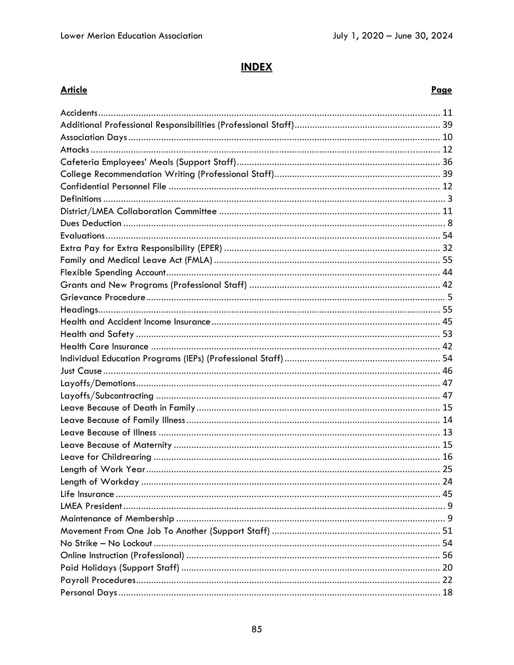# **INDEX**

### **Article**

### Page